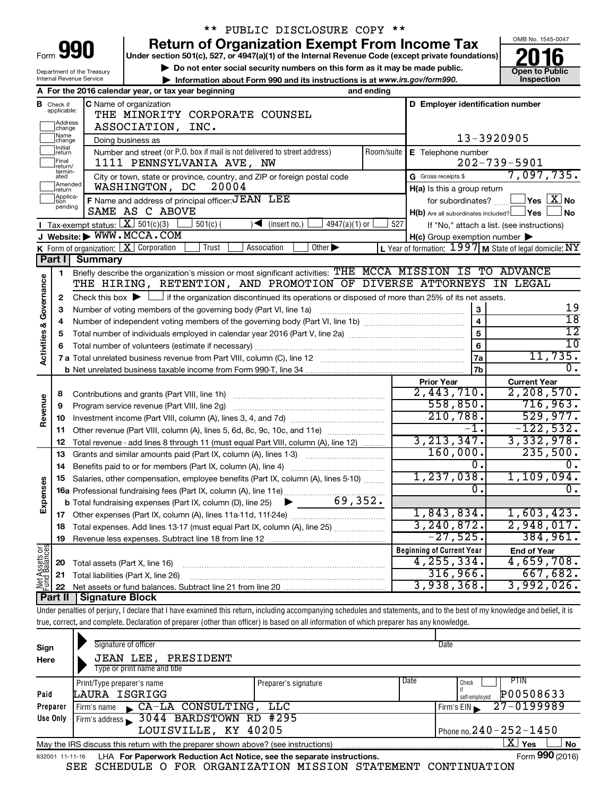|                            |                                                                                                    | ** PUBLIC DISCLOSURE COPY **                                                                                                                                                                                      |                |                                                                                                                  |                                         |  |  |  |  |
|----------------------------|----------------------------------------------------------------------------------------------------|-------------------------------------------------------------------------------------------------------------------------------------------------------------------------------------------------------------------|----------------|------------------------------------------------------------------------------------------------------------------|-----------------------------------------|--|--|--|--|
|                            |                                                                                                    | <b>Return of Organization Exempt From Income Tax</b>                                                                                                                                                              |                |                                                                                                                  | OMB No. 1545-0047                       |  |  |  |  |
| Form <b>Y91</b>            | Under section 501(c), 527, or 4947(a)(1) of the Internal Revenue Code (except private foundations) |                                                                                                                                                                                                                   |                |                                                                                                                  |                                         |  |  |  |  |
| Department of the Treasury | <b>Open to Public</b>                                                                              |                                                                                                                                                                                                                   |                |                                                                                                                  |                                         |  |  |  |  |
|                            |                                                                                                    | Internal Revenue Service<br>Information about Form 990 and its instructions is at www.irs.gov/form990.                                                                                                            |                |                                                                                                                  | Inspection                              |  |  |  |  |
|                            |                                                                                                    | A For the 2016 calendar year, or tax year beginning                                                                                                                                                               | and ending     |                                                                                                                  |                                         |  |  |  |  |
|                            | <b>B</b> Check if applicable:                                                                      | C Name of organization                                                                                                                                                                                            |                | D Employer identification number                                                                                 |                                         |  |  |  |  |
|                            |                                                                                                    | THE MINORITY CORPORATE COUNSEL                                                                                                                                                                                    |                |                                                                                                                  |                                         |  |  |  |  |
|                            | Address<br>change                                                                                  | ASSOCIATION, INC.                                                                                                                                                                                                 |                |                                                                                                                  |                                         |  |  |  |  |
|                            | Name<br>change<br>Initial                                                                          | Doing business as                                                                                                                                                                                                 |                | 13-3920905                                                                                                       |                                         |  |  |  |  |
|                            | ∣return                                                                                            | Number and street (or P.O. box if mail is not delivered to street address)                                                                                                                                        | Room/suite     | E Telephone number                                                                                               |                                         |  |  |  |  |
|                            | Final<br>return/<br>termin-                                                                        | 1111 PENNSYLVANIA AVE, NW                                                                                                                                                                                         |                |                                                                                                                  | $202 - 739 - 5901$                      |  |  |  |  |
|                            | ated<br>Amended                                                                                    | City or town, state or province, country, and ZIP or foreign postal code                                                                                                                                          |                | G Gross receipts \$                                                                                              | 7,097,735.                              |  |  |  |  |
|                            | Ireturn                                                                                            | WASHINGTON, DC<br>20004                                                                                                                                                                                           |                | H(a) Is this a group return                                                                                      |                                         |  |  |  |  |
|                            | Applica-<br>tion<br>pending                                                                        | F Name and address of principal officer: JEAN LEE                                                                                                                                                                 |                | for subordinates?                                                                                                | $\Box$ Yes $[\overline{\mathrm{X}}]$ No |  |  |  |  |
|                            |                                                                                                    | SAME AS C ABOVE                                                                                                                                                                                                   |                | $H(b)$ Are all subordinates included? $\Box$ Yes                                                                 | 」 No                                    |  |  |  |  |
|                            |                                                                                                    | Tax-exempt status: $X \over 301(c)(3)$<br>$501(c)$ (<br>$\blacktriangleleft$ (insert no.)<br>4947(a)(1) or<br>J Website: WWW.MCCA.COM                                                                             | 527            | If "No," attach a list. (see instructions)                                                                       |                                         |  |  |  |  |
|                            |                                                                                                    | <b>K</b> Form of organization: $\boxed{\textbf{X}}$ Corporation<br>Trust<br>Association<br>Other $\blacktriangleright$                                                                                            |                | $H(c)$ Group exemption number $\blacktriangleright$<br>L Year of formation: $1997$ M State of legal domicile: NY |                                         |  |  |  |  |
|                            | Part I                                                                                             | <b>Summary</b>                                                                                                                                                                                                    |                |                                                                                                                  |                                         |  |  |  |  |
|                            | 1                                                                                                  | Briefly describe the organization's mission or most significant activities: THE MCCA MISSION IS TO ADVANCE                                                                                                        |                |                                                                                                                  |                                         |  |  |  |  |
|                            |                                                                                                    |                                                                                                                                                                                                                   |                |                                                                                                                  |                                         |  |  |  |  |
| Governance                 | 2                                                                                                  | THE HIRING, RETENTION, AND PROMOTION OF DIVERSE ATTORNEYS IN LEGAL<br>Check this box $\blacktriangleright$ $\Box$ if the organization discontinued its operations or disposed of more than 25% of its net assets. |                |                                                                                                                  |                                         |  |  |  |  |
|                            | З                                                                                                  | Number of voting members of the governing body (Part VI, line 1a)                                                                                                                                                 |                | $\mathbf{3}$                                                                                                     | 19                                      |  |  |  |  |
|                            |                                                                                                    | $\overline{4}$<br>4                                                                                                                                                                                               |                |                                                                                                                  |                                         |  |  |  |  |
|                            | 5                                                                                                  |                                                                                                                                                                                                                   | $\overline{5}$ | $\overline{18}$<br>$\overline{12}$                                                                               |                                         |  |  |  |  |
| <b>Activities &amp;</b>    |                                                                                                    |                                                                                                                                                                                                                   | 6              | 10                                                                                                               |                                         |  |  |  |  |
|                            |                                                                                                    |                                                                                                                                                                                                                   |                | 7a                                                                                                               | 11,735.                                 |  |  |  |  |
|                            |                                                                                                    |                                                                                                                                                                                                                   |                | 7b                                                                                                               | 0.                                      |  |  |  |  |
|                            |                                                                                                    |                                                                                                                                                                                                                   |                | <b>Prior Year</b>                                                                                                | <b>Current Year</b>                     |  |  |  |  |
|                            | 8                                                                                                  |                                                                                                                                                                                                                   |                | 2,443,710.                                                                                                       | 2,208,570.                              |  |  |  |  |
| Revenue                    | 9                                                                                                  | Program service revenue (Part VIII, line 2g)                                                                                                                                                                      |                | 558,850.                                                                                                         | 716,963.                                |  |  |  |  |
|                            | 10                                                                                                 |                                                                                                                                                                                                                   |                | 210,788.                                                                                                         | 529,977.                                |  |  |  |  |
|                            | 11                                                                                                 | Other revenue (Part VIII, column (A), lines 5, 6d, 8c, 9c, 10c, and 11e)                                                                                                                                          |                | $\overline{-1}$ .                                                                                                | $-122,532.$                             |  |  |  |  |
|                            | 12                                                                                                 | Total revenue - add lines 8 through 11 (must equal Part VIII, column (A), line 12)                                                                                                                                |                | 3, 213, 347.                                                                                                     | 3,332,978.                              |  |  |  |  |
|                            | 13                                                                                                 | Grants and similar amounts paid (Part IX, column (A), lines 1-3)                                                                                                                                                  |                | 160,000.                                                                                                         | 235,500.                                |  |  |  |  |
|                            | 14                                                                                                 |                                                                                                                                                                                                                   |                | О.                                                                                                               | ο.                                      |  |  |  |  |
|                            |                                                                                                    | 15 Salaries, other compensation, employee benefits (Part IX, column (A), lines 5-10)                                                                                                                              |                | 1,237,038.                                                                                                       | 1,109,094.                              |  |  |  |  |
|                            |                                                                                                    |                                                                                                                                                                                                                   |                | О.                                                                                                               | $\overline{0}$ .                        |  |  |  |  |
| Expenses                   |                                                                                                    |                                                                                                                                                                                                                   |                |                                                                                                                  |                                         |  |  |  |  |
|                            |                                                                                                    |                                                                                                                                                                                                                   |                | 1,843,834.                                                                                                       | 1,603,423.                              |  |  |  |  |
|                            | 18                                                                                                 | Total expenses. Add lines 13-17 (must equal Part IX, column (A), line 25)                                                                                                                                         |                | 3, 240, 872.                                                                                                     | 2,948,017.                              |  |  |  |  |
|                            | 19                                                                                                 |                                                                                                                                                                                                                   |                | $-27,525.$                                                                                                       | 384,961.                                |  |  |  |  |
| Net Assets or              |                                                                                                    |                                                                                                                                                                                                                   |                | <b>Beginning of Current Year</b>                                                                                 | <b>End of Year</b>                      |  |  |  |  |
|                            | 20                                                                                                 | Total assets (Part X, line 16)                                                                                                                                                                                    |                | 4, 255, 334.                                                                                                     | 4,659,708.                              |  |  |  |  |
|                            | 21                                                                                                 | Total liabilities (Part X, line 26)                                                                                                                                                                               |                | 316,966.                                                                                                         | 667,682.                                |  |  |  |  |
|                            | 22                                                                                                 |                                                                                                                                                                                                                   |                | 3,938,368.                                                                                                       | 3,992,026.                              |  |  |  |  |
|                            | Part II                                                                                            | <b>Signature Block</b>                                                                                                                                                                                            |                |                                                                                                                  |                                         |  |  |  |  |
|                            |                                                                                                    | Under penalties of perjury, I declare that I have examined this return, including accompanying schedules and statements, and to the best of my knowledge and belief, it is                                        |                |                                                                                                                  |                                         |  |  |  |  |

true, correct, and complete. Declaration of preparer (other than officer) is based on all information of which preparer has any knowledge.

| Sign<br>Here | Signature of officer<br>JEAN LEE, PRESIDENT<br>Type or print name and title                                    |                      |      | Date                         |  |  |  |  |
|--------------|----------------------------------------------------------------------------------------------------------------|----------------------|------|------------------------------|--|--|--|--|
|              | Print/Type preparer's name                                                                                     | Preparer's signature | Date | <b>PTIN</b><br>Check         |  |  |  |  |
| Paid         | LAURA ISGRIGG                                                                                                  |                      |      | P00508633<br>self-emploved   |  |  |  |  |
| Preparer     | Firm's name CA-LA CONSULTING, LLC                                                                              |                      |      | 27-0199989<br>Firm's $EIN$   |  |  |  |  |
| Use Only     | Firm's address 3044 BARDSTOWN RD #295                                                                          |                      |      |                              |  |  |  |  |
|              | LOUISVILLE, KY 40205                                                                                           |                      |      | Phone no. $240 - 252 - 1450$ |  |  |  |  |
|              | $\mathbf{X}$<br>Yes<br>No<br>May the IRS discuss this return with the preparer shown above? (see instructions) |                      |      |                              |  |  |  |  |
|              | Form 990 (2016)<br>LHA For Paperwork Reduction Act Notice, see the separate instructions.<br>632001 11-11-16   |                      |      |                              |  |  |  |  |

SEE SCHEDULE O FOR ORGANIZATION MISSION STATEMENT CONTINUATION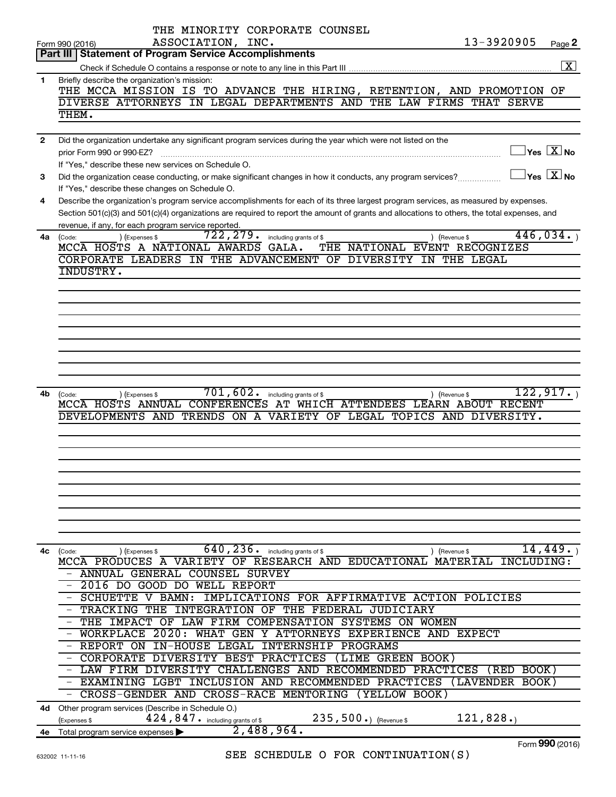|                | THE MINORITY CORPORATE COUNSEL                                                                                                               |                                             |
|----------------|----------------------------------------------------------------------------------------------------------------------------------------------|---------------------------------------------|
|                | 13-3920905<br>ASSOCIATION, INC.<br>Form 990 (2016)                                                                                           | Page 2                                      |
|                | <b>Part III   Statement of Program Service Accomplishments</b>                                                                               |                                             |
|                |                                                                                                                                              | $\boxed{\text{X}}$                          |
| 1.             | Briefly describe the organization's mission:                                                                                                 |                                             |
|                | THE MCCA MISSION IS TO ADVANCE THE HIRING, RETENTION, AND PROMOTION OF                                                                       |                                             |
|                | DIVERSE ATTORNEYS IN LEGAL DEPARTMENTS AND THE LAW FIRMS THAT SERVE                                                                          |                                             |
|                | THEM.                                                                                                                                        |                                             |
|                |                                                                                                                                              |                                             |
| $\overline{2}$ | Did the organization undertake any significant program services during the year which were not listed on the                                 |                                             |
|                | prior Form 990 or 990-EZ?                                                                                                                    | $\overline{\ }$ Yes $\overline{\rm \ }X$ No |
|                | If "Yes," describe these new services on Schedule O.                                                                                         |                                             |
| 3              | Did the organization cease conducting, or make significant changes in how it conducts, any program services?                                 | $\exists$ Yes $\boxed{\text{X}}$ No         |
|                | If "Yes," describe these changes on Schedule O.                                                                                              |                                             |
| 4              | Describe the organization's program service accomplishments for each of its three largest program services, as measured by expenses.         |                                             |
|                | Section 501(c)(3) and 501(c)(4) organizations are required to report the amount of grants and allocations to others, the total expenses, and |                                             |
|                | revenue, if any, for each program service reported.                                                                                          |                                             |
| 4a             | $\overline{722, 279}$ $\cdot$ including grants of \$<br>) (Expenses \$<br>(Code:<br>) (Revenue \$                                            | 446,034.                                    |
|                | MCCA HOSTS A NATIONAL AWARDS GALA.<br>THE NATIONAL EVENT RECOGNIZES                                                                          |                                             |
|                | CORPORATE LEADERS IN THE ADVANCEMENT OF DIVERSITY IN THE LEGAL                                                                               |                                             |
|                | INDUSTRY.                                                                                                                                    |                                             |
|                |                                                                                                                                              |                                             |
|                |                                                                                                                                              |                                             |
|                |                                                                                                                                              |                                             |
|                |                                                                                                                                              |                                             |
|                |                                                                                                                                              |                                             |
|                |                                                                                                                                              |                                             |
|                |                                                                                                                                              |                                             |
|                |                                                                                                                                              |                                             |
|                |                                                                                                                                              |                                             |
| 4b             | $701, 602$ $\cdot$ including grants of \$<br>) (Revenue \$<br>(Code:<br>(Expenses \$                                                         | 122, 917.                                   |
|                | MCCA HOSTS ANNUAL CONFERENCES AT WHICH ATTENDEES LEARN ABOUT RECENT                                                                          |                                             |
|                | DEVELOPMENTS AND TRENDS ON A VARIETY OF LEGAL TOPICS AND DIVERSITY.                                                                          |                                             |
|                |                                                                                                                                              |                                             |
|                |                                                                                                                                              |                                             |
|                |                                                                                                                                              |                                             |
|                |                                                                                                                                              |                                             |
|                |                                                                                                                                              |                                             |
|                |                                                                                                                                              |                                             |
|                |                                                                                                                                              |                                             |
|                |                                                                                                                                              |                                             |
|                |                                                                                                                                              |                                             |
|                |                                                                                                                                              |                                             |
| 4с             | $\overline{640}$ , 236. including grants of \$<br>(Code:<br>(Expenses \$<br>) (Revenue \$                                                    | 14,449.                                     |
|                | MCCA PRODUCES A VARIETY OF RESEARCH AND EDUCATIONAL MATERIAL<br>INCLUDING:                                                                   |                                             |
|                | - ANNUAL GENERAL COUNSEL SURVEY                                                                                                              |                                             |
|                | - 2016 DO GOOD DO WELL REPORT                                                                                                                |                                             |
|                | IMPLICATIONS FOR AFFIRMATIVE ACTION POLICIES<br>- SCHUETTE V BAMN:                                                                           |                                             |
|                | - TRACKING THE<br>INTEGRATION OF THE FEDERAL JUDICIARY                                                                                       |                                             |
|                | - THE IMPACT OF LAW FIRM COMPENSATION SYSTEMS ON WOMEN                                                                                       |                                             |
|                | - WORKPLACE 2020: WHAT GEN Y ATTORNEYS EXPERIENCE AND EXPECT                                                                                 |                                             |
|                | - REPORT ON IN-HOUSE LEGAL INTERNSHIP PROGRAMS                                                                                               |                                             |
|                | - CORPORATE DIVERSITY BEST PRACTICES (LIME GREEN BOOK)                                                                                       |                                             |
|                | - LAW FIRM DIVERSITY CHALLENGES AND RECOMMENDED PRACTICES (RED BOOK)                                                                         |                                             |
|                | - EXAMINING LGBT INCLUSION AND RECOMMENDED PRACTICES<br>(LAVENDER BOOK)                                                                      |                                             |
|                | - CROSS-GENDER AND CROSS-RACE MENTORING<br>(YELLOW BOOK)                                                                                     |                                             |
| 4d -           | Other program services (Describe in Schedule O.)                                                                                             |                                             |
|                | 121,828.<br>$235, 500.$ (Revenue \$<br>424,847. including grants of \$<br>(Expenses \$                                                       |                                             |
| 4е             | 2,488,964.<br>Total program service expenses                                                                                                 |                                             |
|                |                                                                                                                                              |                                             |

Form (2016) **990**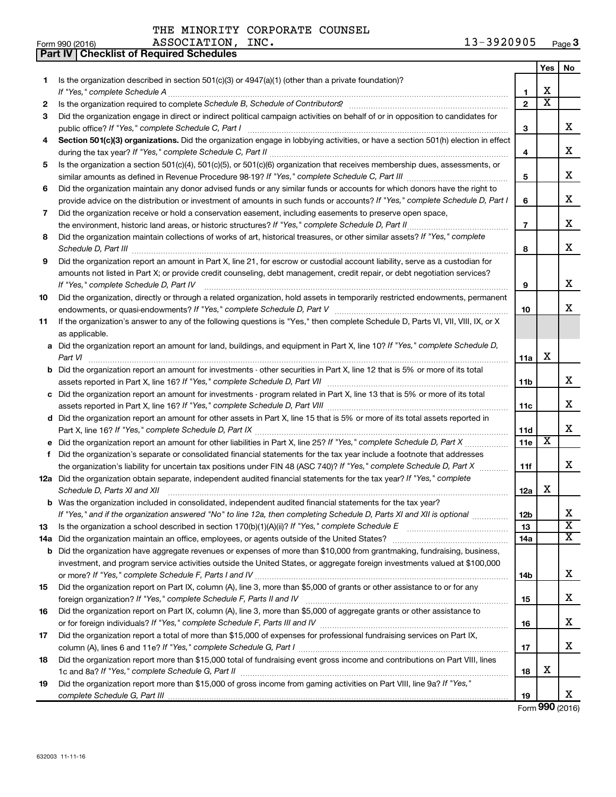| Form 990 (2016) | ASSOCIATION,<br>INC. | $-3920905$<br>∸∸ | 3 Page |
|-----------------|----------------------|------------------|--------|
|-----------------|----------------------|------------------|--------|

|    | Part IV   Checklist of Required Schedules                                                                                            |                 |                         |                              |
|----|--------------------------------------------------------------------------------------------------------------------------------------|-----------------|-------------------------|------------------------------|
|    |                                                                                                                                      |                 | Yes                     | No                           |
| 1  | Is the organization described in section $501(c)(3)$ or $4947(a)(1)$ (other than a private foundation)?                              |                 |                         |                              |
|    |                                                                                                                                      | 1               | х                       |                              |
| 2  |                                                                                                                                      | $\overline{2}$  | $\overline{\text{x}}$   |                              |
| 3  | Did the organization engage in direct or indirect political campaign activities on behalf of or in opposition to candidates for      |                 |                         |                              |
|    |                                                                                                                                      | 3               |                         | x                            |
| 4  | Section 501(c)(3) organizations. Did the organization engage in lobbying activities, or have a section 501(h) election in effect     |                 |                         |                              |
|    |                                                                                                                                      | 4               |                         | x                            |
| 5  | Is the organization a section 501(c)(4), 501(c)(5), or 501(c)(6) organization that receives membership dues, assessments, or         |                 |                         |                              |
|    |                                                                                                                                      | 5               |                         | x                            |
| 6  | Did the organization maintain any donor advised funds or any similar funds or accounts for which donors have the right to            |                 |                         |                              |
|    | provide advice on the distribution or investment of amounts in such funds or accounts? If "Yes," complete Schedule D, Part I         | 6               |                         | x                            |
| 7  | Did the organization receive or hold a conservation easement, including easements to preserve open space,                            |                 |                         |                              |
|    | the environment, historic land areas, or historic structures? If "Yes," complete Schedule D, Part II                                 | $\overline{7}$  |                         | x                            |
| 8  | Did the organization maintain collections of works of art, historical treasures, or other similar assets? If "Yes," complete         |                 |                         |                              |
|    |                                                                                                                                      | 8               |                         | x                            |
| 9  | Did the organization report an amount in Part X, line 21, for escrow or custodial account liability, serve as a custodian for        |                 |                         |                              |
|    | amounts not listed in Part X; or provide credit counseling, debt management, credit repair, or debt negotiation services?            |                 |                         |                              |
|    | If "Yes," complete Schedule D, Part IV                                                                                               | 9               |                         | x                            |
| 10 | Did the organization, directly or through a related organization, hold assets in temporarily restricted endowments, permanent        |                 |                         |                              |
|    |                                                                                                                                      | 10              |                         | x                            |
| 11 | If the organization's answer to any of the following questions is "Yes," then complete Schedule D, Parts VI, VII, VIII, IX, or X     |                 |                         |                              |
|    | as applicable.                                                                                                                       |                 |                         |                              |
|    | a Did the organization report an amount for land, buildings, and equipment in Part X, line 10? If "Yes," complete Schedule D,        |                 |                         |                              |
|    | Part VI                                                                                                                              | 11a             | х                       |                              |
|    | <b>b</b> Did the organization report an amount for investments - other securities in Part X, line 12 that is 5% or more of its total |                 |                         |                              |
|    |                                                                                                                                      | 11 <sub>b</sub> |                         | x                            |
|    | c Did the organization report an amount for investments - program related in Part X, line 13 that is 5% or more of its total         |                 |                         |                              |
|    |                                                                                                                                      | 11c             |                         | x                            |
|    | d Did the organization report an amount for other assets in Part X, line 15 that is 5% or more of its total assets reported in       |                 |                         |                              |
|    |                                                                                                                                      | 11d             |                         | x                            |
|    | e Did the organization report an amount for other liabilities in Part X, line 25? If "Yes," complete Schedule D, Part X              | 11e             | $\overline{\textbf{x}}$ |                              |
| f. | Did the organization's separate or consolidated financial statements for the tax year include a footnote that addresses              |                 |                         |                              |
|    | the organization's liability for uncertain tax positions under FIN 48 (ASC 740)? If "Yes," complete Schedule D, Part X               | 11f             |                         | x                            |
|    | 12a Did the organization obtain separate, independent audited financial statements for the tax year? If "Yes," complete              |                 |                         |                              |
|    | Schedule D, Parts XI and XII                                                                                                         | 12a             | х                       |                              |
|    | b Was the organization included in consolidated, independent audited financial statements for the tax year?                          |                 |                         |                              |
|    | If "Yes," and if the organization answered "No" to line 12a, then completing Schedule D, Parts XI and XII is optional                | 12b             |                         | х<br>$\overline{\texttt{x}}$ |
| 13 |                                                                                                                                      | 13              |                         | $\overline{\mathtt{x}}$      |
|    |                                                                                                                                      | 14a             |                         |                              |
|    | <b>b</b> Did the organization have aggregate revenues or expenses of more than \$10,000 from grantmaking, fundraising, business,     |                 |                         |                              |
|    | investment, and program service activities outside the United States, or aggregate foreign investments valued at \$100,000           |                 |                         | x                            |
|    |                                                                                                                                      | 14 <sub>b</sub> |                         |                              |
| 15 | Did the organization report on Part IX, column (A), line 3, more than \$5,000 of grants or other assistance to or for any            |                 |                         | x                            |
| 16 | Did the organization report on Part IX, column (A), line 3, more than \$5,000 of aggregate grants or other assistance to             | 15              |                         |                              |
|    |                                                                                                                                      | 16              |                         | x                            |
| 17 | Did the organization report a total of more than \$15,000 of expenses for professional fundraising services on Part IX,              |                 |                         |                              |
|    |                                                                                                                                      | 17              |                         | x                            |
| 18 | Did the organization report more than \$15,000 total of fundraising event gross income and contributions on Part VIII, lines         |                 |                         |                              |
|    |                                                                                                                                      | 18              | х                       |                              |
| 19 | Did the organization report more than \$15,000 of gross income from gaming activities on Part VIII, line 9a? If "Yes,"               |                 |                         |                              |
|    |                                                                                                                                      | 19              |                         | x                            |
|    |                                                                                                                                      |                 | $000 \times 20$         |                              |

Form (2016) **990**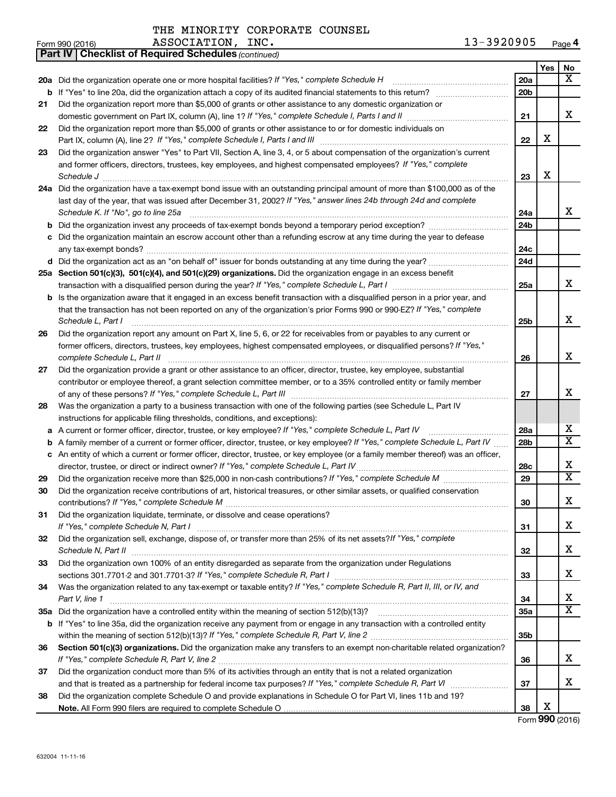THE MINORITY CORPORATE COUNSEL<br>ASSOCIATION INC.

|    | 13-3920905<br>ASSOCIATION, INC.<br>Form 990 (2016)                                                                                                                                                                                                                                                                                            |                 |            | Page 4                     |
|----|-----------------------------------------------------------------------------------------------------------------------------------------------------------------------------------------------------------------------------------------------------------------------------------------------------------------------------------------------|-----------------|------------|----------------------------|
|    | <b>Part IV   Checklist of Required Schedules (continued)</b>                                                                                                                                                                                                                                                                                  |                 |            |                            |
|    |                                                                                                                                                                                                                                                                                                                                               |                 | <b>Yes</b> | No                         |
|    |                                                                                                                                                                                                                                                                                                                                               | 20a             |            | x                          |
|    |                                                                                                                                                                                                                                                                                                                                               | 20 <sub>b</sub> |            |                            |
| 21 | Did the organization report more than \$5,000 of grants or other assistance to any domestic organization or                                                                                                                                                                                                                                   | 21              |            | x                          |
| 22 | Did the organization report more than \$5,000 of grants or other assistance to or for domestic individuals on                                                                                                                                                                                                                                 |                 | X          |                            |
|    |                                                                                                                                                                                                                                                                                                                                               | 22              |            |                            |
| 23 | Did the organization answer "Yes" to Part VII, Section A, line 3, 4, or 5 about compensation of the organization's current<br>and former officers, directors, trustees, key employees, and highest compensated employees? If "Yes," complete<br>Schedule J <b>Execute Schedule J Execute Schedule J Execute Schedule J Execute Schedule J</b> | 23              | X          |                            |
|    | 24a Did the organization have a tax-exempt bond issue with an outstanding principal amount of more than \$100,000 as of the<br>last day of the year, that was issued after December 31, 2002? If "Yes," answer lines 24b through 24d and complete<br>Schedule K. If "No", go to line 25a                                                      | 24a             |            | x                          |
|    |                                                                                                                                                                                                                                                                                                                                               | 24 <sub>b</sub> |            |                            |
|    |                                                                                                                                                                                                                                                                                                                                               |                 |            |                            |
|    | c Did the organization maintain an escrow account other than a refunding escrow at any time during the year to defease                                                                                                                                                                                                                        | 24c             |            |                            |
|    |                                                                                                                                                                                                                                                                                                                                               | 24d             |            |                            |
|    | 25a Section 501(c)(3), 501(c)(4), and 501(c)(29) organizations. Did the organization engage in an excess benefit                                                                                                                                                                                                                              | 25a             |            | x                          |
|    | <b>b</b> Is the organization aware that it engaged in an excess benefit transaction with a disqualified person in a prior year, and                                                                                                                                                                                                           |                 |            |                            |
|    | that the transaction has not been reported on any of the organization's prior Forms 990 or 990-EZ? If "Yes," complete<br>Schedule L, Part I                                                                                                                                                                                                   | 25 <sub>b</sub> |            | x                          |
| 26 | Did the organization report any amount on Part X, line 5, 6, or 22 for receivables from or payables to any current or                                                                                                                                                                                                                         |                 |            |                            |
|    | former officers, directors, trustees, key employees, highest compensated employees, or disqualified persons? If "Yes,"                                                                                                                                                                                                                        |                 |            |                            |
|    | complete Schedule L, Part II                                                                                                                                                                                                                                                                                                                  | 26              |            | x                          |
| 27 | Did the organization provide a grant or other assistance to an officer, director, trustee, key employee, substantial                                                                                                                                                                                                                          |                 |            |                            |
|    | contributor or employee thereof, a grant selection committee member, or to a 35% controlled entity or family member                                                                                                                                                                                                                           |                 |            |                            |
|    |                                                                                                                                                                                                                                                                                                                                               | 27              |            | x                          |
| 28 | Was the organization a party to a business transaction with one of the following parties (see Schedule L, Part IV                                                                                                                                                                                                                             |                 |            |                            |
|    | instructions for applicable filing thresholds, conditions, and exceptions):                                                                                                                                                                                                                                                                   |                 |            |                            |
|    | a A current or former officer, director, trustee, or key employee? If "Yes," complete Schedule L, Part IV                                                                                                                                                                                                                                     | 28a             |            | x                          |
|    | <b>b</b> A family member of a current or former officer, director, trustee, or key employee? If "Yes," complete Schedule L, Part IV                                                                                                                                                                                                           | 28 <sub>b</sub> |            | $\overline{\mathtt{x}}$    |
|    | c An entity of which a current or former officer, director, trustee, or key employee (or a family member thereof) was an officer,                                                                                                                                                                                                             |                 |            |                            |
|    |                                                                                                                                                                                                                                                                                                                                               | 28c             |            | х                          |
| 29 |                                                                                                                                                                                                                                                                                                                                               | 29              |            | $\overline{\mathtt{x}}$    |
| 30 | Did the organization receive contributions of art, historical treasures, or other similar assets, or qualified conservation                                                                                                                                                                                                                   | 30              |            | х                          |
| 31 | Did the organization liquidate, terminate, or dissolve and cease operations?                                                                                                                                                                                                                                                                  | 31              |            | х                          |
| 32 | Did the organization sell, exchange, dispose of, or transfer more than 25% of its net assets? If "Yes," complete                                                                                                                                                                                                                              |                 |            | х                          |
| 33 | Did the organization own 100% of an entity disregarded as separate from the organization under Regulations                                                                                                                                                                                                                                    | 32              |            |                            |
|    |                                                                                                                                                                                                                                                                                                                                               | 33              |            | х                          |
| 34 | Was the organization related to any tax-exempt or taxable entity? If "Yes," complete Schedule R, Part II, III, or IV, and                                                                                                                                                                                                                     |                 |            |                            |
|    | Part V, line 1                                                                                                                                                                                                                                                                                                                                | 34              |            | х<br>$\overline{\text{X}}$ |
|    |                                                                                                                                                                                                                                                                                                                                               | 35a             |            |                            |
|    | <b>b</b> If "Yes" to line 35a, did the organization receive any payment from or engage in any transaction with a controlled entity                                                                                                                                                                                                            |                 |            |                            |
|    |                                                                                                                                                                                                                                                                                                                                               | 35 <sub>b</sub> |            |                            |
| 36 | Section 501(c)(3) organizations. Did the organization make any transfers to an exempt non-charitable related organization?                                                                                                                                                                                                                    | 36              |            | х                          |
| 37 | Did the organization conduct more than 5% of its activities through an entity that is not a related organization                                                                                                                                                                                                                              |                 |            |                            |
|    |                                                                                                                                                                                                                                                                                                                                               | 37              |            | x                          |
| 38 | Did the organization complete Schedule O and provide explanations in Schedule O for Part VI, lines 11b and 19?                                                                                                                                                                                                                                |                 | х          |                            |
|    |                                                                                                                                                                                                                                                                                                                                               | 38              |            |                            |

Form (2016) **990**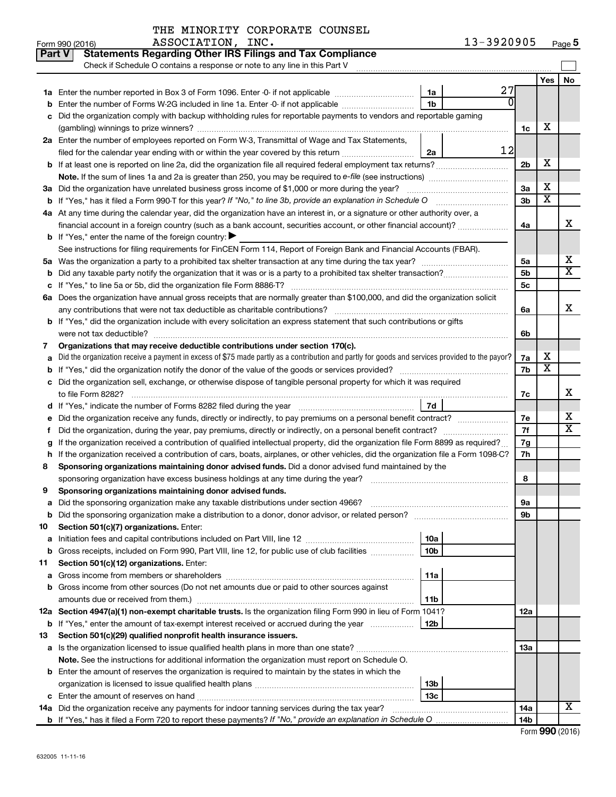|               | IAE MINORIII CORFORAIE COUNSEU<br>13-3920905                                                                                                    |                |                       |                         |
|---------------|-------------------------------------------------------------------------------------------------------------------------------------------------|----------------|-----------------------|-------------------------|
|               | ASSOCIATION, INC.<br>Form 990 (2016)                                                                                                            |                |                       | Page 5                  |
| <b>Part V</b> | <b>Statements Regarding Other IRS Filings and Tax Compliance</b>                                                                                |                |                       |                         |
|               | Check if Schedule O contains a response or note to any line in this Part V                                                                      |                |                       |                         |
|               |                                                                                                                                                 |                | Yes                   | No                      |
|               | 27<br>1a Enter the number reported in Box 3 of Form 1096. Enter -0- if not applicable<br>1a                                                     |                |                       |                         |
| b             | Enter the number of Forms W-2G included in line 1a. Enter -0- if not applicable<br>1b                                                           |                |                       |                         |
| с             | Did the organization comply with backup withholding rules for reportable payments to vendors and reportable gaming                              |                |                       |                         |
|               |                                                                                                                                                 | 1c             | х                     |                         |
|               | 2a Enter the number of employees reported on Form W-3, Transmittal of Wage and Tax Statements,                                                  |                |                       |                         |
|               | 12<br>filed for the calendar year ending with or within the year covered by this return <i>manumumumum</i><br>2a                                |                |                       |                         |
|               | <b>b</b> If at least one is reported on line 2a, did the organization file all required federal employment tax returns?                         | 2 <sub>b</sub> | х                     |                         |
|               |                                                                                                                                                 |                |                       |                         |
|               | 3a Did the organization have unrelated business gross income of \$1,000 or more during the year?                                                | 3a             | X                     |                         |
| b             | If "Yes," has it filed a Form 990-T for this year? If "No," to line 3b, provide an explanation in Schedule O                                    | 3 <sub>b</sub> | $\overline{\text{x}}$ |                         |
|               | 4a At any time during the calendar year, did the organization have an interest in, or a signature or other authority over, a                    |                |                       |                         |
|               | financial account in a foreign country (such as a bank account, securities account, or other financial account)?                                | 4a             |                       | х                       |
|               | <b>b</b> If "Yes," enter the name of the foreign country:                                                                                       |                |                       |                         |
|               | See instructions for filing requirements for FinCEN Form 114, Report of Foreign Bank and Financial Accounts (FBAR).                             |                |                       |                         |
| 5a            |                                                                                                                                                 | 5a             |                       | х                       |
| b             |                                                                                                                                                 | 5 <sub>b</sub> |                       | $\overline{\texttt{x}}$ |
| с             | If "Yes," to line 5a or 5b, did the organization file Form 8886-T?                                                                              | 5c             |                       |                         |
|               | 6a Does the organization have annual gross receipts that are normally greater than \$100,000, and did the organization solicit                  |                |                       |                         |
|               | any contributions that were not tax deductible as charitable contributions?                                                                     | 6a             |                       | x                       |
|               | <b>b</b> If "Yes," did the organization include with every solicitation an express statement that such contributions or gifts                   |                |                       |                         |
|               | were not tax deductible?                                                                                                                        | 6b             |                       |                         |
| 7             | Organizations that may receive deductible contributions under section 170(c).                                                                   |                |                       |                         |
| a             | Did the organization receive a payment in excess of \$75 made partly as a contribution and partly for goods and services provided to the payor? | 7a             | х                     |                         |
|               | If "Yes," did the organization notify the donor of the value of the goods or services provided?                                                 | 7b             | $\overline{\text{X}}$ |                         |
| b             | c Did the organization sell, exchange, or otherwise dispose of tangible personal property for which it was required                             |                |                       |                         |
|               |                                                                                                                                                 |                |                       | х                       |
|               | to file Form 8282?<br>7d                                                                                                                        | 7c             |                       |                         |
|               |                                                                                                                                                 |                |                       | х                       |
| е             | Did the organization receive any funds, directly or indirectly, to pay premiums on a personal benefit contract?                                 | 7е             |                       | $\overline{\texttt{x}}$ |
|               |                                                                                                                                                 | 7f             |                       |                         |
|               | If the organization received a contribution of qualified intellectual property, did the organization file Form 8899 as required?                | 7g             |                       |                         |
| h             | If the organization received a contribution of cars, boats, airplanes, or other vehicles, did the organization file a Form 1098-C?              | 7h             |                       |                         |
| 8             | Sponsoring organizations maintaining donor advised funds. Did a donor advised fund maintained by the                                            |                |                       |                         |
|               | sponsoring organization have excess business holdings at any time during the year?                                                              | 8              |                       |                         |
| 9             | Sponsoring organizations maintaining donor advised funds.                                                                                       |                |                       |                         |
| а             | Did the sponsoring organization make any taxable distributions under section 4966?                                                              | 9а             |                       |                         |
| b             |                                                                                                                                                 | 9b             |                       |                         |
| 10            | Section 501(c)(7) organizations. Enter:                                                                                                         |                |                       |                         |
| а             | 10a                                                                                                                                             |                |                       |                         |
| b             | 10 <sub>b</sub><br>Gross receipts, included on Form 990, Part VIII, line 12, for public use of club facilities                                  |                |                       |                         |
| 11            | Section 501(c)(12) organizations. Enter:                                                                                                        |                |                       |                         |
| а             | 11a<br>Gross income from members or shareholders                                                                                                |                |                       |                         |
| b             | Gross income from other sources (Do not net amounts due or paid to other sources against                                                        |                |                       |                         |
|               | 11b                                                                                                                                             |                |                       |                         |
|               | 12a Section 4947(a)(1) non-exempt charitable trusts. Is the organization filing Form 990 in lieu of Form 1041?                                  | 12a            |                       |                         |
| b             | 12 <sub>b</sub><br>If "Yes," enter the amount of tax-exempt interest received or accrued during the year                                        |                |                       |                         |
| 13            | Section 501(c)(29) qualified nonprofit health insurance issuers.                                                                                |                |                       |                         |
| а             | Is the organization licensed to issue qualified health plans in more than one state?                                                            | 1За            |                       |                         |
|               | Note. See the instructions for additional information the organization must report on Schedule O.                                               |                |                       |                         |
|               | <b>b</b> Enter the amount of reserves the organization is required to maintain by the states in which the                                       |                |                       |                         |
|               | 13 <sub>b</sub>                                                                                                                                 |                |                       |                         |
|               | 13 <sub>c</sub>                                                                                                                                 |                |                       |                         |
|               | 14a Did the organization receive any payments for indoor tanning services during the tax year?                                                  | 14a            |                       | $\overline{\mathbf{X}}$ |
|               | <b>b</b> If "Yes," has it filed a Form 720 to report these payments? If "No," provide an explanation in Schedule O                              | 14b            |                       |                         |

| Form 990 (2016) |  |
|-----------------|--|
|-----------------|--|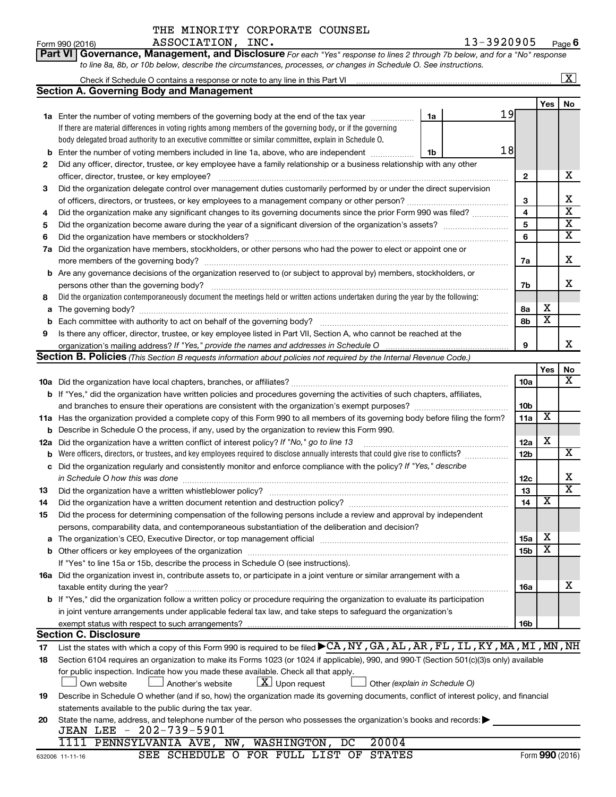|  | Part VI   Governance, Management, and Disclosure For each "Yes" response to lines 2 through 7b below, and for a "No" response |  |  |  |
|--|-------------------------------------------------------------------------------------------------------------------------------|--|--|--|
|  | to line 8a, 8b, or 10b below, describe the circumstances, processes, or changes in Schedule O. See instructions.              |  |  |  |

|                                                                                                                                 |                                                                                                                                                                                                                                |                 |                              | x                             |  |  |
|---------------------------------------------------------------------------------------------------------------------------------|--------------------------------------------------------------------------------------------------------------------------------------------------------------------------------------------------------------------------------|-----------------|------------------------------|-------------------------------|--|--|
|                                                                                                                                 | Section A. Governing Body and Management                                                                                                                                                                                       |                 |                              |                               |  |  |
|                                                                                                                                 |                                                                                                                                                                                                                                |                 | Yes                          | No                            |  |  |
|                                                                                                                                 | 19<br><b>1a</b> Enter the number of voting members of the governing body at the end of the tax year<br>1a                                                                                                                      |                 |                              |                               |  |  |
|                                                                                                                                 | If there are material differences in voting rights among members of the governing body, or if the governing                                                                                                                    |                 |                              |                               |  |  |
|                                                                                                                                 | body delegated broad authority to an executive committee or similar committee, explain in Schedule O.                                                                                                                          |                 |                              |                               |  |  |
| b                                                                                                                               | 18<br>Enter the number of voting members included in line 1a, above, who are independent<br>1b                                                                                                                                 |                 |                              |                               |  |  |
| 2                                                                                                                               | Did any officer, director, trustee, or key employee have a family relationship or a business relationship with any other                                                                                                       |                 |                              |                               |  |  |
|                                                                                                                                 | officer, director, trustee, or key employee?                                                                                                                                                                                   | $\mathbf{2}$    |                              | x                             |  |  |
| 3                                                                                                                               | Did the organization delegate control over management duties customarily performed by or under the direct supervision                                                                                                          |                 |                              |                               |  |  |
|                                                                                                                                 |                                                                                                                                                                                                                                | 3               |                              | x                             |  |  |
| 4                                                                                                                               | Did the organization make any significant changes to its governing documents since the prior Form 990 was filed?                                                                                                               | 4               |                              | $\overline{\mathtt{x}}$       |  |  |
| 5                                                                                                                               |                                                                                                                                                                                                                                | 5               |                              | $\overline{\textbf{x}}$       |  |  |
| 6                                                                                                                               | Did the organization have members or stockholders?                                                                                                                                                                             | 6               |                              | $\overline{\mathtt{x}}$       |  |  |
| 7a                                                                                                                              | Did the organization have members, stockholders, or other persons who had the power to elect or appoint one or                                                                                                                 |                 |                              |                               |  |  |
|                                                                                                                                 |                                                                                                                                                                                                                                | 7a              |                              | х                             |  |  |
|                                                                                                                                 | b Are any governance decisions of the organization reserved to (or subject to approval by) members, stockholders, or                                                                                                           |                 |                              |                               |  |  |
|                                                                                                                                 | persons other than the governing body?                                                                                                                                                                                         | 7b              |                              | х                             |  |  |
| 8                                                                                                                               | Did the organization contemporaneously document the meetings held or written actions undertaken during the year by the following:                                                                                              |                 |                              |                               |  |  |
| a                                                                                                                               |                                                                                                                                                                                                                                | 8а              | х<br>$\overline{\textbf{x}}$ |                               |  |  |
| b                                                                                                                               | Each committee with authority to act on behalf of the governing body?                                                                                                                                                          | 8b              |                              |                               |  |  |
| 9                                                                                                                               | Is there any officer, director, trustee, or key employee listed in Part VII, Section A, who cannot be reached at the                                                                                                           |                 |                              | x                             |  |  |
|                                                                                                                                 | Section B. Policies (This Section B requests information about policies not required by the Internal Revenue Code.)                                                                                                            | 9               |                              |                               |  |  |
|                                                                                                                                 |                                                                                                                                                                                                                                |                 | Yes                          |                               |  |  |
|                                                                                                                                 |                                                                                                                                                                                                                                | 10a             |                              | No<br>$\overline{\mathbf{X}}$ |  |  |
|                                                                                                                                 | <b>b</b> If "Yes," did the organization have written policies and procedures governing the activities of such chapters, affiliates,                                                                                            |                 |                              |                               |  |  |
|                                                                                                                                 |                                                                                                                                                                                                                                | 10 <sub>b</sub> |                              |                               |  |  |
| 11a Has the organization provided a complete copy of this Form 990 to all members of its governing body before filing the form? |                                                                                                                                                                                                                                |                 |                              |                               |  |  |
| Describe in Schedule O the process, if any, used by the organization to review this Form 990.<br>b                              |                                                                                                                                                                                                                                |                 |                              |                               |  |  |
| 12a                                                                                                                             | Did the organization have a written conflict of interest policy? If "No," go to line 13                                                                                                                                        |                 |                              |                               |  |  |
| b                                                                                                                               | Were officers, directors, or trustees, and key employees required to disclose annually interests that could give rise to conflicts?                                                                                            | 12 <sub>b</sub> |                              | X                             |  |  |
| с                                                                                                                               | Did the organization regularly and consistently monitor and enforce compliance with the policy? If "Yes," describe                                                                                                             |                 |                              |                               |  |  |
|                                                                                                                                 | in Schedule O how this was done                                                                                                                                                                                                | 12c             |                              | х                             |  |  |
| 13                                                                                                                              | Did the organization have a written whistleblower policy?                                                                                                                                                                      | 13              |                              | $\overline{\mathtt{x}}$       |  |  |
| 14                                                                                                                              | Did the organization have a written document retention and destruction policy?                                                                                                                                                 | 14              | x                            |                               |  |  |
| 15                                                                                                                              | Did the process for determining compensation of the following persons include a review and approval by independent                                                                                                             |                 |                              |                               |  |  |
|                                                                                                                                 | persons, comparability data, and contemporaneous substantiation of the deliberation and decision?                                                                                                                              |                 |                              |                               |  |  |
| а                                                                                                                               | The organization's CEO, Executive Director, or top management official manufactured content of the organization's CEO, Executive Director, or top management official manufactured content of the organization's CEO, Executiv | 15a             | Х                            |                               |  |  |
| b                                                                                                                               | Other officers or key employees of the organization                                                                                                                                                                            | 15 <sub>b</sub> | $\overline{\texttt{x}}$      |                               |  |  |
|                                                                                                                                 | If "Yes" to line 15a or 15b, describe the process in Schedule O (see instructions).                                                                                                                                            |                 |                              |                               |  |  |
|                                                                                                                                 | 16a Did the organization invest in, contribute assets to, or participate in a joint venture or similar arrangement with a                                                                                                      |                 |                              |                               |  |  |
|                                                                                                                                 | taxable entity during the year?                                                                                                                                                                                                | 16a             |                              | х                             |  |  |
|                                                                                                                                 | b If "Yes," did the organization follow a written policy or procedure requiring the organization to evaluate its participation                                                                                                 |                 |                              |                               |  |  |
|                                                                                                                                 | in joint venture arrangements under applicable federal tax law, and take steps to safeguard the organization's                                                                                                                 |                 |                              |                               |  |  |
|                                                                                                                                 | exempt status with respect to such arrangements?<br><b>Section C. Disclosure</b>                                                                                                                                               | 16b             |                              |                               |  |  |
|                                                                                                                                 | List the states with which a copy of this Form 990 is required to be filed CA, NY, GA, AL, AR, FL, IL, KY, MA, MI, MN, NH                                                                                                      |                 |                              |                               |  |  |
| 17<br>18                                                                                                                        | Section 6104 requires an organization to make its Forms 1023 (or 1024 if applicable), 990, and 990-T (Section 501(c)(3)s only) available                                                                                       |                 |                              |                               |  |  |
|                                                                                                                                 | for public inspection. Indicate how you made these available. Check all that apply.                                                                                                                                            |                 |                              |                               |  |  |
|                                                                                                                                 | $ \underline{X} $ Upon request<br>Other (explain in Schedule O)<br>Another's website<br>Own website                                                                                                                            |                 |                              |                               |  |  |
| 19                                                                                                                              | Describe in Schedule O whether (and if so, how) the organization made its governing documents, conflict of interest policy, and financial                                                                                      |                 |                              |                               |  |  |
|                                                                                                                                 | statements available to the public during the tax year.                                                                                                                                                                        |                 |                              |                               |  |  |
| 20                                                                                                                              | State the name, address, and telephone number of the person who possesses the organization's books and records:                                                                                                                |                 |                              |                               |  |  |
|                                                                                                                                 |                                                                                                                                                                                                                                |                 |                              |                               |  |  |

| JEAN LEE - 202-739-5901 |  |  |  |
|-------------------------|--|--|--|

|          | 1111 PENNSYLVANIA AVE, NW, WASHINGTON, DC 20004 |                                        |  |  |  |
|----------|-------------------------------------------------|----------------------------------------|--|--|--|
| 11-11-16 |                                                 | SEE SCHEDULE O FOR FULL LIST OF STATES |  |  |  |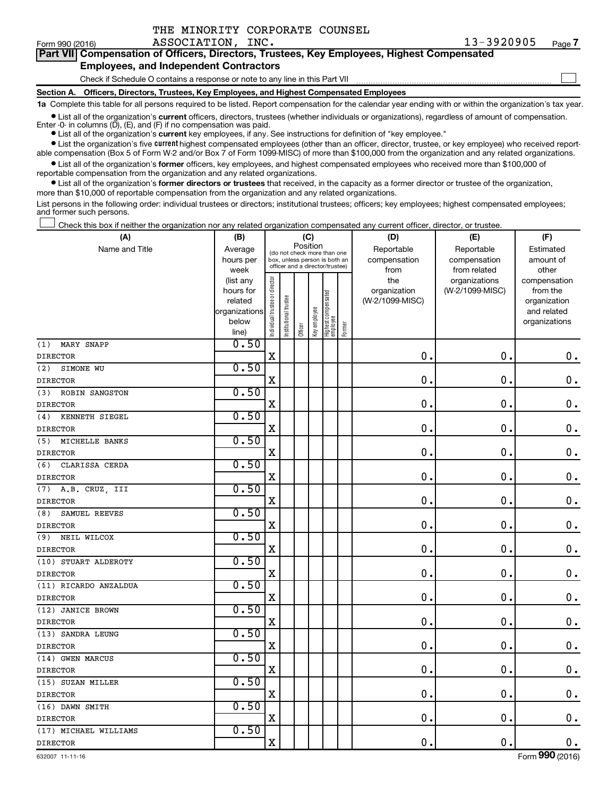| Form 990 (2016) | ASSOCIATION, INC.                                                                          | 13-3920905 | Page 7 |
|-----------------|--------------------------------------------------------------------------------------------|------------|--------|
|                 | Part VII Compensation of Officers, Directors, Trustees, Key Employees, Highest Compensated |            |        |
|                 | <b>Employees, and Independent Contractors</b>                                              |            |        |
|                 | Check if Schedule O contains a response or note to any line in this Part VII               |            |        |
|                 | Section A. Officers, Directors, Trustees, Key Employees, and Highest Compensated Employees |            |        |

**1a**  Complete this table for all persons required to be listed. Report compensation for the calendar year ending with or within the organization's tax year.

**•** List all of the organization's current officers, directors, trustees (whether individuals or organizations), regardless of amount of compensation. Enter -0- in columns (D), (E), and (F) if no compensation was paid.

**•** List all of the organization's **current** key employees, if any. See instructions for definition of "key employee."

THE MINORITY CORPORATE COUNSEL

**•** List the organization's five current highest compensated employees (other than an officer, director, trustee, or key employee) who received reportable compensation (Box 5 of Form W-2 and/or Box 7 of Form 1099-MISC) of more than \$100,000 from the organization and any related organizations.

**•** List all of the organization's former officers, key employees, and highest compensated employees who received more than \$100,000 of reportable compensation from the organization and any related organizations.

**•** List all of the organization's former directors or trustees that received, in the capacity as a former director or trustee of the organization, more than \$10,000 of reportable compensation from the organization and any related organizations.

List persons in the following order: individual trustees or directors; institutional trustees; officers; key employees; highest compensated employees; and former such persons.

Check this box if neither the organization nor any related organization compensated any current officer, director, or trustee. †

| (A)                   | (B)            |                                |                       | (C)                                                              |              |                                 |        | (D)             | (E)             | (F)           |
|-----------------------|----------------|--------------------------------|-----------------------|------------------------------------------------------------------|--------------|---------------------------------|--------|-----------------|-----------------|---------------|
| Name and Title        | Average        |                                |                       | Position<br>(do not check more than one                          |              |                                 |        | Reportable      | Reportable      | Estimated     |
|                       | hours per      |                                |                       | box, unless person is both an<br>officer and a director/trustee) |              |                                 |        | compensation    | compensation    | amount of     |
|                       | week           |                                |                       |                                                                  |              |                                 |        | from            | from related    | other         |
|                       | (list any      |                                |                       |                                                                  |              |                                 |        | the             | organizations   | compensation  |
|                       | hours for      |                                |                       |                                                                  |              |                                 |        | organization    | (W-2/1099-MISC) | from the      |
|                       | related        |                                |                       |                                                                  |              |                                 |        | (W-2/1099-MISC) |                 | organization  |
|                       | organizations  |                                |                       |                                                                  |              |                                 |        |                 |                 | and related   |
|                       | below<br>line) | Individual trustee or director | Institutional trustee | Officer                                                          | Key employee | Highest compensated<br>employee | Former |                 |                 | organizations |
| MARY SNAPP<br>(1)     | 0.50           |                                |                       |                                                                  |              |                                 |        |                 |                 |               |
| <b>DIRECTOR</b>       |                | $\mathbf X$                    |                       |                                                                  |              |                                 |        | 0.              | 0               | $\mathbf 0$ . |
| (2)<br>SIMONE WU      | 0.50           |                                |                       |                                                                  |              |                                 |        |                 |                 |               |
| <b>DIRECTOR</b>       |                | Χ                              |                       |                                                                  |              |                                 |        | 0.              | $\pmb{0}$       | $\mathbf 0$ . |
| ROBIN SANGSTON<br>(3) | 0.50           |                                |                       |                                                                  |              |                                 |        |                 |                 |               |
| <b>DIRECTOR</b>       |                | X                              |                       |                                                                  |              |                                 |        | $\mathbf 0$ .   | $\pmb{0}$       | $\mathbf 0$ . |
| (4)<br>KENNETH SIEGEL | 0.50           |                                |                       |                                                                  |              |                                 |        |                 |                 |               |
| <b>DIRECTOR</b>       |                | X                              |                       |                                                                  |              |                                 |        | 0.              | $\mathbf 0$     | $\mathbf 0$ . |
| MICHELLE BANKS<br>(5) | 0.50           |                                |                       |                                                                  |              |                                 |        |                 |                 |               |
| <b>DIRECTOR</b>       |                | $\mathbf X$                    |                       |                                                                  |              |                                 |        | 0.              | 0               | $\mathbf 0$ . |
| (6)<br>CLARISSA CERDA | 0.50           |                                |                       |                                                                  |              |                                 |        |                 |                 |               |
| <b>DIRECTOR</b>       |                | X                              |                       |                                                                  |              |                                 |        | $\mathbf 0$ .   | $\mathbf 0$     | $\mathbf 0$ . |
| (7)<br>A.B. CRUZ, III | 0.50           |                                |                       |                                                                  |              |                                 |        |                 |                 |               |
| <b>DIRECTOR</b>       |                | $\mathbf X$                    |                       |                                                                  |              |                                 |        | $\mathbf 0$ .   | $\mathbf 0$     | $\mathbf 0$ . |
| SAMUEL REEVES<br>(8)  | 0.50           |                                |                       |                                                                  |              |                                 |        |                 |                 |               |
| <b>DIRECTOR</b>       |                | X                              |                       |                                                                  |              |                                 |        | 0.              | $\mathbf 0$     | $\mathbf 0$ . |
| NEIL WILCOX<br>(9)    | 0.50           |                                |                       |                                                                  |              |                                 |        |                 |                 |               |
| <b>DIRECTOR</b>       |                | $\mathbf X$                    |                       |                                                                  |              |                                 |        | 0.              | 0               | $\mathbf 0$ . |
| (10) STUART ALDEROTY  | 0.50           |                                |                       |                                                                  |              |                                 |        |                 |                 |               |
| <b>DIRECTOR</b>       |                | X                              |                       |                                                                  |              |                                 |        | $\mathbf 0$ .   | $\mathbf 0$     | $0$ .         |
| (11) RICARDO ANZALDUA | 0.50           |                                |                       |                                                                  |              |                                 |        |                 |                 |               |
| <b>DIRECTOR</b>       |                | $\mathbf X$                    |                       |                                                                  |              |                                 |        | $\mathbf 0$ .   | $\mathbf 0$     | $\mathbf 0$ . |
| (12) JANICE BROWN     | 0.50           |                                |                       |                                                                  |              |                                 |        |                 |                 |               |
| <b>DIRECTOR</b>       |                | X                              |                       |                                                                  |              |                                 |        | $\mathbf 0$ .   | $\pmb{0}$       | $\mathbf 0$ . |
| (13) SANDRA LEUNG     | 0.50           |                                |                       |                                                                  |              |                                 |        |                 |                 |               |
| <b>DIRECTOR</b>       |                | $\mathbf X$                    |                       |                                                                  |              |                                 |        | $\mathbf 0$ .   | 0               | $\mathbf 0$ . |
| (14) GWEN MARCUS      | 0.50           |                                |                       |                                                                  |              |                                 |        |                 |                 |               |
| <b>DIRECTOR</b>       |                | X                              |                       |                                                                  |              |                                 |        | $\mathbf 0$ .   | $\mathbf 0$     | $0$ .         |
| (15) SUZAN MILLER     | 0.50           |                                |                       |                                                                  |              |                                 |        |                 |                 |               |
| <b>DIRECTOR</b>       |                | $\mathbf X$                    |                       |                                                                  |              |                                 |        | $\mathbf 0$ .   | $\mathbf 0$     | $\mathbf 0$ . |
| (16) DAWN SMITH       | 0.50           |                                |                       |                                                                  |              |                                 |        |                 |                 |               |
| <b>DIRECTOR</b>       |                | X                              |                       |                                                                  |              |                                 |        | $\mathbf 0$ .   | $\pmb{0}$       | $\mathbf 0$ . |
| (17) MICHAEL WILLIAMS | 0.50           |                                |                       |                                                                  |              |                                 |        |                 |                 |               |
| <b>DIRECTOR</b>       |                | $\mathbf X$                    |                       |                                                                  |              |                                 |        | 0.              | $\mathbf 0$     | $\mathbf 0$ . |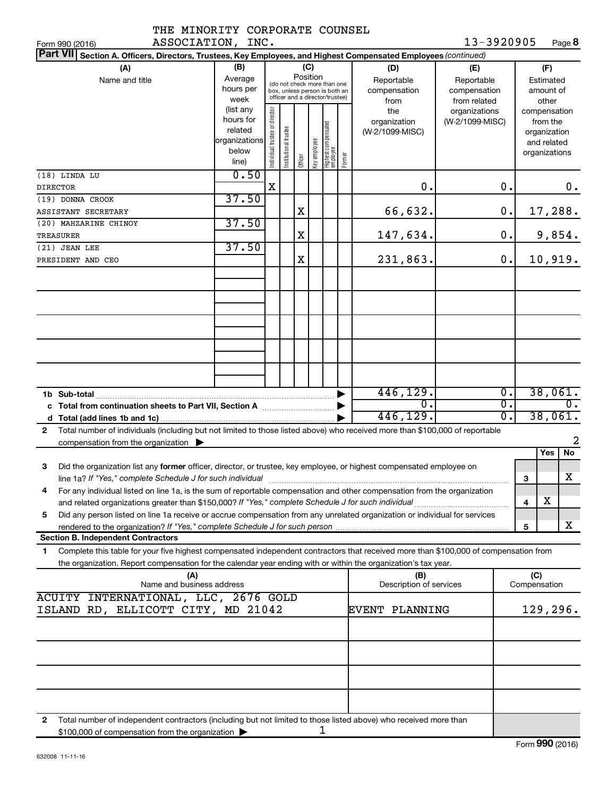| THE MINORITY CORPORATE COUNSEL                                                                                                                                                                                                                              |                                                         |                                                                                                                    |                       |         |              |                                 |        |                                                  |                                                                    |                  |                     |                                                          |
|-------------------------------------------------------------------------------------------------------------------------------------------------------------------------------------------------------------------------------------------------------------|---------------------------------------------------------|--------------------------------------------------------------------------------------------------------------------|-----------------------|---------|--------------|---------------------------------|--------|--------------------------------------------------|--------------------------------------------------------------------|------------------|---------------------|----------------------------------------------------------|
| ASSOCIATION, INC.<br>Form 990 (2016)                                                                                                                                                                                                                        |                                                         |                                                                                                                    |                       |         |              |                                 |        |                                                  | 13-3920905                                                         |                  |                     | Page 8                                                   |
| Part VII Section A. Officers, Directors, Trustees, Key Employees, and Highest Compensated Employees (continued)                                                                                                                                             |                                                         |                                                                                                                    |                       |         |              |                                 |        |                                                  |                                                                    |                  |                     |                                                          |
| (A)<br>Name and title                                                                                                                                                                                                                                       | (B)<br>Average<br>hours per<br>week<br>(list any        | (C)<br>Position<br>(do not check more than one<br>box, unless person is both an<br>officer and a director/trustee) |                       |         |              |                                 |        | (D)<br>Reportable<br>compensation<br>from<br>the | (E)<br>Reportable<br>compensation<br>from related<br>organizations |                  |                     | (F)<br>Estimated<br>amount of<br>other<br>compensation   |
|                                                                                                                                                                                                                                                             | hours for<br>related<br>organizations<br>below<br>line) | Individual trustee or director                                                                                     | Institutional trustee | Officer | key employee | Highest compensated<br>employee | Former | organization<br>(W-2/1099-MISC)                  | (W-2/1099-MISC)                                                    |                  |                     | from the<br>organization<br>and related<br>organizations |
| (18) LINDA LU                                                                                                                                                                                                                                               | 0.50                                                    | X                                                                                                                  |                       |         |              |                                 |        | 0.                                               |                                                                    | $\mathbf 0$ .    |                     | 0.                                                       |
| <b>DIRECTOR</b><br>(19) DONNA CROOK                                                                                                                                                                                                                         | 37.50                                                   |                                                                                                                    |                       |         |              |                                 |        |                                                  |                                                                    |                  |                     |                                                          |
| ASSISTANT SECRETARY                                                                                                                                                                                                                                         |                                                         |                                                                                                                    |                       | X       |              |                                 |        | 66,632.                                          |                                                                    | 0.               |                     | 17,288.                                                  |
| (20) MAHZARINE CHINOY                                                                                                                                                                                                                                       | 37.50                                                   |                                                                                                                    |                       |         |              |                                 |        |                                                  |                                                                    |                  |                     |                                                          |
| TREASURER                                                                                                                                                                                                                                                   |                                                         |                                                                                                                    |                       | Χ       |              |                                 |        | 147,634.                                         |                                                                    | $\mathbf 0$ .    |                     | 9,854.                                                   |
| (21) JEAN LEE                                                                                                                                                                                                                                               | 37.50                                                   |                                                                                                                    |                       |         |              |                                 |        |                                                  |                                                                    |                  |                     |                                                          |
| PRESIDENT AND CEO                                                                                                                                                                                                                                           |                                                         |                                                                                                                    |                       | X       |              |                                 |        | 231,863.                                         |                                                                    | 0.               |                     | 10,919.                                                  |
|                                                                                                                                                                                                                                                             |                                                         |                                                                                                                    |                       |         |              |                                 |        |                                                  |                                                                    |                  |                     |                                                          |
|                                                                                                                                                                                                                                                             |                                                         |                                                                                                                    |                       |         |              |                                 |        |                                                  |                                                                    |                  |                     |                                                          |
|                                                                                                                                                                                                                                                             |                                                         |                                                                                                                    |                       |         |              |                                 |        |                                                  |                                                                    |                  |                     |                                                          |
| 1b Sub-total                                                                                                                                                                                                                                                |                                                         |                                                                                                                    |                       |         |              |                                 |        | 446, 129.                                        |                                                                    | $\overline{0}$ . |                     | 38,061.                                                  |
|                                                                                                                                                                                                                                                             |                                                         |                                                                                                                    |                       |         |              |                                 |        | $\overline{0}$ .                                 |                                                                    | σ.               |                     | $\overline{0}$ .                                         |
|                                                                                                                                                                                                                                                             |                                                         |                                                                                                                    |                       |         |              |                                 |        | 446,129.                                         |                                                                    | σ.               |                     | 38,061.                                                  |
| Total number of individuals (including but not limited to those listed above) who received more than \$100,000 of reportable<br>$\mathbf{2}$                                                                                                                |                                                         |                                                                                                                    |                       |         |              |                                 |        |                                                  |                                                                    |                  |                     | $\overline{2}$                                           |
| compensation from the organization $\blacktriangleright$                                                                                                                                                                                                    |                                                         |                                                                                                                    |                       |         |              |                                 |        |                                                  |                                                                    |                  |                     | No<br>Yes                                                |
| Did the organization list any former officer, director, or trustee, key employee, or highest compensated employee on<br>з                                                                                                                                   |                                                         |                                                                                                                    |                       |         |              |                                 |        |                                                  |                                                                    |                  |                     | $\mathbf X$                                              |
| line 1a? If "Yes," complete Schedule J for such individual material content content content for the content of                                                                                                                                              |                                                         |                                                                                                                    |                       |         |              |                                 |        |                                                  |                                                                    |                  | З                   |                                                          |
| For any individual listed on line 1a, is the sum of reportable compensation and other compensation from the organization<br>4                                                                                                                               |                                                         |                                                                                                                    |                       |         |              |                                 |        |                                                  |                                                                    |                  | 4                   | х                                                        |
| Did any person listed on line 1a receive or accrue compensation from any unrelated organization or individual for services<br>5                                                                                                                             |                                                         |                                                                                                                    |                       |         |              |                                 |        |                                                  |                                                                    |                  |                     |                                                          |
|                                                                                                                                                                                                                                                             |                                                         |                                                                                                                    |                       |         |              |                                 |        |                                                  |                                                                    |                  | 5                   | x                                                        |
| <b>Section B. Independent Contractors</b>                                                                                                                                                                                                                   |                                                         |                                                                                                                    |                       |         |              |                                 |        |                                                  |                                                                    |                  |                     |                                                          |
| Complete this table for your five highest compensated independent contractors that received more than \$100,000 of compensation from<br>1<br>the organization. Report compensation for the calendar year ending with or within the organization's tax year. |                                                         |                                                                                                                    |                       |         |              |                                 |        |                                                  |                                                                    |                  |                     |                                                          |
| (A)<br>Name and business address                                                                                                                                                                                                                            |                                                         |                                                                                                                    |                       |         |              |                                 |        | (B)<br>Description of services                   |                                                                    |                  | (C)<br>Compensation |                                                          |
| ACUITY INTERNATIONAL, LLC, 2676 GOLD<br>ISLAND RD, ELLICOTT CITY, MD 21042                                                                                                                                                                                  |                                                         |                                                                                                                    |                       |         |              |                                 |        | <b>EVENT PLANNING</b>                            |                                                                    |                  |                     | 129, 296.                                                |
|                                                                                                                                                                                                                                                             |                                                         |                                                                                                                    |                       |         |              |                                 |        |                                                  |                                                                    |                  |                     |                                                          |
|                                                                                                                                                                                                                                                             |                                                         |                                                                                                                    |                       |         |              |                                 |        |                                                  |                                                                    |                  |                     |                                                          |
|                                                                                                                                                                                                                                                             |                                                         |                                                                                                                    |                       |         |              |                                 |        |                                                  |                                                                    |                  |                     |                                                          |
|                                                                                                                                                                                                                                                             |                                                         |                                                                                                                    |                       |         |              |                                 |        |                                                  |                                                                    |                  |                     |                                                          |
| 2                                                                                                                                                                                                                                                           |                                                         |                                                                                                                    |                       |         |              |                                 |        |                                                  |                                                                    |                  |                     |                                                          |
| Total number of independent contractors (including but not limited to those listed above) who received more than<br>\$100,000 of compensation from the organization                                                                                         |                                                         |                                                                                                                    |                       |         |              | ı                               |        |                                                  |                                                                    |                  |                     |                                                          |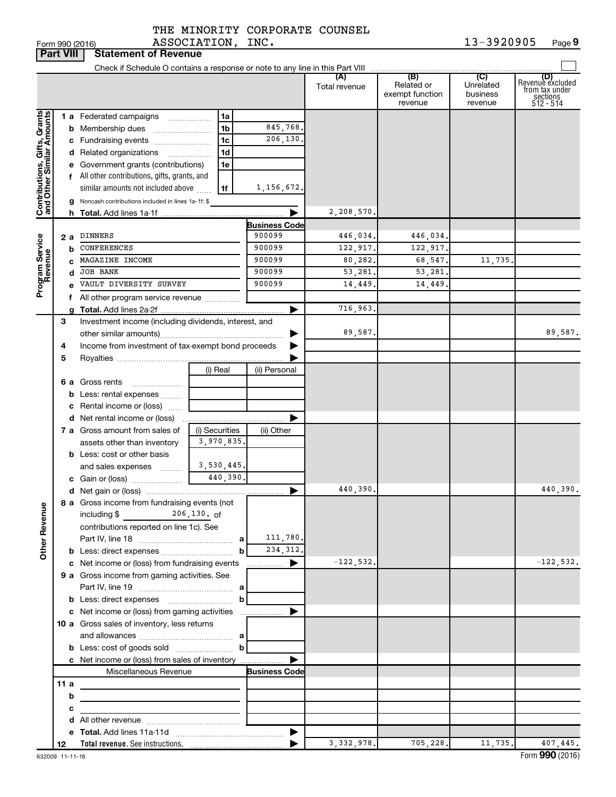| THE MINORITY CORPORATE COUNSEL |           |  |
|--------------------------------|-----------|--|
| 3.7.2.77.77.037                | $- - - -$ |  |

|                                                                                         | <b>Part VIII</b> | <b>Statement of Revenue</b>                                                                                                                                                                                                                                                                                                                                                                                                                |                                                                     |                                  |                                                                                                              |                                                                     |                                                      |                                         |                                                                    |
|-----------------------------------------------------------------------------------------|------------------|--------------------------------------------------------------------------------------------------------------------------------------------------------------------------------------------------------------------------------------------------------------------------------------------------------------------------------------------------------------------------------------------------------------------------------------------|---------------------------------------------------------------------|----------------------------------|--------------------------------------------------------------------------------------------------------------|---------------------------------------------------------------------|------------------------------------------------------|-----------------------------------------|--------------------------------------------------------------------|
|                                                                                         |                  |                                                                                                                                                                                                                                                                                                                                                                                                                                            |                                                                     |                                  |                                                                                                              |                                                                     |                                                      |                                         |                                                                    |
|                                                                                         |                  |                                                                                                                                                                                                                                                                                                                                                                                                                                            |                                                                     |                                  |                                                                                                              | (A)<br>Total revenue                                                | (B)<br>Related or<br>exempt function<br>revenue      | (C)<br>Unrelated<br>business<br>revenue | (D)<br>Revenue excluded<br>from tax under<br>sections<br>512 - 514 |
| Contributions, Gifts, Grants<br>and Other Similar Amounts<br>Program Service<br>Revenue | b                | 1 a Federated campaigns<br><b>b</b> Membership dues<br>c Fundraising events<br>d Related organizations<br>e Government grants (contributions)<br>f All other contributions, gifts, grants, and<br>similar amounts not included above<br>g Noncash contributions included in lines 1a-1f: \$<br>2 a DINNERS<br><b>CONFERENCES</b><br>MAGAZINE INCOME<br><b>JOB BANK</b><br>d<br>VAULT DIVERSITY SURVEY<br>All other program service revenue | .                                                                   | 1a<br>1b<br>1c<br>1d<br>1e<br>1f | 845,768.<br>206,130.<br>1,156,672.<br><b>Business Code</b><br>900099<br>900099<br>900099<br>900099<br>900099 | 2,208,570.<br>446,034.<br>122,917.<br>80,282.<br>53,281.<br>14,449. | 446,034.<br>122,917.<br>68,547.<br>53,281.<br>14,449 | 11,735                                  |                                                                    |
|                                                                                         |                  |                                                                                                                                                                                                                                                                                                                                                                                                                                            |                                                                     |                                  |                                                                                                              | 716,963.                                                            |                                                      |                                         |                                                                    |
|                                                                                         | 3<br>4<br>5      | Investment income (including dividends, interest, and<br>Income from investment of tax-exempt bond proceeds                                                                                                                                                                                                                                                                                                                                |                                                                     |                                  |                                                                                                              | 89,587.                                                             |                                                      |                                         | 89,587.                                                            |
|                                                                                         |                  | 6 a Gross rents<br><b>b</b> Less: rental expenses<br>c Rental income or (loss)                                                                                                                                                                                                                                                                                                                                                             |                                                                     | (i) Real                         | (ii) Personal                                                                                                |                                                                     |                                                      |                                         |                                                                    |
|                                                                                         |                  | 7 a Gross amount from sales of<br>assets other than inventory<br><b>b</b> Less: cost or other basis                                                                                                                                                                                                                                                                                                                                        |                                                                     | (i) Securities<br>3,970,835.     | (ii) Other                                                                                                   |                                                                     |                                                      |                                         |                                                                    |
|                                                                                         |                  | and sales expenses                                                                                                                                                                                                                                                                                                                                                                                                                         |                                                                     | 3,530,445.<br>440,390.           | ▶                                                                                                            | 440,390.                                                            |                                                      |                                         | 440,390.                                                           |
| <b>Other Revenue</b>                                                                    |                  | 8 a Gross income from fundraising events (not<br>including \$<br>contributions reported on line 1c). See                                                                                                                                                                                                                                                                                                                                   | 206,130. of                                                         | b                                | 111,780.<br>234, 312.                                                                                        |                                                                     |                                                      |                                         |                                                                    |
|                                                                                         |                  | c Net income or (loss) from fundraising events<br>9 a Gross income from gaming activities. See                                                                                                                                                                                                                                                                                                                                             |                                                                     |                                  | ▶<br>.                                                                                                       | $-122,532.$                                                         |                                                      |                                         | $-122,532.$                                                        |
|                                                                                         |                  | c Net income or (loss) from gaming activities<br>10 a Gross sales of inventory, less returns                                                                                                                                                                                                                                                                                                                                               |                                                                     | b<br>$\mathbf b$                 |                                                                                                              |                                                                     |                                                      |                                         |                                                                    |
|                                                                                         |                  | c Net income or (loss) from sales of inventory                                                                                                                                                                                                                                                                                                                                                                                             |                                                                     |                                  |                                                                                                              |                                                                     |                                                      |                                         |                                                                    |
|                                                                                         | 11a              |                                                                                                                                                                                                                                                                                                                                                                                                                                            | Miscellaneous Revenue                                               |                                  | <b>Business Code</b>                                                                                         |                                                                     |                                                      |                                         |                                                                    |
|                                                                                         | b                |                                                                                                                                                                                                                                                                                                                                                                                                                                            | <u> 1989 - Johann Stein, mars an deus Amerikaansk kommunister (</u> |                                  |                                                                                                              |                                                                     |                                                      |                                         |                                                                    |
|                                                                                         | с                |                                                                                                                                                                                                                                                                                                                                                                                                                                            | the control of the control of the control of the control of the     |                                  |                                                                                                              |                                                                     |                                                      |                                         |                                                                    |
|                                                                                         |                  |                                                                                                                                                                                                                                                                                                                                                                                                                                            |                                                                     |                                  |                                                                                                              |                                                                     |                                                      |                                         |                                                                    |
|                                                                                         |                  |                                                                                                                                                                                                                                                                                                                                                                                                                                            |                                                                     |                                  | $\blacktriangleright$                                                                                        |                                                                     |                                                      |                                         |                                                                    |
|                                                                                         | 12               |                                                                                                                                                                                                                                                                                                                                                                                                                                            |                                                                     |                                  |                                                                                                              | 3, 332, 978.                                                        | 705, 228.                                            | 11,735.                                 | 407,445.                                                           |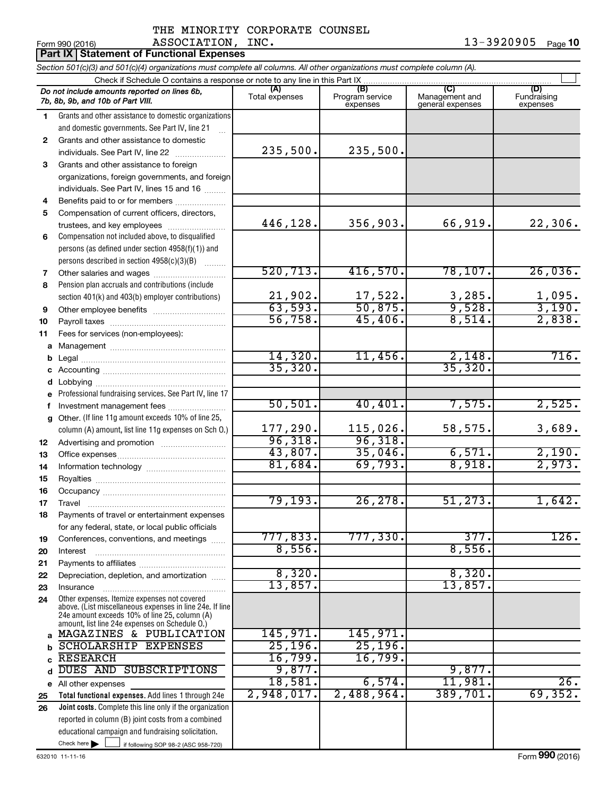|              | <b>Part IX Statement of Functional Expenses</b>                                                                                                           |                         |                                    |                                           |                                |
|--------------|-----------------------------------------------------------------------------------------------------------------------------------------------------------|-------------------------|------------------------------------|-------------------------------------------|--------------------------------|
|              | Section 501(c)(3) and 501(c)(4) organizations must complete all columns. All other organizations must complete column (A).                                |                         |                                    |                                           |                                |
|              | Check if Schedule O contains a response or note to any line in this Part IX.                                                                              |                         |                                    |                                           |                                |
|              | Do not include amounts reported on lines 6b,<br>7b, 8b, 9b, and 10b of Part VIII.                                                                         | (A)<br>Total expenses   | (B)<br>Program service<br>expenses | (C)<br>Management and<br>general expenses | (D)<br>Fundraising<br>expenses |
| 1.           | Grants and other assistance to domestic organizations                                                                                                     |                         |                                    |                                           |                                |
|              | and domestic governments. See Part IV, line 21                                                                                                            |                         |                                    |                                           |                                |
| $\mathbf{2}$ | Grants and other assistance to domestic                                                                                                                   |                         |                                    |                                           |                                |
|              | individuals. See Part IV, line 22                                                                                                                         | 235,500.                | 235,500.                           |                                           |                                |
| 3            | Grants and other assistance to foreign                                                                                                                    |                         |                                    |                                           |                                |
|              | organizations, foreign governments, and foreign                                                                                                           |                         |                                    |                                           |                                |
|              | individuals. See Part IV, lines 15 and 16                                                                                                                 |                         |                                    |                                           |                                |
| 4            | Benefits paid to or for members                                                                                                                           |                         |                                    |                                           |                                |
| 5            | Compensation of current officers, directors,                                                                                                              | 446,128.                | 356,903.                           | 66,919.                                   | 22,306.                        |
|              | trustees, and key employees                                                                                                                               |                         |                                    |                                           |                                |
| 6            | Compensation not included above, to disqualified<br>persons (as defined under section 4958(f)(1)) and                                                     |                         |                                    |                                           |                                |
|              | persons described in section 4958(c)(3)(B)                                                                                                                |                         |                                    |                                           |                                |
| 7            |                                                                                                                                                           | 520, 713.               | 416,570.                           | 78, 107.                                  | 26,036.                        |
| 8            | Pension plan accruals and contributions (include                                                                                                          |                         |                                    |                                           |                                |
|              | section 401(k) and 403(b) employer contributions)                                                                                                         |                         |                                    |                                           |                                |
| 9            |                                                                                                                                                           | $\frac{21,902}{63,593}$ | $\frac{17,522}{50,875}$            | $\frac{3,285}{9,528}$                     | $\frac{1,095}{3,190}$ .        |
| 10           |                                                                                                                                                           | 56,758.                 | 45,406.                            | 8,514.                                    | 2,838.                         |
| 11           | Fees for services (non-employees):                                                                                                                        |                         |                                    |                                           |                                |
| a            |                                                                                                                                                           |                         |                                    |                                           |                                |
| b            |                                                                                                                                                           | 14,320.                 | 11,456.                            | 2,148.                                    | 716.                           |
| c            |                                                                                                                                                           | 35, 320.                |                                    | 35,320.                                   |                                |
| d            |                                                                                                                                                           |                         |                                    |                                           |                                |
| e            | Professional fundraising services. See Part IV, line 17                                                                                                   |                         |                                    |                                           |                                |
| f            | Investment management fees                                                                                                                                | 50, 501.                | 40,401.                            | 7,575.                                    | 2,525.                         |
| q            | Other. (If line 11g amount exceeds 10% of line 25,                                                                                                        |                         |                                    |                                           |                                |
|              | column (A) amount, list line 11g expenses on Sch O.)                                                                                                      | 177,290.                | 115,026.                           | 58,575.                                   | 3,689.                         |
| 12           |                                                                                                                                                           | 96,318.                 | 96,318.                            |                                           |                                |
| 13           |                                                                                                                                                           | 43,807.                 | 35,046.                            | 6,571.                                    | 2,190.                         |
| 14           |                                                                                                                                                           | 81,684.                 | 69,793.                            | 8,918.                                    | 2,973.                         |
| 15           |                                                                                                                                                           |                         |                                    |                                           |                                |
| 16           |                                                                                                                                                           |                         | 26, 278.                           |                                           |                                |
| 17           | Travel                                                                                                                                                    | 79, 193.                |                                    | 51,273.                                   | 1,642.                         |
| 18           | Payments of travel or entertainment expenses                                                                                                              |                         |                                    |                                           |                                |
|              | for any federal, state, or local public officials<br>Conferences, conventions, and meetings                                                               | 777,833.                | 777,330.                           | 377.                                      | 126.                           |
| 19<br>20     | Interest                                                                                                                                                  | 8,556.                  |                                    | 8,556.                                    |                                |
| 21           |                                                                                                                                                           |                         |                                    |                                           |                                |
| 22           | Depreciation, depletion, and amortization                                                                                                                 | 8,320.                  |                                    | 8,320.                                    |                                |
| 23           | Insurance                                                                                                                                                 | 13,857.                 |                                    | 13,857.                                   |                                |
| 24           | Other expenses. Itemize expenses not covered<br>above. (List miscellaneous expenses in line 24e. If line<br>24e amount exceeds 10% of line 25, column (A) |                         |                                    |                                           |                                |
|              | amount, list line 24e expenses on Schedule O.)                                                                                                            |                         |                                    |                                           |                                |
| a            | MAGAZINES & PUBLICATION                                                                                                                                   | 145,971.                | 145,971.                           |                                           |                                |
| b            | <b>SCHOLARSHIP EXPENSES</b>                                                                                                                               | 25, 196.<br>16,799.     | 25, 196.                           |                                           |                                |
| C            | <b>RESEARCH</b><br>DUES AND SUBSCRIPTIONS                                                                                                                 | 9,877.                  | 16,799.                            |                                           |                                |
| d            |                                                                                                                                                           | 18,581.                 | 6,574.                             | 9,877.<br>11,981.                         | 26.                            |
| е            | All other expenses                                                                                                                                        | 2,948,017.              | 2,488,964.                         | 389,701.                                  | 69, 352.                       |
| 25<br>26     | Total functional expenses. Add lines 1 through 24e<br>Joint costs. Complete this line only if the organization                                            |                         |                                    |                                           |                                |
|              | reported in column (B) joint costs from a combined                                                                                                        |                         |                                    |                                           |                                |
|              | educational campaign and fundraising solicitation.                                                                                                        |                         |                                    |                                           |                                |
|              | Check here $\blacktriangleright$<br>if following SOP 98-2 (ASC 958-720)                                                                                   |                         |                                    |                                           |                                |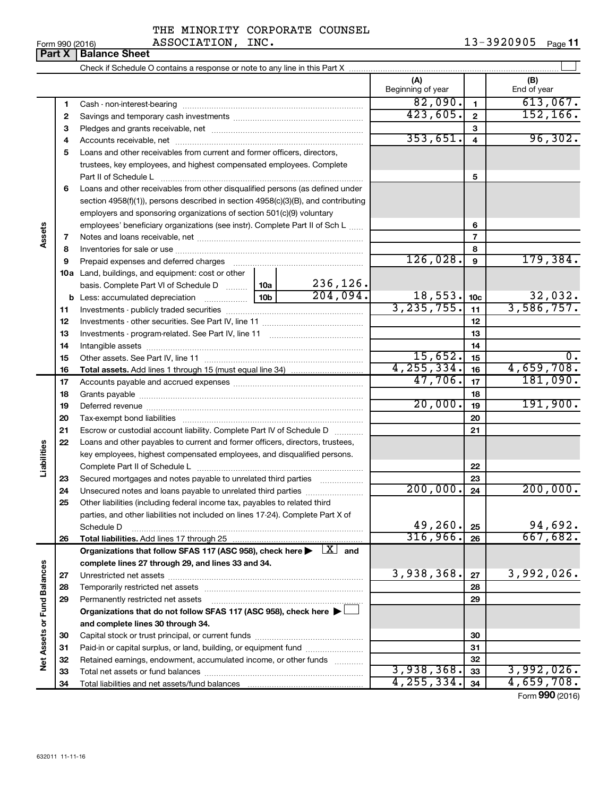| - - - - - - - - - - - -        |  |
|--------------------------------|--|
| THE MINORITY CORPORATE COUNSEL |  |

 $_{\rm Form}$   $_{990}$  (2016)  $_{\rm Page}$  <code>11</code>

|                             | Part X | <b>Balance Sheet</b>                                                                                                         |              |          |                          |                  |                    |
|-----------------------------|--------|------------------------------------------------------------------------------------------------------------------------------|--------------|----------|--------------------------|------------------|--------------------|
|                             |        |                                                                                                                              |              |          |                          |                  |                    |
|                             |        |                                                                                                                              |              |          | (A)<br>Beginning of year |                  | (B)<br>End of year |
|                             | 1      |                                                                                                                              |              |          | 82,090.                  | $\mathbf{1}$     | 613,067.           |
|                             | 2      |                                                                                                                              |              |          | 423,605.                 | $\mathbf{2}$     | 152, 166.          |
|                             | 3      |                                                                                                                              |              |          |                          | З                |                    |
|                             | 4      |                                                                                                                              |              |          | 353,651.                 | 4                | 96,302.            |
|                             | 5      | Loans and other receivables from current and former officers, directors,                                                     |              |          |                          |                  |                    |
|                             |        | trustees, key employees, and highest compensated employees. Complete                                                         |              |          |                          |                  |                    |
|                             |        | Part II of Schedule L                                                                                                        |              |          |                          | 5                |                    |
|                             | 6      | Loans and other receivables from other disqualified persons (as defined under                                                |              |          |                          |                  |                    |
|                             |        | section $4958(f)(1)$ , persons described in section $4958(c)(3)(B)$ , and contributing                                       |              |          |                          |                  |                    |
|                             |        | employers and sponsoring organizations of section 501(c)(9) voluntary                                                        |              |          |                          |                  |                    |
|                             |        | employees' beneficiary organizations (see instr). Complete Part II of Sch L                                                  |              |          |                          | 6                |                    |
| Assets                      | 7      |                                                                                                                              |              |          |                          | 7                |                    |
|                             | 8      |                                                                                                                              |              |          | 8                        |                  |                    |
|                             | 9      |                                                                                                                              |              |          | 126,028.                 | 9                | 179,384.           |
|                             |        | 10a Land, buildings, and equipment: cost or other                                                                            |              |          |                          |                  |                    |
|                             |        | basis. Complete Part VI of Schedule D    10a                                                                                 |              | 236,126. |                          |                  |                    |
|                             |        |                                                                                                                              |              | 204,094. | 18,553.                  | 10 <sub>c</sub>  | 32,032.            |
|                             | 11     |                                                                                                                              |              |          | 3, 235, 755.             | 11               | 3,586,757.         |
|                             | 12     |                                                                                                                              |              |          |                          | 12               |                    |
|                             | 13     |                                                                                                                              |              | 13       |                          |                  |                    |
|                             | 14     |                                                                                                                              |              |          |                          | 14               |                    |
|                             | 15     |                                                                                                                              |              | 15,652.  | 15                       | $\overline{0}$ . |                    |
|                             | 16     |                                                                                                                              | 4, 255, 334. | 16       | 4,659,708.               |                  |                    |
|                             | 17     |                                                                                                                              |              | 47,706.  | 17                       | 181,090.         |                    |
|                             | 18     |                                                                                                                              |              |          | 18                       |                  |                    |
|                             | 19     |                                                                                                                              |              |          | 20,000.                  | 19               | 191,900.           |
|                             | 20     |                                                                                                                              |              |          |                          | 20               |                    |
|                             | 21     | Escrow or custodial account liability. Complete Part IV of Schedule D                                                        |              |          |                          | 21               |                    |
|                             | 22     | Loans and other payables to current and former officers, directors, trustees,                                                |              |          |                          |                  |                    |
| Liabilities                 |        | key employees, highest compensated employees, and disqualified persons.                                                      |              |          |                          |                  |                    |
|                             |        |                                                                                                                              |              |          |                          | 22               |                    |
|                             | 23     | Secured mortgages and notes payable to unrelated third parties                                                               |              |          |                          | 23               |                    |
|                             | 24     |                                                                                                                              |              |          | 200,000.                 | 24               | 200,000.           |
|                             | 25     | Other liabilities (including federal income tax, payables to related third                                                   |              |          |                          |                  |                    |
|                             |        | parties, and other liabilities not included on lines 17-24). Complete Part X of                                              |              |          |                          |                  |                    |
|                             |        | Schedule D                                                                                                                   |              |          | 49,260.                  | 25               | 94,692.            |
|                             | 26     | Total liabilities. Add lines 17 through 25                                                                                   |              |          | 316,966.                 | 26               | 667,682.           |
|                             |        | Organizations that follow SFAS 117 (ASC 958), check here $\blacktriangleright \begin{array}{c} \boxed{X} \\ \end{array}$ and |              |          |                          |                  |                    |
|                             |        | complete lines 27 through 29, and lines 33 and 34.                                                                           |              |          |                          |                  |                    |
|                             | 27     |                                                                                                                              |              |          | 3,938,368.               | 27               | 3,992,026.         |
|                             | 28     |                                                                                                                              |              | 28       |                          |                  |                    |
|                             | 29     | Permanently restricted net assets                                                                                            |              |          |                          | 29               |                    |
|                             |        | Organizations that do not follow SFAS 117 (ASC 958), check here $\blacktriangleright$                                        |              |          |                          |                  |                    |
|                             |        | and complete lines 30 through 34.                                                                                            |              |          |                          |                  |                    |
|                             | 30     |                                                                                                                              |              |          |                          | 30               |                    |
|                             | 31     | Paid-in or capital surplus, or land, building, or equipment fund                                                             |              |          |                          | 31               |                    |
| Net Assets or Fund Balances | 32     | Retained earnings, endowment, accumulated income, or other funds                                                             |              |          |                          | 32               |                    |
|                             | 33     |                                                                                                                              |              |          | 3,938,368.               | 33               | 3,992,026.         |
|                             | 34     |                                                                                                                              |              |          | 4, 255, 334.             | 34               | 4,659,708.         |

Form (2016) **990**

# ASSOCIATION, INC.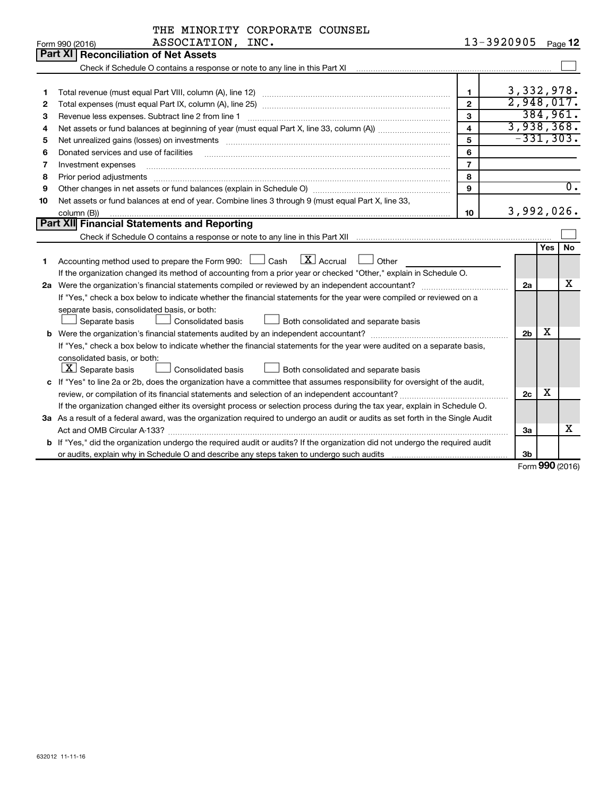|    | THE MINORITY CORPORATE COUNSEL                                                                                                  |                         |                |     |                  |
|----|---------------------------------------------------------------------------------------------------------------------------------|-------------------------|----------------|-----|------------------|
|    | ASSOCIATION, INC.<br>Form 990 (2016)                                                                                            |                         | 13-3920905     |     | Page 12          |
|    | <b>Part XI   Reconciliation of Net Assets</b>                                                                                   |                         |                |     |                  |
|    |                                                                                                                                 |                         |                |     |                  |
|    |                                                                                                                                 |                         |                |     |                  |
| 1  | Total revenue (must equal Part VIII, column (A), line 12)                                                                       | $\mathbf{1}$            | 3,332,978.     |     |                  |
| 2  |                                                                                                                                 | $\overline{2}$          | 2,948,017.     |     |                  |
| з  | Revenue less expenses. Subtract line 2 from line 1                                                                              | 3                       |                |     | 384,961.         |
| 4  |                                                                                                                                 | $\overline{\mathbf{4}}$ | 3,938,368.     |     |                  |
| 5  |                                                                                                                                 | 5                       | $-331, 303.$   |     |                  |
| 6  | Donated services and use of facilities                                                                                          | 6                       |                |     |                  |
| 7  | Investment expenses                                                                                                             | $\overline{7}$          |                |     |                  |
| 8  | Prior period adjustments                                                                                                        | 8                       |                |     |                  |
| 9  |                                                                                                                                 | 9                       |                |     | $\overline{0}$ . |
| 10 | Net assets or fund balances at end of year. Combine lines 3 through 9 (must equal Part X, line 33,                              |                         |                |     |                  |
|    | column (B))                                                                                                                     | 10                      | 3,992,026.     |     |                  |
|    | Part XII Financial Statements and Reporting                                                                                     |                         |                |     |                  |
|    |                                                                                                                                 |                         |                |     |                  |
|    |                                                                                                                                 |                         |                | Yes | l No             |
| 1  | $\lfloor \mathbf{X} \rfloor$ Accrual<br>Accounting method used to prepare the Form 990: $\Box$ Cash<br>Other                    |                         |                |     |                  |
|    | If the organization changed its method of accounting from a prior year or checked "Other," explain in Schedule O.               |                         |                |     |                  |
|    |                                                                                                                                 |                         | 2a             |     | х                |
|    | If "Yes," check a box below to indicate whether the financial statements for the year were compiled or reviewed on a            |                         |                |     |                  |
|    | separate basis, consolidated basis, or both:                                                                                    |                         |                |     |                  |
|    | <b>Consolidated basis</b><br>Both consolidated and separate basis<br>Separate basis                                             |                         |                |     |                  |
|    |                                                                                                                                 |                         | 2 <sub>b</sub> | X   |                  |
|    | If "Yes," check a box below to indicate whether the financial statements for the year were audited on a separate basis,         |                         |                |     |                  |
|    | consolidated basis, or both:                                                                                                    |                         |                |     |                  |
|    | $X$ Separate basis<br>Consolidated basis<br>Both consolidated and separate basis                                                |                         |                |     |                  |
|    | c If "Yes" to line 2a or 2b, does the organization have a committee that assumes responsibility for oversight of the audit,     |                         |                |     |                  |
|    | review, or compilation of its financial statements and selection of an independent accountant?                                  |                         | 2c             | х   |                  |
|    | If the organization changed either its oversight process or selection process during the tax year, explain in Schedule O.       |                         |                |     |                  |
|    | 3a As a result of a federal award, was the organization required to undergo an audit or audits as set forth in the Single Audit |                         |                |     |                  |
|    |                                                                                                                                 |                         | За             |     | x                |
|    | b If "Yes," did the organization undergo the required audit or audits? If the organization did not undergo the required audit   |                         |                |     |                  |
|    |                                                                                                                                 |                         | 3b             |     |                  |

Form (2016) **990**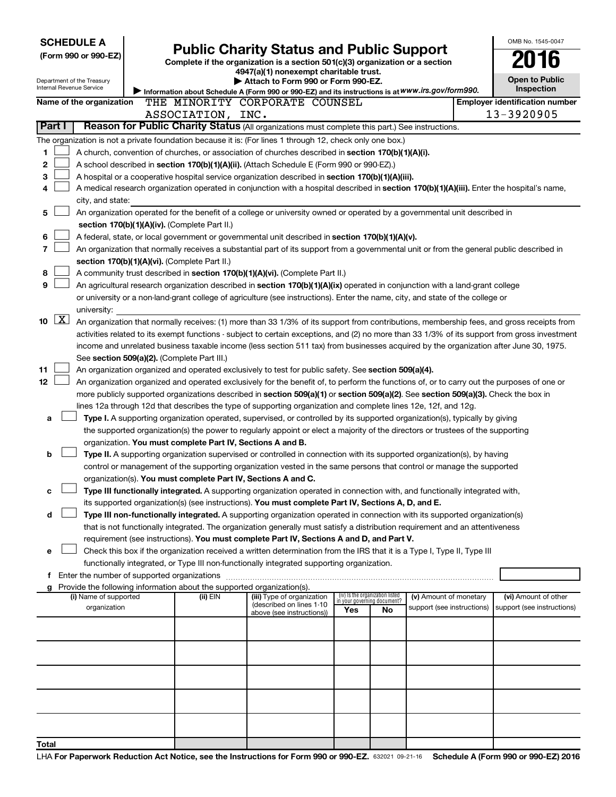|                      |                    | <b>SCHEDULE A</b>                                                                                         |  |  |                   |                                                 |                                                                                                                                                                                             |  |                                                                |    |                            |  | OMB No. 1545-0047                                                                                                                             |
|----------------------|--------------------|-----------------------------------------------------------------------------------------------------------|--|--|-------------------|-------------------------------------------------|---------------------------------------------------------------------------------------------------------------------------------------------------------------------------------------------|--|----------------------------------------------------------------|----|----------------------------|--|-----------------------------------------------------------------------------------------------------------------------------------------------|
| (Form 990 or 990-EZ) |                    |                                                                                                           |  |  |                   | <b>Public Charity Status and Public Support</b> |                                                                                                                                                                                             |  |                                                                |    |                            |  |                                                                                                                                               |
|                      |                    |                                                                                                           |  |  |                   |                                                 | Complete if the organization is a section 501(c)(3) organization or a section<br>4947(a)(1) nonexempt charitable trust.                                                                     |  |                                                                |    |                            |  |                                                                                                                                               |
|                      |                    | Department of the Treasury                                                                                |  |  |                   |                                                 | Attach to Form 990 or Form 990-EZ.                                                                                                                                                          |  |                                                                |    |                            |  | <b>Open to Public</b>                                                                                                                         |
|                      |                    | Internal Revenue Service                                                                                  |  |  |                   |                                                 | Information about Schedule A (Form 990 or 990-EZ) and its instructions is at WWW.irs.gov/form990.                                                                                           |  |                                                                |    |                            |  | <b>Inspection</b>                                                                                                                             |
|                      |                    | Name of the organization                                                                                  |  |  |                   |                                                 | THE MINORITY CORPORATE COUNSEL                                                                                                                                                              |  |                                                                |    |                            |  | <b>Employer identification number</b>                                                                                                         |
|                      |                    |                                                                                                           |  |  | ASSOCIATION, INC. |                                                 |                                                                                                                                                                                             |  |                                                                |    |                            |  | 13-3920905                                                                                                                                    |
|                      | Part I             |                                                                                                           |  |  |                   |                                                 | Reason for Public Charity Status (All organizations must complete this part.) See instructions.                                                                                             |  |                                                                |    |                            |  |                                                                                                                                               |
|                      |                    | The organization is not a private foundation because it is: (For lines 1 through 12, check only one box.) |  |  |                   |                                                 |                                                                                                                                                                                             |  |                                                                |    |                            |  |                                                                                                                                               |
| 1                    |                    |                                                                                                           |  |  |                   |                                                 | A church, convention of churches, or association of churches described in section 170(b)(1)(A)(i).                                                                                          |  |                                                                |    |                            |  |                                                                                                                                               |
| 2                    |                    |                                                                                                           |  |  |                   |                                                 | A school described in section 170(b)(1)(A)(ii). (Attach Schedule E (Form 990 or 990-EZ).)                                                                                                   |  |                                                                |    |                            |  |                                                                                                                                               |
| 3                    |                    |                                                                                                           |  |  |                   |                                                 | A hospital or a cooperative hospital service organization described in section 170(b)(1)(A)(iii).                                                                                           |  |                                                                |    |                            |  |                                                                                                                                               |
| 4                    |                    |                                                                                                           |  |  |                   |                                                 |                                                                                                                                                                                             |  |                                                                |    |                            |  | A medical research organization operated in conjunction with a hospital described in section 170(b)(1)(A)(iii). Enter the hospital's name,    |
|                      |                    | city, and state:                                                                                          |  |  |                   |                                                 |                                                                                                                                                                                             |  |                                                                |    |                            |  |                                                                                                                                               |
| 5                    |                    |                                                                                                           |  |  |                   |                                                 | An organization operated for the benefit of a college or university owned or operated by a governmental unit described in                                                                   |  |                                                                |    |                            |  |                                                                                                                                               |
|                      |                    | section 170(b)(1)(A)(iv). (Complete Part II.)                                                             |  |  |                   |                                                 |                                                                                                                                                                                             |  |                                                                |    |                            |  |                                                                                                                                               |
| 6                    |                    |                                                                                                           |  |  |                   |                                                 | A federal, state, or local government or governmental unit described in section 170(b)(1)(A)(v).                                                                                            |  |                                                                |    |                            |  |                                                                                                                                               |
|                      |                    |                                                                                                           |  |  |                   |                                                 |                                                                                                                                                                                             |  |                                                                |    |                            |  | An organization that normally receives a substantial part of its support from a governmental unit or from the general public described in     |
|                      |                    | section 170(b)(1)(A)(vi). (Complete Part II.)                                                             |  |  |                   |                                                 |                                                                                                                                                                                             |  |                                                                |    |                            |  |                                                                                                                                               |
| 8                    |                    |                                                                                                           |  |  |                   |                                                 | A community trust described in section 170(b)(1)(A)(vi). (Complete Part II.)                                                                                                                |  |                                                                |    |                            |  |                                                                                                                                               |
| 9                    |                    |                                                                                                           |  |  |                   |                                                 | An agricultural research organization described in section 170(b)(1)(A)(ix) operated in conjunction with a land-grant college                                                               |  |                                                                |    |                            |  |                                                                                                                                               |
|                      |                    |                                                                                                           |  |  |                   |                                                 | or university or a non-land-grant college of agriculture (see instructions). Enter the name, city, and state of the college or                                                              |  |                                                                |    |                            |  |                                                                                                                                               |
|                      |                    | university:                                                                                               |  |  |                   |                                                 |                                                                                                                                                                                             |  |                                                                |    |                            |  |                                                                                                                                               |
| 10                   | $\boxed{\text{X}}$ |                                                                                                           |  |  |                   |                                                 |                                                                                                                                                                                             |  |                                                                |    |                            |  | An organization that normally receives: (1) more than 33 1/3% of its support from contributions, membership fees, and gross receipts from     |
|                      |                    |                                                                                                           |  |  |                   |                                                 |                                                                                                                                                                                             |  |                                                                |    |                            |  | activities related to its exempt functions - subject to certain exceptions, and (2) no more than 33 1/3% of its support from gross investment |
|                      |                    |                                                                                                           |  |  |                   |                                                 |                                                                                                                                                                                             |  |                                                                |    |                            |  | income and unrelated business taxable income (less section 511 tax) from businesses acquired by the organization after June 30, 1975.         |
|                      |                    | See section 509(a)(2). (Complete Part III.)                                                               |  |  |                   |                                                 |                                                                                                                                                                                             |  |                                                                |    |                            |  |                                                                                                                                               |
| 11                   |                    |                                                                                                           |  |  |                   |                                                 | An organization organized and operated exclusively to test for public safety. See section 509(a)(4).                                                                                        |  |                                                                |    |                            |  |                                                                                                                                               |
| 12                   |                    |                                                                                                           |  |  |                   |                                                 |                                                                                                                                                                                             |  |                                                                |    |                            |  | An organization organized and operated exclusively for the benefit of, to perform the functions of, or to carry out the purposes of one or    |
|                      |                    |                                                                                                           |  |  |                   |                                                 | more publicly supported organizations described in section 509(a)(1) or section 509(a)(2). See section 509(a)(3). Check the box in                                                          |  |                                                                |    |                            |  |                                                                                                                                               |
|                      |                    |                                                                                                           |  |  |                   |                                                 | lines 12a through 12d that describes the type of supporting organization and complete lines 12e, 12f, and 12g.                                                                              |  |                                                                |    |                            |  |                                                                                                                                               |
| a                    |                    |                                                                                                           |  |  |                   |                                                 | Type I. A supporting organization operated, supervised, or controlled by its supported organization(s), typically by giving                                                                 |  |                                                                |    |                            |  |                                                                                                                                               |
|                      |                    |                                                                                                           |  |  |                   |                                                 | the supported organization(s) the power to regularly appoint or elect a majority of the directors or trustees of the supporting                                                             |  |                                                                |    |                            |  |                                                                                                                                               |
|                      |                    |                                                                                                           |  |  |                   |                                                 | organization. You must complete Part IV, Sections A and B.                                                                                                                                  |  |                                                                |    |                            |  |                                                                                                                                               |
| b                    |                    |                                                                                                           |  |  |                   |                                                 | Type II. A supporting organization supervised or controlled in connection with its supported organization(s), by having                                                                     |  |                                                                |    |                            |  |                                                                                                                                               |
|                      |                    |                                                                                                           |  |  |                   |                                                 | control or management of the supporting organization vested in the same persons that control or manage the supported                                                                        |  |                                                                |    |                            |  |                                                                                                                                               |
|                      |                    |                                                                                                           |  |  |                   |                                                 | organization(s). You must complete Part IV, Sections A and C.<br>Type III functionally integrated. A supporting organization operated in connection with, and functionally integrated with, |  |                                                                |    |                            |  |                                                                                                                                               |
| с                    |                    |                                                                                                           |  |  |                   |                                                 | its supported organization(s) (see instructions). You must complete Part IV, Sections A, D, and E.                                                                                          |  |                                                                |    |                            |  |                                                                                                                                               |
| d                    |                    |                                                                                                           |  |  |                   |                                                 | Type III non-functionally integrated. A supporting organization operated in connection with its supported organization(s)                                                                   |  |                                                                |    |                            |  |                                                                                                                                               |
|                      |                    |                                                                                                           |  |  |                   |                                                 | that is not functionally integrated. The organization generally must satisfy a distribution requirement and an attentiveness                                                                |  |                                                                |    |                            |  |                                                                                                                                               |
|                      |                    |                                                                                                           |  |  |                   |                                                 | requirement (see instructions). You must complete Part IV, Sections A and D, and Part V.                                                                                                    |  |                                                                |    |                            |  |                                                                                                                                               |
| е                    |                    |                                                                                                           |  |  |                   |                                                 | Check this box if the organization received a written determination from the IRS that it is a Type I, Type II, Type III                                                                     |  |                                                                |    |                            |  |                                                                                                                                               |
|                      |                    |                                                                                                           |  |  |                   |                                                 | functionally integrated, or Type III non-functionally integrated supporting organization.                                                                                                   |  |                                                                |    |                            |  |                                                                                                                                               |
|                      |                    | f Enter the number of supported organizations                                                             |  |  |                   |                                                 |                                                                                                                                                                                             |  |                                                                |    |                            |  |                                                                                                                                               |
|                      |                    |                                                                                                           |  |  |                   |                                                 | g Provide the following information about the supported organization(s).                                                                                                                    |  |                                                                |    |                            |  |                                                                                                                                               |
|                      |                    | (i) Name of supported                                                                                     |  |  | (ii) EIN          |                                                 | (iii) Type of organization                                                                                                                                                                  |  | (iv) Is the organization listed<br>in your governing document? |    | (v) Amount of monetary     |  | (vi) Amount of other                                                                                                                          |
|                      |                    | organization                                                                                              |  |  |                   |                                                 | (described on lines 1-10<br>above (see instructions))                                                                                                                                       |  | Yes                                                            | No | support (see instructions) |  | support (see instructions)                                                                                                                    |
|                      |                    |                                                                                                           |  |  |                   |                                                 |                                                                                                                                                                                             |  |                                                                |    |                            |  |                                                                                                                                               |
|                      |                    |                                                                                                           |  |  |                   |                                                 |                                                                                                                                                                                             |  |                                                                |    |                            |  |                                                                                                                                               |
|                      |                    |                                                                                                           |  |  |                   |                                                 |                                                                                                                                                                                             |  |                                                                |    |                            |  |                                                                                                                                               |
|                      |                    |                                                                                                           |  |  |                   |                                                 |                                                                                                                                                                                             |  |                                                                |    |                            |  |                                                                                                                                               |
|                      |                    |                                                                                                           |  |  |                   |                                                 |                                                                                                                                                                                             |  |                                                                |    |                            |  |                                                                                                                                               |
|                      |                    |                                                                                                           |  |  |                   |                                                 |                                                                                                                                                                                             |  |                                                                |    |                            |  |                                                                                                                                               |
|                      |                    |                                                                                                           |  |  |                   |                                                 |                                                                                                                                                                                             |  |                                                                |    |                            |  |                                                                                                                                               |
| Total                |                    |                                                                                                           |  |  |                   |                                                 |                                                                                                                                                                                             |  |                                                                |    |                            |  |                                                                                                                                               |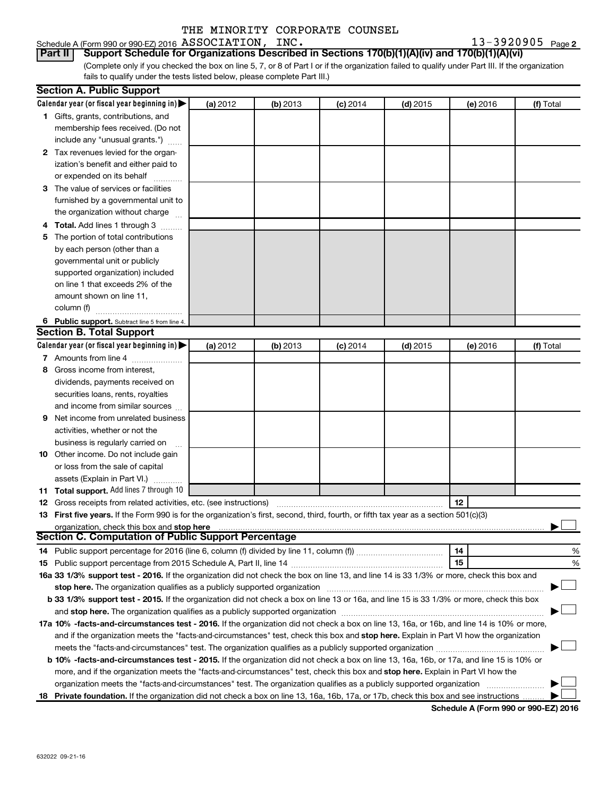#### Schedule A (Form 990 or 990-EZ) 2016 Page ASSOCIATION, INC. 13-3920905

13-3920905 Page 2

(Complete only if you checked the box on line 5, 7, or 8 of Part I or if the organization failed to qualify under Part III. If the organization fails to qualify under the tests listed below, please complete Part III.) **Part II Support Schedule for Organizations Described in Sections 170(b)(1)(A)(iv) and 170(b)(1)(A)(vi)**

|   | <b>Section A. Public Support</b>                                                                                                                                                                                               |          |          |            |            |          |           |
|---|--------------------------------------------------------------------------------------------------------------------------------------------------------------------------------------------------------------------------------|----------|----------|------------|------------|----------|-----------|
|   | Calendar year (or fiscal year beginning in)                                                                                                                                                                                    | (a) 2012 | (b) 2013 | $(c)$ 2014 | $(d)$ 2015 | (e) 2016 | (f) Total |
|   | 1 Gifts, grants, contributions, and                                                                                                                                                                                            |          |          |            |            |          |           |
|   | membership fees received. (Do not                                                                                                                                                                                              |          |          |            |            |          |           |
|   | include any "unusual grants.")                                                                                                                                                                                                 |          |          |            |            |          |           |
|   | 2 Tax revenues levied for the organ-                                                                                                                                                                                           |          |          |            |            |          |           |
|   | ization's benefit and either paid to                                                                                                                                                                                           |          |          |            |            |          |           |
|   | or expended on its behalf                                                                                                                                                                                                      |          |          |            |            |          |           |
|   | 3 The value of services or facilities                                                                                                                                                                                          |          |          |            |            |          |           |
|   | furnished by a governmental unit to                                                                                                                                                                                            |          |          |            |            |          |           |
|   | the organization without charge                                                                                                                                                                                                |          |          |            |            |          |           |
|   | 4 Total. Add lines 1 through 3                                                                                                                                                                                                 |          |          |            |            |          |           |
|   | 5 The portion of total contributions                                                                                                                                                                                           |          |          |            |            |          |           |
|   | by each person (other than a                                                                                                                                                                                                   |          |          |            |            |          |           |
|   | governmental unit or publicly                                                                                                                                                                                                  |          |          |            |            |          |           |
|   | supported organization) included                                                                                                                                                                                               |          |          |            |            |          |           |
|   | on line 1 that exceeds 2% of the                                                                                                                                                                                               |          |          |            |            |          |           |
|   | amount shown on line 11,                                                                                                                                                                                                       |          |          |            |            |          |           |
|   | column (f)                                                                                                                                                                                                                     |          |          |            |            |          |           |
|   | 6 Public support. Subtract line 5 from line 4.                                                                                                                                                                                 |          |          |            |            |          |           |
|   | <b>Section B. Total Support</b>                                                                                                                                                                                                |          |          |            |            |          |           |
|   | Calendar year (or fiscal year beginning in)                                                                                                                                                                                    | (a) 2012 | (b) 2013 | (c) 2014   | $(d)$ 2015 | (e) 2016 | (f) Total |
|   | 7 Amounts from line 4                                                                                                                                                                                                          |          |          |            |            |          |           |
|   | 8 Gross income from interest.                                                                                                                                                                                                  |          |          |            |            |          |           |
|   | dividends, payments received on                                                                                                                                                                                                |          |          |            |            |          |           |
|   | securities loans, rents, royalties                                                                                                                                                                                             |          |          |            |            |          |           |
|   | and income from similar sources                                                                                                                                                                                                |          |          |            |            |          |           |
| 9 | Net income from unrelated business                                                                                                                                                                                             |          |          |            |            |          |           |
|   | activities, whether or not the                                                                                                                                                                                                 |          |          |            |            |          |           |
|   | business is regularly carried on                                                                                                                                                                                               |          |          |            |            |          |           |
|   | 10 Other income. Do not include gain                                                                                                                                                                                           |          |          |            |            |          |           |
|   | or loss from the sale of capital                                                                                                                                                                                               |          |          |            |            |          |           |
|   | assets (Explain in Part VI.)                                                                                                                                                                                                   |          |          |            |            |          |           |
|   | 11 Total support. Add lines 7 through 10                                                                                                                                                                                       |          |          |            |            |          |           |
|   | <b>12</b> Gross receipts from related activities, etc. (see instructions)                                                                                                                                                      |          |          |            |            | 12       |           |
|   | 13 First five years. If the Form 990 is for the organization's first, second, third, fourth, or fifth tax year as a section 501(c)(3)                                                                                          |          |          |            |            |          |           |
|   | organization, check this box and stop here                                                                                                                                                                                     |          |          |            |            |          |           |
|   | Section C. Computation of Public Support Percentage                                                                                                                                                                            |          |          |            |            |          |           |
|   |                                                                                                                                                                                                                                |          |          |            |            | 14       | %         |
|   |                                                                                                                                                                                                                                |          |          |            |            | 15       | %         |
|   | 16a 33 1/3% support test - 2016. If the organization did not check the box on line 13, and line 14 is 33 1/3% or more, check this box and                                                                                      |          |          |            |            |          |           |
|   | stop here. The organization qualifies as a publicly supported organization manufaction manufacture or the organization manufacture or the organization manufacture or the organization manufacture or the state of the state o |          |          |            |            |          |           |
|   | b 33 1/3% support test - 2015. If the organization did not check a box on line 13 or 16a, and line 15 is 33 1/3% or more, check this box                                                                                       |          |          |            |            |          |           |
|   |                                                                                                                                                                                                                                |          |          |            |            |          |           |
|   | 17a 10% -facts-and-circumstances test - 2016. If the organization did not check a box on line 13, 16a, or 16b, and line 14 is 10% or more,                                                                                     |          |          |            |            |          |           |
|   | and if the organization meets the "facts-and-circumstances" test, check this box and stop here. Explain in Part VI how the organization                                                                                        |          |          |            |            |          |           |
|   | meets the "facts-and-circumstances" test. The organization qualifies as a publicly supported organization                                                                                                                      |          |          |            |            |          |           |
|   | b 10% -facts-and-circumstances test - 2015. If the organization did not check a box on line 13, 16a, 16b, or 17a, and line 15 is 10% or                                                                                        |          |          |            |            |          |           |
|   | more, and if the organization meets the "facts-and-circumstances" test, check this box and stop here. Explain in Part VI how the                                                                                               |          |          |            |            |          |           |
|   | organization meets the "facts-and-circumstances" test. The organization qualifies as a publicly supported organization                                                                                                         |          |          |            |            |          |           |
|   | 18 Private foundation. If the organization did not check a box on line 13, 16a, 16b, 17a, or 17b, check this box and see instructions                                                                                          |          |          |            |            |          |           |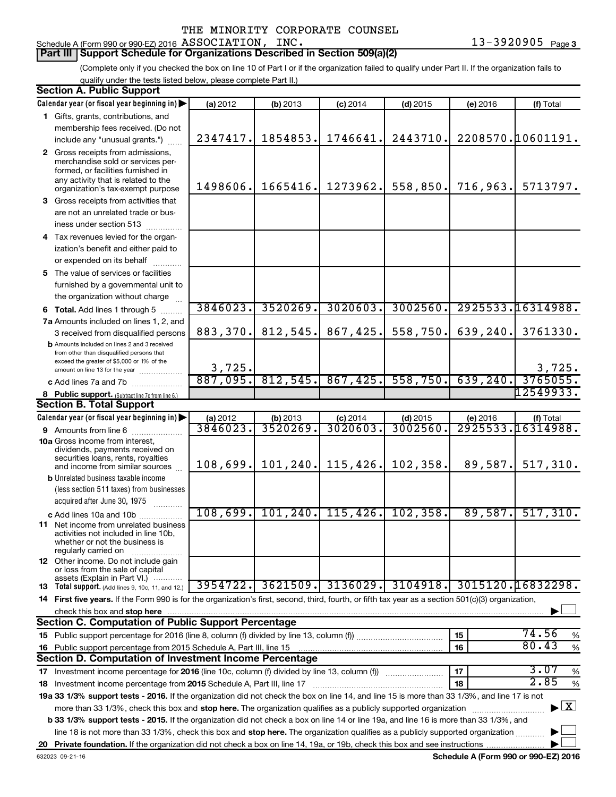#### Schedule A (Form 990 or 990-EZ) 2016 Page ASSOCIATION, INC. 13-3920905

#### **Part III Support Schedule for Organizations Described in Section 509(a)(2)**

(Complete only if you checked the box on line 10 of Part I or if the organization failed to qualify under Part II. If the organization fails to qualify under the tests listed below, please complete Part II.)

| <b>Section A. Public Support</b>                                                                                                                    |          |           |            |            |           |                                    |
|-----------------------------------------------------------------------------------------------------------------------------------------------------|----------|-----------|------------|------------|-----------|------------------------------------|
| Calendar year (or fiscal year beginning in)                                                                                                         | (a) 2012 | (b) 2013  | $(c)$ 2014 | $(d)$ 2015 | (e) 2016  | (f) Total                          |
| 1 Gifts, grants, contributions, and                                                                                                                 |          |           |            |            |           |                                    |
| membership fees received. (Do not                                                                                                                   |          |           |            |            |           |                                    |
| include any "unusual grants.")                                                                                                                      | 2347417. | 1854853.  | 1746641.   | 2443710.   |           | 2208570.10601191.                  |
| 2 Gross receipts from admissions,                                                                                                                   |          |           |            |            |           |                                    |
| merchandise sold or services per-                                                                                                                   |          |           |            |            |           |                                    |
| formed, or facilities furnished in<br>any activity that is related to the                                                                           |          |           |            |            |           |                                    |
| organization's tax-exempt purpose                                                                                                                   | 1498606. | 1665416.  | 1273962.   | 558,850.   | 716,963.  | 5713797.                           |
| 3 Gross receipts from activities that                                                                                                               |          |           |            |            |           |                                    |
| are not an unrelated trade or bus-                                                                                                                  |          |           |            |            |           |                                    |
| iness under section 513                                                                                                                             |          |           |            |            |           |                                    |
| 4 Tax revenues levied for the organ-                                                                                                                |          |           |            |            |           |                                    |
| ization's benefit and either paid to                                                                                                                |          |           |            |            |           |                                    |
| or expended on its behalf                                                                                                                           |          |           |            |            |           |                                    |
| 5 The value of services or facilities                                                                                                               |          |           |            |            |           |                                    |
| furnished by a governmental unit to                                                                                                                 |          |           |            |            |           |                                    |
| the organization without charge                                                                                                                     |          |           |            |            |           |                                    |
| 6 Total. Add lines 1 through 5                                                                                                                      | 3846023. | 3520269.  | 3020603.   | 3002560.   |           | 2925533.16314988.                  |
| 7a Amounts included on lines 1, 2, and                                                                                                              |          |           |            |            |           |                                    |
| 3 received from disqualified persons                                                                                                                | 883,370. | 812,545.  | 867,425.   | 558,750.   | 639,240.  | 3761330.                           |
| <b>b</b> Amounts included on lines 2 and 3 received                                                                                                 |          |           |            |            |           |                                    |
| from other than disqualified persons that<br>exceed the greater of \$5,000 or 1% of the                                                             |          |           |            |            |           |                                    |
| amount on line 13 for the year                                                                                                                      | 3,725.   |           |            |            |           | 3,725.                             |
| c Add lines 7a and 7b                                                                                                                               | 887,095. | 812,545.  | 867,425.   | 558,750.   | 639, 240. | 3765055.                           |
| 8 Public support. (Subtract line 7c from line 6.)                                                                                                   |          |           |            |            |           | 12549933.                          |
| <b>Section B. Total Support</b>                                                                                                                     |          |           |            |            |           |                                    |
| Calendar year (or fiscal year beginning in)                                                                                                         | (a) 2012 | (b) 2013  | $(c)$ 2014 | $(d)$ 2015 | (e) 2016  | (f) Total                          |
| 9 Amounts from line 6                                                                                                                               | 3846023  | 3520269.  | 3020603    | 3002560    |           | 2925533.16314988.                  |
| <b>10a</b> Gross income from interest,<br>dividends, payments received on                                                                           |          |           |            |            |           |                                    |
| securities loans, rents, royalties                                                                                                                  |          |           |            |            |           |                                    |
| and income from similar sources                                                                                                                     | 108,699. | 101, 240. | 115,426.   | 102,358.   | 89,587.   | 517,310.                           |
| <b>b</b> Unrelated business taxable income                                                                                                          |          |           |            |            |           |                                    |
| (less section 511 taxes) from businesses                                                                                                            |          |           |            |            |           |                                    |
| acquired after June 30, 1975                                                                                                                        |          |           |            |            |           |                                    |
| c Add lines 10a and 10b                                                                                                                             | 108,699. | 101, 240. | 115,426.   | 102, 358.  | 89,587.   | 517,310.                           |
| <b>11</b> Net income from unrelated business<br>activities not included in line 10b,                                                                |          |           |            |            |           |                                    |
| whether or not the business is                                                                                                                      |          |           |            |            |           |                                    |
| regularly carried on                                                                                                                                |          |           |            |            |           |                                    |
| <b>12</b> Other income. Do not include gain<br>or loss from the sale of capital                                                                     |          |           |            |            |           |                                    |
| assets (Explain in Part VI.)                                                                                                                        |          |           |            |            |           |                                    |
| 13 Total support. (Add lines 9, 10c, 11, and 12.)                                                                                                   | 3954722. | 3621509.  | 3136029.   | 3104918.   |           | 3015120.16832298.                  |
| 14 First five years. If the Form 990 is for the organization's first, second, third, fourth, or fifth tax year as a section 501(c)(3) organization, |          |           |            |            |           |                                    |
| check this box and stop here                                                                                                                        |          |           |            |            |           |                                    |
| <b>Section C. Computation of Public Support Percentage</b>                                                                                          |          |           |            |            |           |                                    |
|                                                                                                                                                     |          |           |            |            | 15        | 74.56<br>%<br>80.43                |
| 16 Public support percentage from 2015 Schedule A, Part III, line 15                                                                                |          |           |            |            | 16        | $\%$                               |
| Section D. Computation of Investment Income Percentage                                                                                              |          |           |            |            |           | 3.07                               |
| 17 Investment income percentage for 2016 (line 10c, column (f) divided by line 13, column (f))                                                      |          |           |            |            | 17        | $\%$<br>2.85                       |
| 18 Investment income percentage from 2015 Schedule A, Part III, line 17                                                                             |          |           |            |            | 18        | $\%$                               |
| 19a 33 1/3% support tests - 2016. If the organization did not check the box on line 14, and line 15 is more than 33 1/3%, and line 17 is not        |          |           |            |            |           |                                    |
| more than 33 1/3%, check this box and stop here. The organization qualifies as a publicly supported organization                                    |          |           |            |            |           | $\blacktriangleright$ $\mathbf{X}$ |
| b 33 1/3% support tests - 2015. If the organization did not check a box on line 14 or line 19a, and line 16 is more than 33 1/3%, and               |          |           |            |            |           |                                    |
| line 18 is not more than 33 1/3%, check this box and stop here. The organization qualifies as a publicly supported organization                     |          |           |            |            |           |                                    |
|                                                                                                                                                     |          |           |            |            |           |                                    |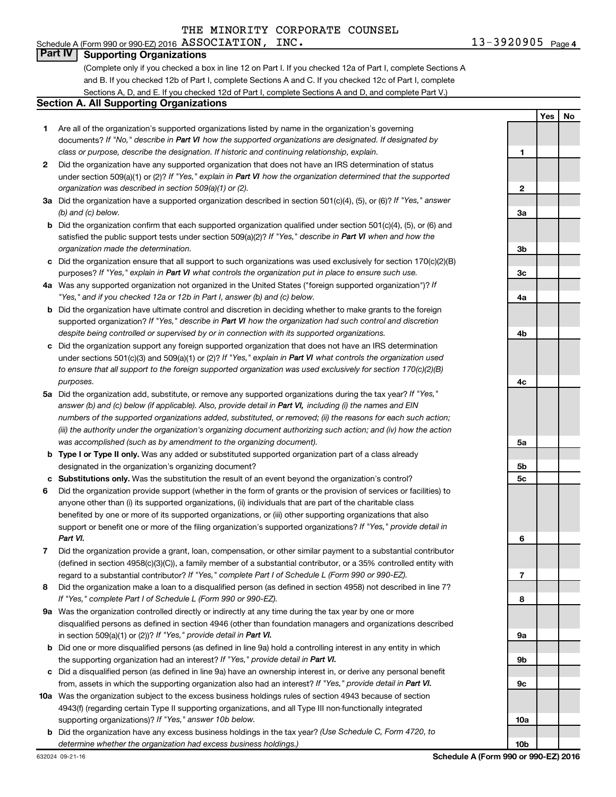## Schedule A (Form 990 or 990-EZ) 2016 Page ASSOCIATION, INC. 13-3920905

13-3920905 <sub>Page 4</sub>

**1**

**Yes No**

#### **Part IV Supporting Organizations**

(Complete only if you checked a box in line 12 on Part I. If you checked 12a of Part I, complete Sections A and B. If you checked 12b of Part I, complete Sections A and C. If you checked 12c of Part I, complete Sections A, D, and E. If you checked 12d of Part I, complete Sections A and D, and complete Part V.)

#### **Section A. All Supporting Organizations**

- **1** Are all of the organization's supported organizations listed by name in the organization's governing documents? If "No," describe in Part VI how the supported organizations are designated. If designated by *class or purpose, describe the designation. If historic and continuing relationship, explain.*
- **2** Did the organization have any supported organization that does not have an IRS determination of status under section 509(a)(1) or (2)? If "Yes," explain in Part VI how the organization determined that the supported *organization was described in section 509(a)(1) or (2).*
- **3a** Did the organization have a supported organization described in section 501(c)(4), (5), or (6)? If "Yes," answer *(b) and (c) below.*
- **b** Did the organization confirm that each supported organization qualified under section 501(c)(4), (5), or (6) and satisfied the public support tests under section 509(a)(2)? If "Yes," describe in Part VI when and how the *organization made the determination.*
- **c** Did the organization ensure that all support to such organizations was used exclusively for section 170(c)(2)(B) purposes? If "Yes," explain in Part VI what controls the organization put in place to ensure such use.
- **4 a** *If* Was any supported organization not organized in the United States ("foreign supported organization")? *"Yes," and if you checked 12a or 12b in Part I, answer (b) and (c) below.*
- **b** Did the organization have ultimate control and discretion in deciding whether to make grants to the foreign supported organization? If "Yes," describe in Part VI how the organization had such control and discretion *despite being controlled or supervised by or in connection with its supported organizations.*
- **c** Did the organization support any foreign supported organization that does not have an IRS determination under sections 501(c)(3) and 509(a)(1) or (2)? If "Yes," explain in Part VI what controls the organization used *to ensure that all support to the foreign supported organization was used exclusively for section 170(c)(2)(B) purposes.*
- **5a** Did the organization add, substitute, or remove any supported organizations during the tax year? If "Yes," answer (b) and (c) below (if applicable). Also, provide detail in Part VI, including (i) the names and EIN *numbers of the supported organizations added, substituted, or removed; (ii) the reasons for each such action; (iii) the authority under the organization's organizing document authorizing such action; and (iv) how the action was accomplished (such as by amendment to the organizing document).*
- **b** Type I or Type II only. Was any added or substituted supported organization part of a class already designated in the organization's organizing document?
- **c Substitutions only.**  Was the substitution the result of an event beyond the organization's control?
- **6** Did the organization provide support (whether in the form of grants or the provision of services or facilities) to support or benefit one or more of the filing organization's supported organizations? If "Yes," provide detail in anyone other than (i) its supported organizations, (ii) individuals that are part of the charitable class benefited by one or more of its supported organizations, or (iii) other supporting organizations that also *Part VI.*
- **7** Did the organization provide a grant, loan, compensation, or other similar payment to a substantial contributor regard to a substantial contributor? If "Yes," complete Part I of Schedule L (Form 990 or 990-EZ). (defined in section 4958(c)(3)(C)), a family member of a substantial contributor, or a 35% controlled entity with
- **8** Did the organization make a loan to a disqualified person (as defined in section 4958) not described in line 7? *If "Yes," complete Part I of Schedule L (Form 990 or 990-EZ).*
- **9 a** Was the organization controlled directly or indirectly at any time during the tax year by one or more in section 509(a)(1) or (2))? If "Yes," provide detail in Part VI. disqualified persons as defined in section 4946 (other than foundation managers and organizations described
- **b** Did one or more disqualified persons (as defined in line 9a) hold a controlling interest in any entity in which the supporting organization had an interest? If "Yes," provide detail in Part VI.
- **c** Did a disqualified person (as defined in line 9a) have an ownership interest in, or derive any personal benefit from, assets in which the supporting organization also had an interest? If "Yes," provide detail in Part VI.
- **10 a** Was the organization subject to the excess business holdings rules of section 4943 because of section supporting organizations)? If "Yes," answer 10b below. 4943(f) (regarding certain Type II supporting organizations, and all Type III non-functionally integrated
- **b** Did the organization have any excess business holdings in the tax year? (Use Schedule C, Form 4720, to *determine whether the organization had excess business holdings.)*

**2 3a 3b 3c 4a 4b 4c 5a 5b 5c 6 7 8 9a 9b 9c 10a 10b**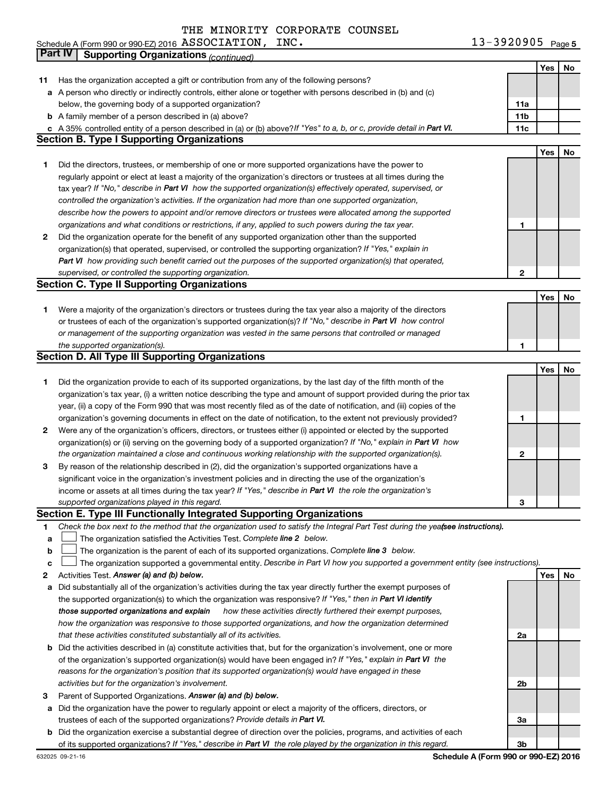13-3920905 Page 5 Schedule A (Form 990 or 990-EZ) 2016  $\overline{ASSUCLATION}$ ,  $\overline{INC}$ . ASSOCIATION, INC. 13-3920905

|    | Part IV<br><b>Supporting Organizations (continued)</b>                                                                          |                 |            |    |
|----|---------------------------------------------------------------------------------------------------------------------------------|-----------------|------------|----|
|    |                                                                                                                                 |                 | Yes        | No |
| 11 | Has the organization accepted a gift or contribution from any of the following persons?                                         |                 |            |    |
|    | a A person who directly or indirectly controls, either alone or together with persons described in (b) and (c)                  |                 |            |    |
|    | below, the governing body of a supported organization?                                                                          | 11a             |            |    |
|    | <b>b</b> A family member of a person described in (a) above?                                                                    | 11 <sub>b</sub> |            |    |
|    | c A 35% controlled entity of a person described in (a) or (b) above? If "Yes" to a, b, or c, provide detail in Part VI.         | 11c             |            |    |
|    | <b>Section B. Type I Supporting Organizations</b>                                                                               |                 |            |    |
|    |                                                                                                                                 |                 | Yes        | No |
| 1  | Did the directors, trustees, or membership of one or more supported organizations have the power to                             |                 |            |    |
|    | regularly appoint or elect at least a majority of the organization's directors or trustees at all times during the              |                 |            |    |
|    | tax year? If "No," describe in Part VI how the supported organization(s) effectively operated, supervised, or                   |                 |            |    |
|    | controlled the organization's activities. If the organization had more than one supported organization,                         |                 |            |    |
|    | describe how the powers to appoint and/or remove directors or trustees were allocated among the supported                       |                 |            |    |
|    | organizations and what conditions or restrictions, if any, applied to such powers during the tax year.                          | 1               |            |    |
| 2  | Did the organization operate for the benefit of any supported organization other than the supported                             |                 |            |    |
|    | organization(s) that operated, supervised, or controlled the supporting organization? If "Yes," explain in                      |                 |            |    |
|    | Part VI how providing such benefit carried out the purposes of the supported organization(s) that operated,                     |                 |            |    |
|    | supervised, or controlled the supporting organization.                                                                          | $\mathbf{2}$    |            |    |
|    | <b>Section C. Type II Supporting Organizations</b>                                                                              |                 |            |    |
|    |                                                                                                                                 |                 | <b>Yes</b> | No |
| 1. | Were a majority of the organization's directors or trustees during the tax year also a majority of the directors                |                 |            |    |
|    | or trustees of each of the organization's supported organization(s)? If "No," describe in Part VI how control                   |                 |            |    |
|    | or management of the supporting organization was vested in the same persons that controlled or managed                          |                 |            |    |
|    | the supported organization(s).                                                                                                  | 1               |            |    |
|    | <b>Section D. All Type III Supporting Organizations</b>                                                                         |                 |            |    |
|    |                                                                                                                                 |                 | Yes        | No |
| 1  | Did the organization provide to each of its supported organizations, by the last day of the fifth month of the                  |                 |            |    |
|    | organization's tax year, (i) a written notice describing the type and amount of support provided during the prior tax           |                 |            |    |
|    | year, (ii) a copy of the Form 990 that was most recently filed as of the date of notification, and (iii) copies of the          |                 |            |    |
|    | organization's governing documents in effect on the date of notification, to the extent not previously provided?                | 1               |            |    |
| 2  | Were any of the organization's officers, directors, or trustees either (i) appointed or elected by the supported                |                 |            |    |
|    | organization(s) or (ii) serving on the governing body of a supported organization? If "No," explain in Part VI how              |                 |            |    |
|    | the organization maintained a close and continuous working relationship with the supported organization(s).                     | $\mathbf{2}$    |            |    |
| 3  | By reason of the relationship described in (2), did the organization's supported organizations have a                           |                 |            |    |
|    | significant voice in the organization's investment policies and in directing the use of the organization's                      |                 |            |    |
|    | income or assets at all times during the tax year? If "Yes," describe in Part VI the role the organization's                    |                 |            |    |
|    | supported organizations played in this regard.                                                                                  | з               |            |    |
|    | Section E. Type III Functionally Integrated Supporting Organizations                                                            |                 |            |    |
| 1  | Check the box next to the method that the organization used to satisfy the Integral Part Test during the yeafsee instructions). |                 |            |    |
| a  | The organization satisfied the Activities Test. Complete line 2 below.                                                          |                 |            |    |
| b  | The organization is the parent of each of its supported organizations. Complete line 3 below.                                   |                 |            |    |
| с  | The organization supported a governmental entity. Describe in Part VI how you supported a government entity (see instructions). |                 |            |    |
| 2  | Activities Test. Answer (a) and (b) below.                                                                                      |                 | Yes        | No |
| а  | Did substantially all of the organization's activities during the tax year directly further the exempt purposes of              |                 |            |    |
|    | the supported organization(s) to which the organization was responsive? If "Yes," then in Part VI identify                      |                 |            |    |
|    | how these activities directly furthered their exempt purposes,<br>those supported organizations and explain                     |                 |            |    |
|    | how the organization was responsive to those supported organizations, and how the organization determined                       |                 |            |    |
|    | that these activities constituted substantially all of its activities.                                                          | 2a              |            |    |
| b  | Did the activities described in (a) constitute activities that, but for the organization's involvement, one or more             |                 |            |    |
|    | of the organization's supported organization(s) would have been engaged in? If "Yes," explain in Part VI the                    |                 |            |    |
|    | reasons for the organization's position that its supported organization(s) would have engaged in these                          |                 |            |    |
|    | activities but for the organization's involvement.                                                                              | 2b              |            |    |
| 3  | Parent of Supported Organizations. Answer (a) and (b) below.                                                                    |                 |            |    |
| а  | Did the organization have the power to regularly appoint or elect a majority of the officers, directors, or                     |                 |            |    |
|    | trustees of each of the supported organizations? Provide details in Part VI.                                                    | За              |            |    |
| b  | Did the organization exercise a substantial degree of direction over the policies, programs, and activities of each             |                 |            |    |
|    | of its supported organizations? If "Yes," describe in Part VI the role played by the organization in this regard.               | 3b              |            |    |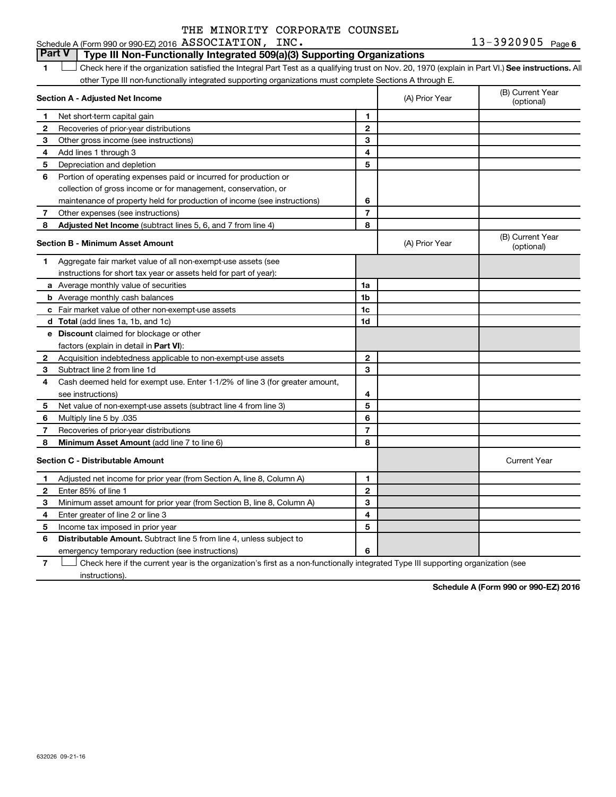13-3920905 Page 6 Schedule A (Form 990 or 990-EZ) 2016 Page ASSOCIATION, INC. 13-3920905

#### **Part V Type III Non-Functionally Integrated 509(a)(3) Supporting Organizations**

1 **Letter See instructions.** All Check here if the organization satisfied the Integral Part Test as a qualifying trust on Nov. 20, 1970 (explain in Part VI.) See instructions. All other Type III non-functionally integrated supporting organizations must complete Sections A through E.

|              | Section A - Adjusted Net Income                                              |                | (A) Prior Year | (B) Current Year<br>(optional) |
|--------------|------------------------------------------------------------------------------|----------------|----------------|--------------------------------|
| 1            | Net short-term capital gain                                                  | 1              |                |                                |
| 2            | Recoveries of prior-year distributions                                       | $\overline{2}$ |                |                                |
| 3            | Other gross income (see instructions)                                        | 3              |                |                                |
| 4            | Add lines 1 through 3                                                        | 4              |                |                                |
| 5            | Depreciation and depletion                                                   | 5              |                |                                |
| 6            | Portion of operating expenses paid or incurred for production or             |                |                |                                |
|              | collection of gross income or for management, conservation, or               |                |                |                                |
|              | maintenance of property held for production of income (see instructions)     | 6              |                |                                |
| 7            | Other expenses (see instructions)                                            | $\overline{7}$ |                |                                |
| 8            | Adjusted Net Income (subtract lines 5, 6, and 7 from line 4)                 | 8              |                |                                |
|              | <b>Section B - Minimum Asset Amount</b>                                      |                | (A) Prior Year | (B) Current Year<br>(optional) |
| 1            | Aggregate fair market value of all non-exempt-use assets (see                |                |                |                                |
|              | instructions for short tax year or assets held for part of year):            |                |                |                                |
|              | a Average monthly value of securities                                        | 1a             |                |                                |
|              | <b>b</b> Average monthly cash balances                                       | 1b             |                |                                |
|              | c Fair market value of other non-exempt-use assets                           | 1c             |                |                                |
|              | <b>d</b> Total (add lines 1a, 1b, and 1c)                                    | 1d             |                |                                |
|              | e Discount claimed for blockage or other                                     |                |                |                                |
|              | factors (explain in detail in <b>Part VI</b> ):                              |                |                |                                |
| 2            | Acquisition indebtedness applicable to non-exempt-use assets                 | $\mathbf{2}$   |                |                                |
| 3            | Subtract line 2 from line 1d                                                 | 3              |                |                                |
| 4            | Cash deemed held for exempt use. Enter 1-1/2% of line 3 (for greater amount, |                |                |                                |
|              | see instructions)                                                            | 4              |                |                                |
| 5            | Net value of non-exempt-use assets (subtract line 4 from line 3)             | 5              |                |                                |
| 6            | Multiply line 5 by .035                                                      | 6              |                |                                |
| 7            | Recoveries of prior-year distributions                                       | 7              |                |                                |
| 8            | Minimum Asset Amount (add line 7 to line 6)                                  | 8              |                |                                |
|              | <b>Section C - Distributable Amount</b>                                      |                |                | <b>Current Year</b>            |
| 1            | Adjusted net income for prior year (from Section A, line 8, Column A)        | 1              |                |                                |
| $\mathbf{2}$ | Enter 85% of line 1                                                          | $\mathbf{2}$   |                |                                |
| 3            | Minimum asset amount for prior year (from Section B, line 8, Column A)       | 3              |                |                                |
| 4            | Enter greater of line 2 or line 3                                            | 4              |                |                                |
| 5            | Income tax imposed in prior year                                             | 5              |                |                                |
| 6            | <b>Distributable Amount.</b> Subtract line 5 from line 4, unless subject to  |                |                |                                |
|              | emergency temporary reduction (see instructions)                             | 6              |                |                                |

**7** Let Check here if the current year is the organization's first as a non-functionally integrated Type III supporting organization (see instructions).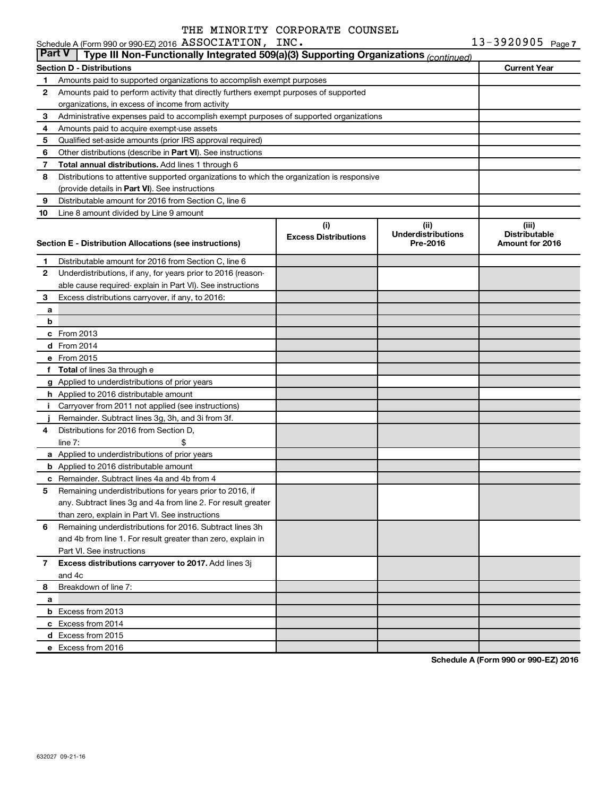| --------------           | --------------- |  |
|--------------------------|-----------------|--|
| ACOO EN 2016 ASSOCIATION |                 |  |

|    | Schedule A (Form 990 or 990-EZ) 2016 ASSOCIATION, INC.                                               |                                    |                                               | $13 - 3920905$ Page 7                            |  |  |  |  |  |  |
|----|------------------------------------------------------------------------------------------------------|------------------------------------|-----------------------------------------------|--------------------------------------------------|--|--|--|--|--|--|
|    | <b>Part V</b><br>Type III Non-Functionally Integrated 509(a)(3) Supporting Organizations (continued) |                                    |                                               |                                                  |  |  |  |  |  |  |
|    | <b>Section D - Distributions</b>                                                                     |                                    |                                               | <b>Current Year</b>                              |  |  |  |  |  |  |
| 1. | Amounts paid to supported organizations to accomplish exempt purposes                                |                                    |                                               |                                                  |  |  |  |  |  |  |
| 2  | Amounts paid to perform activity that directly furthers exempt purposes of supported                 |                                    |                                               |                                                  |  |  |  |  |  |  |
|    | organizations, in excess of income from activity                                                     |                                    |                                               |                                                  |  |  |  |  |  |  |
| 3  | Administrative expenses paid to accomplish exempt purposes of supported organizations                |                                    |                                               |                                                  |  |  |  |  |  |  |
| 4  | Amounts paid to acquire exempt-use assets                                                            |                                    |                                               |                                                  |  |  |  |  |  |  |
| 5  | Qualified set-aside amounts (prior IRS approval required)                                            |                                    |                                               |                                                  |  |  |  |  |  |  |
| 6  | Other distributions (describe in Part VI). See instructions                                          |                                    |                                               |                                                  |  |  |  |  |  |  |
| 7  | Total annual distributions. Add lines 1 through 6                                                    |                                    |                                               |                                                  |  |  |  |  |  |  |
| 8  | Distributions to attentive supported organizations to which the organization is responsive           |                                    |                                               |                                                  |  |  |  |  |  |  |
|    | (provide details in Part VI). See instructions                                                       |                                    |                                               |                                                  |  |  |  |  |  |  |
| 9  | Distributable amount for 2016 from Section C, line 6                                                 |                                    |                                               |                                                  |  |  |  |  |  |  |
| 10 | Line 8 amount divided by Line 9 amount                                                               |                                    |                                               |                                                  |  |  |  |  |  |  |
|    | Section E - Distribution Allocations (see instructions)                                              | (i)<br><b>Excess Distributions</b> | (ii)<br><b>Underdistributions</b><br>Pre-2016 | (iii)<br><b>Distributable</b><br>Amount for 2016 |  |  |  |  |  |  |
| 1. | Distributable amount for 2016 from Section C, line 6                                                 |                                    |                                               |                                                  |  |  |  |  |  |  |
| 2  | Underdistributions, if any, for years prior to 2016 (reason-                                         |                                    |                                               |                                                  |  |  |  |  |  |  |
|    | able cause required-explain in Part VI). See instructions                                            |                                    |                                               |                                                  |  |  |  |  |  |  |
| 3  | Excess distributions carryover, if any, to 2016:                                                     |                                    |                                               |                                                  |  |  |  |  |  |  |
| a  |                                                                                                      |                                    |                                               |                                                  |  |  |  |  |  |  |
| b  |                                                                                                      |                                    |                                               |                                                  |  |  |  |  |  |  |
|    | $c$ From 2013                                                                                        |                                    |                                               |                                                  |  |  |  |  |  |  |
|    | d From 2014                                                                                          |                                    |                                               |                                                  |  |  |  |  |  |  |
|    | e From 2015                                                                                          |                                    |                                               |                                                  |  |  |  |  |  |  |
|    | f Total of lines 3a through e                                                                        |                                    |                                               |                                                  |  |  |  |  |  |  |
|    | g Applied to underdistributions of prior years                                                       |                                    |                                               |                                                  |  |  |  |  |  |  |
|    | h Applied to 2016 distributable amount                                                               |                                    |                                               |                                                  |  |  |  |  |  |  |
| j. | Carryover from 2011 not applied (see instructions)                                                   |                                    |                                               |                                                  |  |  |  |  |  |  |
|    | Remainder. Subtract lines 3g, 3h, and 3i from 3f.                                                    |                                    |                                               |                                                  |  |  |  |  |  |  |
| 4  | Distributions for 2016 from Section D,                                                               |                                    |                                               |                                                  |  |  |  |  |  |  |
|    | line $7:$                                                                                            |                                    |                                               |                                                  |  |  |  |  |  |  |
|    | a Applied to underdistributions of prior years                                                       |                                    |                                               |                                                  |  |  |  |  |  |  |
|    | <b>b</b> Applied to 2016 distributable amount                                                        |                                    |                                               |                                                  |  |  |  |  |  |  |
|    | <b>c</b> Remainder. Subtract lines 4a and 4b from 4                                                  |                                    |                                               |                                                  |  |  |  |  |  |  |
|    | 5 Remaining underdistributions for years prior to 2016, if                                           |                                    |                                               |                                                  |  |  |  |  |  |  |
|    | any. Subtract lines 3g and 4a from line 2. For result greater                                        |                                    |                                               |                                                  |  |  |  |  |  |  |
|    | than zero, explain in Part VI. See instructions                                                      |                                    |                                               |                                                  |  |  |  |  |  |  |
| 6  | Remaining underdistributions for 2016. Subtract lines 3h                                             |                                    |                                               |                                                  |  |  |  |  |  |  |
|    | and 4b from line 1. For result greater than zero, explain in                                         |                                    |                                               |                                                  |  |  |  |  |  |  |
|    | Part VI. See instructions                                                                            |                                    |                                               |                                                  |  |  |  |  |  |  |
| 7  | Excess distributions carryover to 2017. Add lines 3j                                                 |                                    |                                               |                                                  |  |  |  |  |  |  |
|    | and 4c                                                                                               |                                    |                                               |                                                  |  |  |  |  |  |  |
| 8  | Breakdown of line 7:                                                                                 |                                    |                                               |                                                  |  |  |  |  |  |  |
| a  |                                                                                                      |                                    |                                               |                                                  |  |  |  |  |  |  |
|    | <b>b</b> Excess from 2013                                                                            |                                    |                                               |                                                  |  |  |  |  |  |  |
|    | c Excess from 2014                                                                                   |                                    |                                               |                                                  |  |  |  |  |  |  |
|    | d Excess from 2015                                                                                   |                                    |                                               |                                                  |  |  |  |  |  |  |
|    | e Excess from 2016                                                                                   |                                    |                                               |                                                  |  |  |  |  |  |  |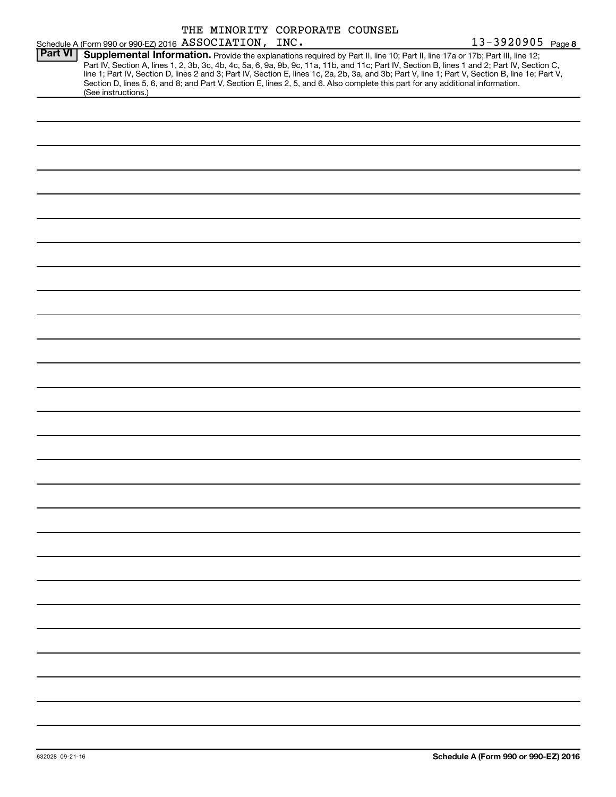|                |                                                                                                                                                        |  | THE MINORITY CORPORATE COUNSEL |                                                                                                                                                                                                                                                                                                                                                                   |
|----------------|--------------------------------------------------------------------------------------------------------------------------------------------------------|--|--------------------------------|-------------------------------------------------------------------------------------------------------------------------------------------------------------------------------------------------------------------------------------------------------------------------------------------------------------------------------------------------------------------|
|                | Schedule A (Form 990 or 990-EZ) 2016 ASSOCIATION, INC.                                                                                                 |  |                                | 13-3920905 Page 8                                                                                                                                                                                                                                                                                                                                                 |
| <b>Part VI</b> | Section D, lines 5, 6, and 8; and Part V, Section E, lines 2, 5, and 6. Also complete this part for any additional information.<br>(See instructions.) |  |                                | Supplemental Information. Provide the explanations required by Part II, line 10; Part II, line 17a or 17b; Part III, line 12;<br>Part IV, Section A, lines 1, 2, 3b, 3c, 4b, 4c, 5a, 6, 9a, 9b, 9c, 11a, 11b, and 11c; Part IV, Section B, lines 1 and 2; Part IV, Section C,<br>line 1; Part IV, Section D, lines 2 and 3; Part IV, Section E, lines 1c, 2a, 2b, |
|                |                                                                                                                                                        |  |                                |                                                                                                                                                                                                                                                                                                                                                                   |
|                |                                                                                                                                                        |  |                                |                                                                                                                                                                                                                                                                                                                                                                   |
|                |                                                                                                                                                        |  |                                |                                                                                                                                                                                                                                                                                                                                                                   |
|                |                                                                                                                                                        |  |                                |                                                                                                                                                                                                                                                                                                                                                                   |
|                |                                                                                                                                                        |  |                                |                                                                                                                                                                                                                                                                                                                                                                   |
|                |                                                                                                                                                        |  |                                |                                                                                                                                                                                                                                                                                                                                                                   |
|                |                                                                                                                                                        |  |                                |                                                                                                                                                                                                                                                                                                                                                                   |
|                |                                                                                                                                                        |  |                                |                                                                                                                                                                                                                                                                                                                                                                   |
|                |                                                                                                                                                        |  |                                |                                                                                                                                                                                                                                                                                                                                                                   |
|                |                                                                                                                                                        |  |                                |                                                                                                                                                                                                                                                                                                                                                                   |
|                |                                                                                                                                                        |  |                                |                                                                                                                                                                                                                                                                                                                                                                   |
|                |                                                                                                                                                        |  |                                |                                                                                                                                                                                                                                                                                                                                                                   |
|                |                                                                                                                                                        |  |                                |                                                                                                                                                                                                                                                                                                                                                                   |
|                |                                                                                                                                                        |  |                                |                                                                                                                                                                                                                                                                                                                                                                   |
|                |                                                                                                                                                        |  |                                |                                                                                                                                                                                                                                                                                                                                                                   |
|                |                                                                                                                                                        |  |                                |                                                                                                                                                                                                                                                                                                                                                                   |
|                |                                                                                                                                                        |  |                                |                                                                                                                                                                                                                                                                                                                                                                   |
|                |                                                                                                                                                        |  |                                |                                                                                                                                                                                                                                                                                                                                                                   |
|                |                                                                                                                                                        |  |                                |                                                                                                                                                                                                                                                                                                                                                                   |
|                |                                                                                                                                                        |  |                                |                                                                                                                                                                                                                                                                                                                                                                   |
|                |                                                                                                                                                        |  |                                |                                                                                                                                                                                                                                                                                                                                                                   |
|                |                                                                                                                                                        |  |                                |                                                                                                                                                                                                                                                                                                                                                                   |
|                |                                                                                                                                                        |  |                                |                                                                                                                                                                                                                                                                                                                                                                   |
|                |                                                                                                                                                        |  |                                |                                                                                                                                                                                                                                                                                                                                                                   |
|                |                                                                                                                                                        |  |                                |                                                                                                                                                                                                                                                                                                                                                                   |
|                |                                                                                                                                                        |  |                                |                                                                                                                                                                                                                                                                                                                                                                   |
|                |                                                                                                                                                        |  |                                |                                                                                                                                                                                                                                                                                                                                                                   |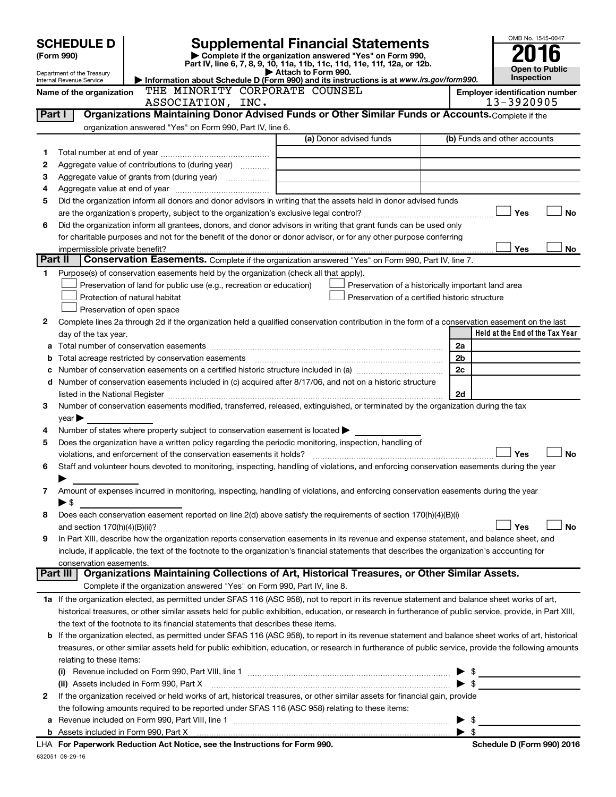|         | <b>SCHEDULE D</b>                                                                                                  |                                                                                                                                                                                                                               |                                                                            |                                                    |  |                          | OMB No. 1545-0047                     |  |  |  |
|---------|--------------------------------------------------------------------------------------------------------------------|-------------------------------------------------------------------------------------------------------------------------------------------------------------------------------------------------------------------------------|----------------------------------------------------------------------------|----------------------------------------------------|--|--------------------------|---------------------------------------|--|--|--|
|         | <b>Supplemental Financial Statements</b><br>Complete if the organization answered "Yes" on Form 990,<br>(Form 990) |                                                                                                                                                                                                                               |                                                                            |                                                    |  |                          |                                       |  |  |  |
|         |                                                                                                                    | Part IV, line 6, 7, 8, 9, 10, 11a, 11b, 11c, 11d, 11e, 11f, 12a, or 12b.                                                                                                                                                      |                                                                            |                                                    |  |                          | <b>Open to Public</b>                 |  |  |  |
|         | Department of the Treasury<br>Internal Revenue Service                                                             | Information about Schedule D (Form 990) and its instructions is at www.irs.gov/form990.                                                                                                                                       | Attach to Form 990.                                                        |                                                    |  |                          | Inspection                            |  |  |  |
|         | Name of the organization                                                                                           | THE MINORITY CORPORATE COUNSEL                                                                                                                                                                                                |                                                                            |                                                    |  |                          | <b>Employer identification number</b> |  |  |  |
|         | 13-3920905<br>ASSOCIATION, INC.                                                                                    |                                                                                                                                                                                                                               |                                                                            |                                                    |  |                          |                                       |  |  |  |
| Part I  |                                                                                                                    | Organizations Maintaining Donor Advised Funds or Other Similar Funds or Accounts. Complete if the                                                                                                                             |                                                                            |                                                    |  |                          |                                       |  |  |  |
|         |                                                                                                                    | organization answered "Yes" on Form 990, Part IV, line 6.                                                                                                                                                                     |                                                                            |                                                    |  |                          |                                       |  |  |  |
|         |                                                                                                                    |                                                                                                                                                                                                                               |                                                                            | (a) Donor advised funds                            |  |                          | (b) Funds and other accounts          |  |  |  |
| 1       |                                                                                                                    |                                                                                                                                                                                                                               |                                                                            |                                                    |  |                          |                                       |  |  |  |
| 2       |                                                                                                                    | Aggregate value of contributions to (during year)                                                                                                                                                                             |                                                                            |                                                    |  |                          |                                       |  |  |  |
| З       |                                                                                                                    |                                                                                                                                                                                                                               | the control of the control of the control of the control of the control of |                                                    |  |                          |                                       |  |  |  |
| 4       |                                                                                                                    |                                                                                                                                                                                                                               |                                                                            |                                                    |  |                          |                                       |  |  |  |
| 5       |                                                                                                                    | Did the organization inform all donors and donor advisors in writing that the assets held in donor advised funds                                                                                                              |                                                                            |                                                    |  |                          |                                       |  |  |  |
|         |                                                                                                                    |                                                                                                                                                                                                                               |                                                                            |                                                    |  |                          | Yes<br>No                             |  |  |  |
| 6       |                                                                                                                    | Did the organization inform all grantees, donors, and donor advisors in writing that grant funds can be used only                                                                                                             |                                                                            |                                                    |  |                          |                                       |  |  |  |
|         |                                                                                                                    | for charitable purposes and not for the benefit of the donor or donor advisor, or for any other purpose conferring                                                                                                            |                                                                            |                                                    |  |                          |                                       |  |  |  |
| Part II | impermissible private benefit?                                                                                     |                                                                                                                                                                                                                               |                                                                            |                                                    |  |                          | Yes<br>No                             |  |  |  |
|         |                                                                                                                    | Conservation Easements. Complete if the organization answered "Yes" on Form 990, Part IV, line 7.                                                                                                                             |                                                                            |                                                    |  |                          |                                       |  |  |  |
| 1       |                                                                                                                    | Purpose(s) of conservation easements held by the organization (check all that apply).                                                                                                                                         |                                                                            |                                                    |  |                          |                                       |  |  |  |
|         |                                                                                                                    | Preservation of land for public use (e.g., recreation or education)                                                                                                                                                           |                                                                            | Preservation of a historically important land area |  |                          |                                       |  |  |  |
|         |                                                                                                                    | Protection of natural habitat                                                                                                                                                                                                 |                                                                            | Preservation of a certified historic structure     |  |                          |                                       |  |  |  |
|         |                                                                                                                    | Preservation of open space                                                                                                                                                                                                    |                                                                            |                                                    |  |                          |                                       |  |  |  |
| 2       |                                                                                                                    | Complete lines 2a through 2d if the organization held a qualified conservation contribution in the form of a conservation easement on the last                                                                                |                                                                            |                                                    |  |                          | Held at the End of the Tax Year       |  |  |  |
|         | day of the tax year.                                                                                               |                                                                                                                                                                                                                               |                                                                            |                                                    |  | 2a                       |                                       |  |  |  |
| b       |                                                                                                                    | Total acreage restricted by conservation easements                                                                                                                                                                            |                                                                            |                                                    |  | 2b                       |                                       |  |  |  |
| c       |                                                                                                                    | Number of conservation easements on a certified historic structure included in (a) <i></i>                                                                                                                                    |                                                                            |                                                    |  | 2c                       |                                       |  |  |  |
|         |                                                                                                                    | d Number of conservation easements included in (c) acquired after 8/17/06, and not on a historic structure                                                                                                                    |                                                                            |                                                    |  |                          |                                       |  |  |  |
|         |                                                                                                                    | listed in the National Register [111] Marshall Register [11] Marshall Register [11] Marshall Register [11] Marshall Register [11] Marshall Register [11] Marshall Register [11] Marshall Register [11] Marshall Register [11] |                                                                            |                                                    |  | 2d                       |                                       |  |  |  |
| 3       |                                                                                                                    | Number of conservation easements modified, transferred, released, extinguished, or terminated by the organization during the tax                                                                                              |                                                                            |                                                    |  |                          |                                       |  |  |  |
|         | $year \triangleright$                                                                                              |                                                                                                                                                                                                                               |                                                                            |                                                    |  |                          |                                       |  |  |  |
| 4       |                                                                                                                    | Number of states where property subject to conservation easement is located >                                                                                                                                                 |                                                                            |                                                    |  |                          |                                       |  |  |  |
| 5       |                                                                                                                    | Does the organization have a written policy regarding the periodic monitoring, inspection, handling of                                                                                                                        |                                                                            |                                                    |  |                          |                                       |  |  |  |
|         |                                                                                                                    | violations, and enforcement of the conservation easements it holds?                                                                                                                                                           |                                                                            |                                                    |  |                          | <b>No</b><br>Yes                      |  |  |  |
| 6       |                                                                                                                    | Staff and volunteer hours devoted to monitoring, inspecting, handling of violations, and enforcing conservation easements during the year                                                                                     |                                                                            |                                                    |  |                          |                                       |  |  |  |
|         |                                                                                                                    |                                                                                                                                                                                                                               |                                                                            |                                                    |  |                          |                                       |  |  |  |
| 7       |                                                                                                                    | Amount of expenses incurred in monitoring, inspecting, handling of violations, and enforcing conservation easements during the year                                                                                           |                                                                            |                                                    |  |                          |                                       |  |  |  |
|         | ► \$                                                                                                               |                                                                                                                                                                                                                               |                                                                            |                                                    |  |                          |                                       |  |  |  |
| 8       |                                                                                                                    | Does each conservation easement reported on line 2(d) above satisfy the requirements of section 170(h)(4)(B)(i)                                                                                                               |                                                                            |                                                    |  |                          |                                       |  |  |  |
|         |                                                                                                                    |                                                                                                                                                                                                                               |                                                                            |                                                    |  |                          | <b>No</b><br>Yes                      |  |  |  |
| 9       |                                                                                                                    | In Part XIII, describe how the organization reports conservation easements in its revenue and expense statement, and balance sheet, and                                                                                       |                                                                            |                                                    |  |                          |                                       |  |  |  |
|         |                                                                                                                    | include, if applicable, the text of the footnote to the organization's financial statements that describes the organization's accounting for                                                                                  |                                                                            |                                                    |  |                          |                                       |  |  |  |
|         | conservation easements.<br>Part III                                                                                | Organizations Maintaining Collections of Art, Historical Treasures, or Other Similar Assets.                                                                                                                                  |                                                                            |                                                    |  |                          |                                       |  |  |  |
|         |                                                                                                                    | Complete if the organization answered "Yes" on Form 990, Part IV, line 8.                                                                                                                                                     |                                                                            |                                                    |  |                          |                                       |  |  |  |
|         |                                                                                                                    | 1a If the organization elected, as permitted under SFAS 116 (ASC 958), not to report in its revenue statement and balance sheet works of art,                                                                                 |                                                                            |                                                    |  |                          |                                       |  |  |  |
|         |                                                                                                                    | historical treasures, or other similar assets held for public exhibition, education, or research in furtherance of public service, provide, in Part XIII,                                                                     |                                                                            |                                                    |  |                          |                                       |  |  |  |
|         |                                                                                                                    | the text of the footnote to its financial statements that describes these items.                                                                                                                                              |                                                                            |                                                    |  |                          |                                       |  |  |  |
| b       |                                                                                                                    | If the organization elected, as permitted under SFAS 116 (ASC 958), to report in its revenue statement and balance sheet works of art, historical                                                                             |                                                                            |                                                    |  |                          |                                       |  |  |  |
|         |                                                                                                                    | treasures, or other similar assets held for public exhibition, education, or research in furtherance of public service, provide the following amounts                                                                         |                                                                            |                                                    |  |                          |                                       |  |  |  |
|         | relating to these items:                                                                                           |                                                                                                                                                                                                                               |                                                                            |                                                    |  |                          |                                       |  |  |  |
|         |                                                                                                                    |                                                                                                                                                                                                                               |                                                                            |                                                    |  |                          | \$                                    |  |  |  |
|         |                                                                                                                    | (ii) Assets included in Form 990, Part X                                                                                                                                                                                      |                                                                            |                                                    |  | $\blacktriangleright$ \$ |                                       |  |  |  |
| 2       |                                                                                                                    | If the organization received or held works of art, historical treasures, or other similar assets for financial gain, provide                                                                                                  |                                                                            |                                                    |  |                          |                                       |  |  |  |
|         |                                                                                                                    | the following amounts required to be reported under SFAS 116 (ASC 958) relating to these items:                                                                                                                               |                                                                            |                                                    |  |                          |                                       |  |  |  |
| а       |                                                                                                                    |                                                                                                                                                                                                                               |                                                                            |                                                    |  |                          | -\$                                   |  |  |  |
|         |                                                                                                                    |                                                                                                                                                                                                                               |                                                                            |                                                    |  |                          |                                       |  |  |  |
|         |                                                                                                                    |                                                                                                                                                                                                                               |                                                                            |                                                    |  |                          |                                       |  |  |  |

632051 08-29-16 **For Paperwork Reduction Act Notice, see the Instructions for Form 990. Schedule D (Form 990) 2016** LHA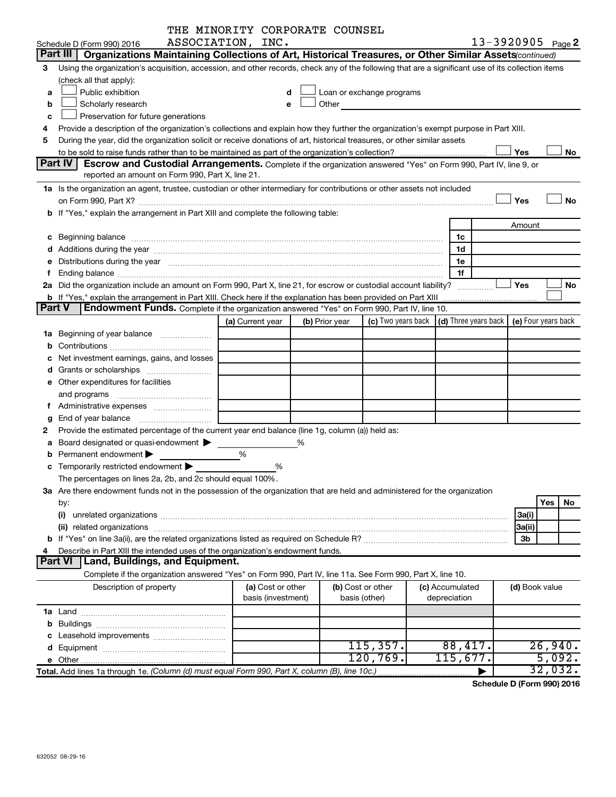|               | THE MINORITY CORPORATE COUNSEL                                                                                                                                                                                                 |                    |   |                |                                                                                                                                                                                                                               |                      |                     |           |
|---------------|--------------------------------------------------------------------------------------------------------------------------------------------------------------------------------------------------------------------------------|--------------------|---|----------------|-------------------------------------------------------------------------------------------------------------------------------------------------------------------------------------------------------------------------------|----------------------|---------------------|-----------|
|               | ASSOCIATION, INC.<br>Schedule D (Form 990) 2016                                                                                                                                                                                |                    |   |                |                                                                                                                                                                                                                               |                      | 13-3920905 Page 2   |           |
|               | Part III   Organizations Maintaining Collections of Art, Historical Treasures, or Other Similar Assets continued)                                                                                                              |                    |   |                |                                                                                                                                                                                                                               |                      |                     |           |
| 3             | Using the organization's acquisition, accession, and other records, check any of the following that are a significant use of its collection items                                                                              |                    |   |                |                                                                                                                                                                                                                               |                      |                     |           |
|               | (check all that apply):                                                                                                                                                                                                        |                    |   |                |                                                                                                                                                                                                                               |                      |                     |           |
| a             | Public exhibition                                                                                                                                                                                                              | d                  |   |                | Loan or exchange programs                                                                                                                                                                                                     |                      |                     |           |
| b             | Scholarly research                                                                                                                                                                                                             | e                  |   |                | Other and the contract of the contract of the contract of the contract of the contract of the contract of the contract of the contract of the contract of the contract of the contract of the contract of the contract of the |                      |                     |           |
| с             | Preservation for future generations                                                                                                                                                                                            |                    |   |                |                                                                                                                                                                                                                               |                      |                     |           |
| 4             | Provide a description of the organization's collections and explain how they further the organization's exempt purpose in Part XIII.                                                                                           |                    |   |                |                                                                                                                                                                                                                               |                      |                     |           |
| 5             | During the year, did the organization solicit or receive donations of art, historical treasures, or other similar assets                                                                                                       |                    |   |                |                                                                                                                                                                                                                               |                      |                     |           |
|               |                                                                                                                                                                                                                                |                    |   |                |                                                                                                                                                                                                                               |                      | Yes                 | No        |
|               | Part IV<br><b>Escrow and Custodial Arrangements.</b> Complete if the organization answered "Yes" on Form 990, Part IV, line 9, or                                                                                              |                    |   |                |                                                                                                                                                                                                                               |                      |                     |           |
|               | reported an amount on Form 990, Part X, line 21.                                                                                                                                                                               |                    |   |                |                                                                                                                                                                                                                               |                      |                     |           |
|               | 1a Is the organization an agent, trustee, custodian or other intermediary for contributions or other assets not included                                                                                                       |                    |   |                |                                                                                                                                                                                                                               |                      |                     |           |
|               |                                                                                                                                                                                                                                |                    |   |                |                                                                                                                                                                                                                               |                      | Yes                 | No        |
|               | b If "Yes," explain the arrangement in Part XIII and complete the following table:                                                                                                                                             |                    |   |                |                                                                                                                                                                                                                               |                      |                     |           |
|               |                                                                                                                                                                                                                                |                    |   |                |                                                                                                                                                                                                                               |                      | Amount              |           |
|               |                                                                                                                                                                                                                                |                    |   |                |                                                                                                                                                                                                                               | 1c                   |                     |           |
|               | d Additions during the year manufactured and an account of the year manufactured and account of the year manufactured and account of the year manufactured and account of the year manufactured and account of the year manufa |                    |   |                |                                                                                                                                                                                                                               | 1d                   |                     |           |
| е             | Distributions during the year manufactured and an account of the year manufactured and account of the year manufactured and account of the year manufactured and account of the year manufactured and account of the year manu |                    |   |                |                                                                                                                                                                                                                               | 1e                   |                     |           |
| f             | Ending balance <i>www.communicality.communicality.communicality.communicality.communicality.communicality.com</i>                                                                                                              |                    |   |                |                                                                                                                                                                                                                               | 1f                   |                     |           |
|               | 2a Did the organization include an amount on Form 990, Part X, line 21, for escrow or custodial account liability?                                                                                                             |                    |   |                |                                                                                                                                                                                                                               |                      | Yes                 | No        |
|               | <b>b</b> If "Yes," explain the arrangement in Part XIII. Check here if the explanation has been provided on Part XIII                                                                                                          |                    |   |                |                                                                                                                                                                                                                               |                      |                     |           |
| <b>Part V</b> | Endowment Funds. Complete if the organization answered "Yes" on Form 990, Part IV, line 10.                                                                                                                                    |                    |   |                |                                                                                                                                                                                                                               |                      |                     |           |
|               |                                                                                                                                                                                                                                | (a) Current year   |   | (b) Prior year | (c) Two years back                                                                                                                                                                                                            | (d) Three years back | (e) Four years back |           |
| 1a            | Beginning of year balance                                                                                                                                                                                                      |                    |   |                |                                                                                                                                                                                                                               |                      |                     |           |
| b             |                                                                                                                                                                                                                                |                    |   |                |                                                                                                                                                                                                                               |                      |                     |           |
| с             | Net investment earnings, gains, and losses                                                                                                                                                                                     |                    |   |                |                                                                                                                                                                                                                               |                      |                     |           |
| d             |                                                                                                                                                                                                                                |                    |   |                |                                                                                                                                                                                                                               |                      |                     |           |
| е             | Other expenditures for facilities                                                                                                                                                                                              |                    |   |                |                                                                                                                                                                                                                               |                      |                     |           |
|               | and programs                                                                                                                                                                                                                   |                    |   |                |                                                                                                                                                                                                                               |                      |                     |           |
| f.            | Administrative expenses                                                                                                                                                                                                        |                    |   |                |                                                                                                                                                                                                                               |                      |                     |           |
| g             |                                                                                                                                                                                                                                |                    |   |                |                                                                                                                                                                                                                               |                      |                     |           |
| 2             | Provide the estimated percentage of the current year end balance (line 1g, column (a)) held as:                                                                                                                                |                    |   |                |                                                                                                                                                                                                                               |                      |                     |           |
| a             | Board designated or quasi-endowment                                                                                                                                                                                            |                    | % |                |                                                                                                                                                                                                                               |                      |                     |           |
|               | Permanent endowment                                                                                                                                                                                                            | %                  |   |                |                                                                                                                                                                                                                               |                      |                     |           |
|               | <b>c</b> Temporarily restricted endowment $\blacktriangleright$                                                                                                                                                                | %                  |   |                |                                                                                                                                                                                                                               |                      |                     |           |
|               | The percentages on lines 2a, 2b, and 2c should equal 100%.                                                                                                                                                                     |                    |   |                |                                                                                                                                                                                                                               |                      |                     |           |
|               | 3a Are there endowment funds not in the possession of the organization that are held and administered for the organization                                                                                                     |                    |   |                |                                                                                                                                                                                                                               |                      |                     |           |
|               | by:                                                                                                                                                                                                                            |                    |   |                |                                                                                                                                                                                                                               |                      |                     | Yes<br>No |
|               | (i)                                                                                                                                                                                                                            |                    |   |                |                                                                                                                                                                                                                               |                      | 3a(i)               |           |
|               |                                                                                                                                                                                                                                |                    |   |                |                                                                                                                                                                                                                               |                      | 3a(ii)              |           |
|               | Describe in Part XIII the intended uses of the organization's endowment funds.                                                                                                                                                 |                    |   |                |                                                                                                                                                                                                                               |                      | 3b                  |           |
| 4             | Part VI<br><b>Land, Buildings, and Equipment.</b>                                                                                                                                                                              |                    |   |                |                                                                                                                                                                                                                               |                      |                     |           |
|               | Complete if the organization answered "Yes" on Form 990, Part IV, line 11a. See Form 990, Part X, line 10.                                                                                                                     |                    |   |                |                                                                                                                                                                                                                               |                      |                     |           |
|               | Description of property                                                                                                                                                                                                        | (a) Cost or other  |   |                | (b) Cost or other                                                                                                                                                                                                             | (c) Accumulated      | (d) Book value      |           |
|               |                                                                                                                                                                                                                                | basis (investment) |   |                | basis (other)                                                                                                                                                                                                                 | depreciation         |                     |           |
|               |                                                                                                                                                                                                                                |                    |   |                |                                                                                                                                                                                                                               |                      |                     |           |
| b             |                                                                                                                                                                                                                                |                    |   |                |                                                                                                                                                                                                                               |                      |                     |           |
| с             | Leasehold improvements                                                                                                                                                                                                         |                    |   |                |                                                                                                                                                                                                                               |                      |                     |           |
| d             |                                                                                                                                                                                                                                |                    |   |                | 115,357.                                                                                                                                                                                                                      | 88,417.              |                     | 26,940.   |
|               |                                                                                                                                                                                                                                |                    |   |                | 120,769.                                                                                                                                                                                                                      | 115,677.             |                     | 5,092.    |
|               | Total. Add lines 1a through 1e. (Column (d) must equal Form 990, Part X, column (B), line 10c.)                                                                                                                                |                    |   |                |                                                                                                                                                                                                                               |                      |                     | 32,032.   |
|               |                                                                                                                                                                                                                                |                    |   |                |                                                                                                                                                                                                                               |                      |                     |           |

**Schedule D (Form 990) 2016**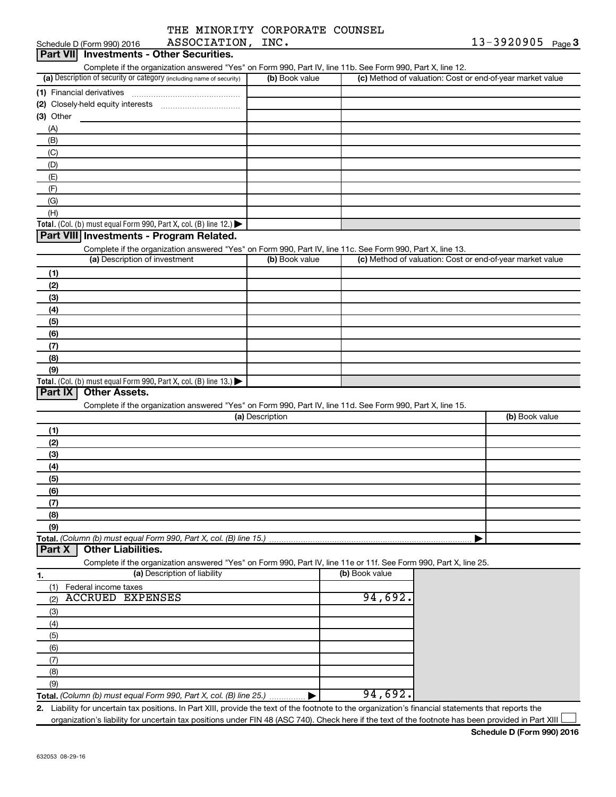| THE MINORITY CORPORATE COUNSEL |  |
|--------------------------------|--|
| ASSOCIATION, INC.              |  |

| ASSOCIATION, INC.<br>Schedule D (Form 990) 2016                                                                   |                 |                                                           | $13 - 3920905$ Page 3 |
|-------------------------------------------------------------------------------------------------------------------|-----------------|-----------------------------------------------------------|-----------------------|
| Part VII Investments - Other Securities.                                                                          |                 |                                                           |                       |
| Complete if the organization answered "Yes" on Form 990, Part IV, line 11b. See Form 990, Part X, line 12.        |                 |                                                           |                       |
| (a) Description of security or category (including name of security)                                              | (b) Book value  | (c) Method of valuation: Cost or end-of-year market value |                       |
|                                                                                                                   |                 |                                                           |                       |
|                                                                                                                   |                 |                                                           |                       |
| $(3)$ Other                                                                                                       |                 |                                                           |                       |
| (A)                                                                                                               |                 |                                                           |                       |
| (B)                                                                                                               |                 |                                                           |                       |
|                                                                                                                   |                 |                                                           |                       |
| (C)                                                                                                               |                 |                                                           |                       |
| (D)                                                                                                               |                 |                                                           |                       |
| (E)                                                                                                               |                 |                                                           |                       |
| (F)                                                                                                               |                 |                                                           |                       |
| (G)                                                                                                               |                 |                                                           |                       |
| (H)                                                                                                               |                 |                                                           |                       |
| Total. (Col. (b) must equal Form 990, Part X, col. (B) line 12.) $\blacktriangleright$                            |                 |                                                           |                       |
| Part VIII Investments - Program Related.                                                                          |                 |                                                           |                       |
| Complete if the organization answered "Yes" on Form 990, Part IV, line 11c. See Form 990, Part X, line 13.        |                 |                                                           |                       |
| (a) Description of investment                                                                                     | (b) Book value  | (c) Method of valuation: Cost or end-of-year market value |                       |
| (1)                                                                                                               |                 |                                                           |                       |
| (2)                                                                                                               |                 |                                                           |                       |
| (3)                                                                                                               |                 |                                                           |                       |
| (4)                                                                                                               |                 |                                                           |                       |
|                                                                                                                   |                 |                                                           |                       |
| (5)                                                                                                               |                 |                                                           |                       |
| (6)                                                                                                               |                 |                                                           |                       |
| (7)                                                                                                               |                 |                                                           |                       |
| (8)                                                                                                               |                 |                                                           |                       |
| (9)                                                                                                               |                 |                                                           |                       |
| Total. (Col. (b) must equal Form 990, Part X, col. (B) line $13.$ )                                               |                 |                                                           |                       |
| Part IX<br><b>Other Assets.</b>                                                                                   |                 |                                                           |                       |
| Complete if the organization answered "Yes" on Form 990, Part IV, line 11d. See Form 990, Part X, line 15.        |                 |                                                           |                       |
|                                                                                                                   | (a) Description |                                                           | (b) Book value        |
| (1)                                                                                                               |                 |                                                           |                       |
| (2)                                                                                                               |                 |                                                           |                       |
| (3)                                                                                                               |                 |                                                           |                       |
| (4)                                                                                                               |                 |                                                           |                       |
| (5)                                                                                                               |                 |                                                           |                       |
|                                                                                                                   |                 |                                                           |                       |
|                                                                                                                   |                 |                                                           |                       |
| (6)                                                                                                               |                 |                                                           |                       |
| (7)                                                                                                               |                 |                                                           |                       |
| (8)                                                                                                               |                 |                                                           |                       |
| (9)                                                                                                               |                 |                                                           |                       |
|                                                                                                                   |                 |                                                           |                       |
| Total. (Column (b) must equal Form 990, Part X, col. (B) line 15.)<br><b>Other Liabilities.</b><br>Part X         |                 |                                                           |                       |
| Complete if the organization answered "Yes" on Form 990, Part IV, line 11e or 11f. See Form 990, Part X, line 25. |                 |                                                           |                       |
| (a) Description of liability<br>1.                                                                                |                 | (b) Book value                                            |                       |
| (1)<br>Federal income taxes                                                                                       |                 |                                                           |                       |
| <b>ACCRUED EXPENSES</b><br>(2)                                                                                    |                 | 94,692.                                                   |                       |
| (3)                                                                                                               |                 |                                                           |                       |
| (4)                                                                                                               |                 |                                                           |                       |
|                                                                                                                   |                 |                                                           |                       |
| (5)                                                                                                               |                 |                                                           |                       |
| (6)                                                                                                               |                 |                                                           |                       |
| (7)                                                                                                               |                 |                                                           |                       |
| (8)                                                                                                               |                 |                                                           |                       |
| (9)<br>Total. (Column (b) must equal Form 990, Part X, col. (B) line 25.)                                         |                 | 94,692.                                                   |                       |

organization's liability for uncertain tax positions under FIN 48 (ASC 740). Check here if the text of the footnote has been provided in Part XIII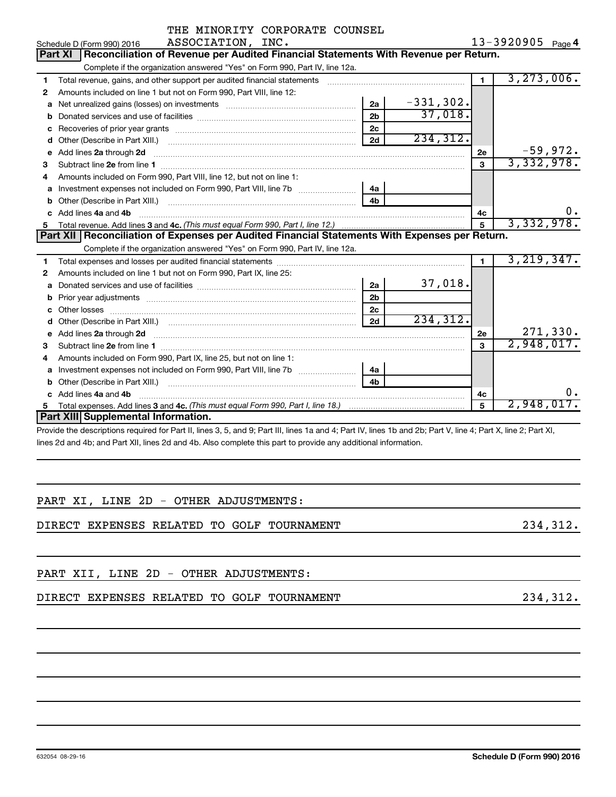|                                                                      | THE MINORITY CORPORATE COUNSEL                                                                                                                                                                                                     |                |             |                |                             |  |  |  |  |  |  |
|----------------------------------------------------------------------|------------------------------------------------------------------------------------------------------------------------------------------------------------------------------------------------------------------------------------|----------------|-------------|----------------|-----------------------------|--|--|--|--|--|--|
| 13-3920905 Page 4<br>ASSOCIATION, INC.<br>Schedule D (Form 990) 2016 |                                                                                                                                                                                                                                    |                |             |                |                             |  |  |  |  |  |  |
|                                                                      | Reconciliation of Revenue per Audited Financial Statements With Revenue per Return.<br>Part XI                                                                                                                                     |                |             |                |                             |  |  |  |  |  |  |
|                                                                      | Complete if the organization answered "Yes" on Form 990, Part IV, line 12a.                                                                                                                                                        |                |             |                |                             |  |  |  |  |  |  |
| 1                                                                    | Total revenue, gains, and other support per audited financial statements [[[[[[[[[[[[[[[[[[[[[[]]]]]]]]]]]]]]                                                                                                                      |                |             | $\blacksquare$ | 3, 273, 006.                |  |  |  |  |  |  |
| 2                                                                    | Amounts included on line 1 but not on Form 990, Part VIII, line 12:                                                                                                                                                                |                |             |                |                             |  |  |  |  |  |  |
| a                                                                    | Net unrealized gains (losses) on investments [111] [12] matter and the unrealized gains (losses) on investments                                                                                                                    | 2a             | $-331,302.$ |                |                             |  |  |  |  |  |  |
| b                                                                    |                                                                                                                                                                                                                                    | 2 <sub>b</sub> | 37,018.     |                |                             |  |  |  |  |  |  |
|                                                                      |                                                                                                                                                                                                                                    | 2c             |             |                |                             |  |  |  |  |  |  |
| d                                                                    |                                                                                                                                                                                                                                    | 2d             | 234, 312.   |                |                             |  |  |  |  |  |  |
| е                                                                    | Add lines 2a through 2d                                                                                                                                                                                                            |                |             | 2е             | $-59,972.$                  |  |  |  |  |  |  |
| 3                                                                    |                                                                                                                                                                                                                                    |                |             | 3              | 3,332,978.                  |  |  |  |  |  |  |
| 4                                                                    | Amounts included on Form 990, Part VIII, line 12, but not on line 1:                                                                                                                                                               |                |             |                |                             |  |  |  |  |  |  |
| а                                                                    |                                                                                                                                                                                                                                    | 4a             |             |                |                             |  |  |  |  |  |  |
| b                                                                    |                                                                                                                                                                                                                                    | 4 <sub>h</sub> |             |                |                             |  |  |  |  |  |  |
| c.                                                                   | Add lines 4a and 4b                                                                                                                                                                                                                |                |             | 4c             |                             |  |  |  |  |  |  |
| 5.                                                                   |                                                                                                                                                                                                                                    |                | 5           | 3,332,978.     |                             |  |  |  |  |  |  |
|                                                                      | Part XII   Reconciliation of Expenses per Audited Financial Statements With Expenses per Return.                                                                                                                                   |                |             |                |                             |  |  |  |  |  |  |
|                                                                      | Complete if the organization answered "Yes" on Form 990, Part IV, line 12a.                                                                                                                                                        |                |             |                |                             |  |  |  |  |  |  |
| 1.                                                                   |                                                                                                                                                                                                                                    |                |             | $\blacksquare$ | 3,219,347.                  |  |  |  |  |  |  |
| 2                                                                    | Amounts included on line 1 but not on Form 990, Part IX, line 25:                                                                                                                                                                  |                |             |                |                             |  |  |  |  |  |  |
| а                                                                    |                                                                                                                                                                                                                                    | 2a             | 37,018.     |                |                             |  |  |  |  |  |  |
| b                                                                    |                                                                                                                                                                                                                                    | 2 <sub>b</sub> |             |                |                             |  |  |  |  |  |  |
| с                                                                    |                                                                                                                                                                                                                                    | 2 <sub>c</sub> |             |                |                             |  |  |  |  |  |  |
| d                                                                    |                                                                                                                                                                                                                                    | 2d             | 234,312.    |                |                             |  |  |  |  |  |  |
| е                                                                    | Add lines 2a through 2d <b>contained a contained a contained a contained a</b> contained a contained a contained a contained a contact a contact a contact a contact a contact a contact a contact a contact a contact a contact a |                |             | 2e             | $\frac{271,330}{2,948,017}$ |  |  |  |  |  |  |
| 3                                                                    |                                                                                                                                                                                                                                    |                |             | $\mathbf{a}$   |                             |  |  |  |  |  |  |
| 4                                                                    | Amounts included on Form 990, Part IX, line 25, but not on line 1:                                                                                                                                                                 |                |             |                |                             |  |  |  |  |  |  |
| a                                                                    | Investment expenses not included on Form 990, Part VIII, line 7b [100] [100] [100] [100] [100] [100] [100] [10                                                                                                                     | 4a             |             |                |                             |  |  |  |  |  |  |
| b                                                                    |                                                                                                                                                                                                                                    | 4 <sub>b</sub> |             |                |                             |  |  |  |  |  |  |
|                                                                      | Add lines 4a and 4b                                                                                                                                                                                                                |                |             | 4с             | 0.                          |  |  |  |  |  |  |
| 5.                                                                   |                                                                                                                                                                                                                                    |                |             | 5              | 2,948,017.                  |  |  |  |  |  |  |
|                                                                      | Part XIII Supplemental Information.                                                                                                                                                                                                |                |             |                |                             |  |  |  |  |  |  |
|                                                                      | Dravide the descriptions required for Dart II, lines 2, 5, and 0; Dart III, lines 1e and 4; Dart IV, lines 1b and 2b; Dart V, line 4; Dart V, line 2; Dart VI                                                                      |                |             |                |                             |  |  |  |  |  |  |

Provide the descriptions required for Part II, lines 3, 5, and 9; Part III, lines 1a and 4; Part IV, lines 1b and 2b; Part V, line 4; Part X, line 2; Part XI, lines 2d and 4b; and Part XII, lines 2d and 4b. Also complete this part to provide any additional information.

|  |  |  | PART XI, LINE 2D - OTHER ADJUSTMENTS: |
|--|--|--|---------------------------------------|
|  |  |  |                                       |

DIRECT EXPENSES RELATED TO GOLF TOURNAMENT **1990 1234,312.** 

PART XII, LINE 2D - OTHER ADJUSTMENTS:

DIRECT EXPENSES RELATED TO GOLF TOURNAMENT 234,312.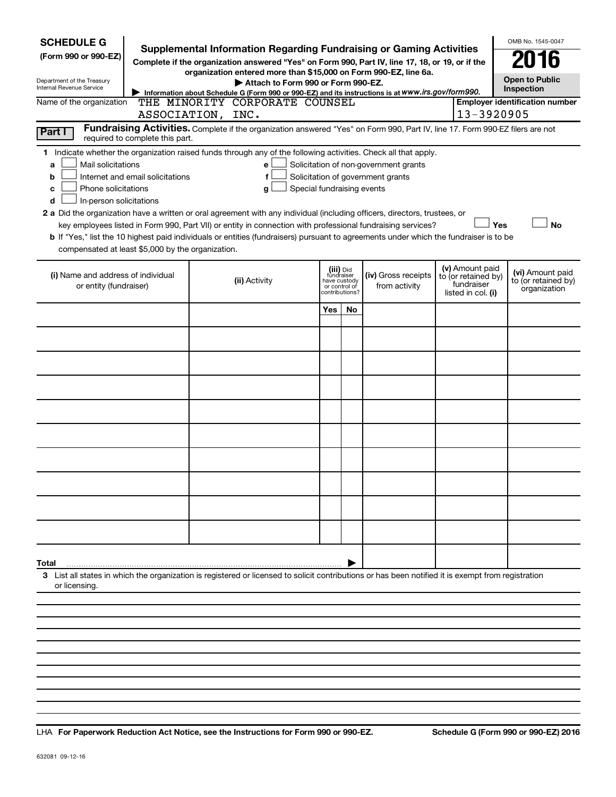| <b>SCHEDULE G</b><br>(Form 990 or 990-EZ)<br>Department of the Treasury<br><b>Internal Revenue Service</b><br>Name of the organization<br>Part I<br>required to complete this part.                                                                                                                                                                                                                                                                                                                                                                                                                                                                                                                                                                                                                                                       |  | <b>Supplemental Information Regarding Fundraising or Gaming Activities</b><br>Complete if the organization answered "Yes" on Form 990, Part IV, line 17, 18, or 19, or if the<br>organization entered more than \$15,000 on Form 990-EZ, line 6a.<br>Attach to Form 990 or Form 990-EZ.<br>Information about Schedule G (Form 990 or 990-EZ) and its instructions is at WWW.irs.gov/form990.<br>THE MINORITY CORPORATE COUNSEL<br>ASSOCIATION, INC.<br>Fundraising Activities. Complete if the organization answered "Yes" on Form 990, Part IV, line 17. Form 990-EZ filers are not |     |                                                                            |                                      |                                                                            | OMB No. 1545-0047<br><b>Open to Public</b><br>Inspection<br><b>Employer identification number</b><br>13-3920905 |  |  |
|-------------------------------------------------------------------------------------------------------------------------------------------------------------------------------------------------------------------------------------------------------------------------------------------------------------------------------------------------------------------------------------------------------------------------------------------------------------------------------------------------------------------------------------------------------------------------------------------------------------------------------------------------------------------------------------------------------------------------------------------------------------------------------------------------------------------------------------------|--|--------------------------------------------------------------------------------------------------------------------------------------------------------------------------------------------------------------------------------------------------------------------------------------------------------------------------------------------------------------------------------------------------------------------------------------------------------------------------------------------------------------------------------------------------------------------------------------|-----|----------------------------------------------------------------------------|--------------------------------------|----------------------------------------------------------------------------|-----------------------------------------------------------------------------------------------------------------|--|--|
| 1 Indicate whether the organization raised funds through any of the following activities. Check all that apply.<br>Mail solicitations<br>Solicitation of non-government grants<br>a<br>e<br>Internet and email solicitations<br>f<br>Solicitation of government grants<br>b<br>Phone solicitations<br>Special fundraising events<br>с<br>g<br>In-person solicitations<br>d<br>2 a Did the organization have a written or oral agreement with any individual (including officers, directors, trustees, or<br>Yes<br><b>No</b><br>key employees listed in Form 990, Part VII) or entity in connection with professional fundraising services?<br>b If "Yes," list the 10 highest paid individuals or entities (fundraisers) pursuant to agreements under which the fundraiser is to be<br>compensated at least \$5,000 by the organization. |  |                                                                                                                                                                                                                                                                                                                                                                                                                                                                                                                                                                                      |     |                                                                            |                                      |                                                                            |                                                                                                                 |  |  |
| (i) Name and address of individual<br>or entity (fundraiser)                                                                                                                                                                                                                                                                                                                                                                                                                                                                                                                                                                                                                                                                                                                                                                              |  | (ii) Activity                                                                                                                                                                                                                                                                                                                                                                                                                                                                                                                                                                        |     | (iii) Did<br>fundraiser<br>have custody<br>or control of<br>contributions? | (iv) Gross receipts<br>from activity | (v) Amount paid<br>to (or retained by)<br>fundraiser<br>listed in col. (i) | (vi) Amount paid<br>to (or retained by)<br>organization                                                         |  |  |
|                                                                                                                                                                                                                                                                                                                                                                                                                                                                                                                                                                                                                                                                                                                                                                                                                                           |  |                                                                                                                                                                                                                                                                                                                                                                                                                                                                                                                                                                                      | Yes | No                                                                         |                                      |                                                                            |                                                                                                                 |  |  |
|                                                                                                                                                                                                                                                                                                                                                                                                                                                                                                                                                                                                                                                                                                                                                                                                                                           |  |                                                                                                                                                                                                                                                                                                                                                                                                                                                                                                                                                                                      |     |                                                                            |                                      |                                                                            |                                                                                                                 |  |  |
|                                                                                                                                                                                                                                                                                                                                                                                                                                                                                                                                                                                                                                                                                                                                                                                                                                           |  |                                                                                                                                                                                                                                                                                                                                                                                                                                                                                                                                                                                      |     |                                                                            |                                      |                                                                            |                                                                                                                 |  |  |
|                                                                                                                                                                                                                                                                                                                                                                                                                                                                                                                                                                                                                                                                                                                                                                                                                                           |  |                                                                                                                                                                                                                                                                                                                                                                                                                                                                                                                                                                                      |     |                                                                            |                                      |                                                                            |                                                                                                                 |  |  |
|                                                                                                                                                                                                                                                                                                                                                                                                                                                                                                                                                                                                                                                                                                                                                                                                                                           |  |                                                                                                                                                                                                                                                                                                                                                                                                                                                                                                                                                                                      |     |                                                                            |                                      |                                                                            |                                                                                                                 |  |  |
|                                                                                                                                                                                                                                                                                                                                                                                                                                                                                                                                                                                                                                                                                                                                                                                                                                           |  |                                                                                                                                                                                                                                                                                                                                                                                                                                                                                                                                                                                      |     |                                                                            |                                      |                                                                            |                                                                                                                 |  |  |
|                                                                                                                                                                                                                                                                                                                                                                                                                                                                                                                                                                                                                                                                                                                                                                                                                                           |  |                                                                                                                                                                                                                                                                                                                                                                                                                                                                                                                                                                                      |     |                                                                            |                                      |                                                                            |                                                                                                                 |  |  |
|                                                                                                                                                                                                                                                                                                                                                                                                                                                                                                                                                                                                                                                                                                                                                                                                                                           |  |                                                                                                                                                                                                                                                                                                                                                                                                                                                                                                                                                                                      |     |                                                                            |                                      |                                                                            |                                                                                                                 |  |  |
|                                                                                                                                                                                                                                                                                                                                                                                                                                                                                                                                                                                                                                                                                                                                                                                                                                           |  |                                                                                                                                                                                                                                                                                                                                                                                                                                                                                                                                                                                      |     |                                                                            |                                      |                                                                            |                                                                                                                 |  |  |
|                                                                                                                                                                                                                                                                                                                                                                                                                                                                                                                                                                                                                                                                                                                                                                                                                                           |  |                                                                                                                                                                                                                                                                                                                                                                                                                                                                                                                                                                                      |     |                                                                            |                                      |                                                                            |                                                                                                                 |  |  |
| Total                                                                                                                                                                                                                                                                                                                                                                                                                                                                                                                                                                                                                                                                                                                                                                                                                                     |  |                                                                                                                                                                                                                                                                                                                                                                                                                                                                                                                                                                                      |     |                                                                            |                                      |                                                                            |                                                                                                                 |  |  |
| or licensing                                                                                                                                                                                                                                                                                                                                                                                                                                                                                                                                                                                                                                                                                                                                                                                                                              |  | 3 List all states in which the organization is registered or licensed to solicit contributions or has been notified it is exempt from registration                                                                                                                                                                                                                                                                                                                                                                                                                                   |     |                                                                            |                                      |                                                                            |                                                                                                                 |  |  |
|                                                                                                                                                                                                                                                                                                                                                                                                                                                                                                                                                                                                                                                                                                                                                                                                                                           |  |                                                                                                                                                                                                                                                                                                                                                                                                                                                                                                                                                                                      |     |                                                                            |                                      |                                                                            |                                                                                                                 |  |  |
|                                                                                                                                                                                                                                                                                                                                                                                                                                                                                                                                                                                                                                                                                                                                                                                                                                           |  |                                                                                                                                                                                                                                                                                                                                                                                                                                                                                                                                                                                      |     |                                                                            |                                      |                                                                            |                                                                                                                 |  |  |
|                                                                                                                                                                                                                                                                                                                                                                                                                                                                                                                                                                                                                                                                                                                                                                                                                                           |  |                                                                                                                                                                                                                                                                                                                                                                                                                                                                                                                                                                                      |     |                                                                            |                                      |                                                                            |                                                                                                                 |  |  |

**For Paperwork Reduction Act Notice, see the Instructions for Form 990 or 990-EZ. Schedule G (Form 990 or 990-EZ) 2016** LHA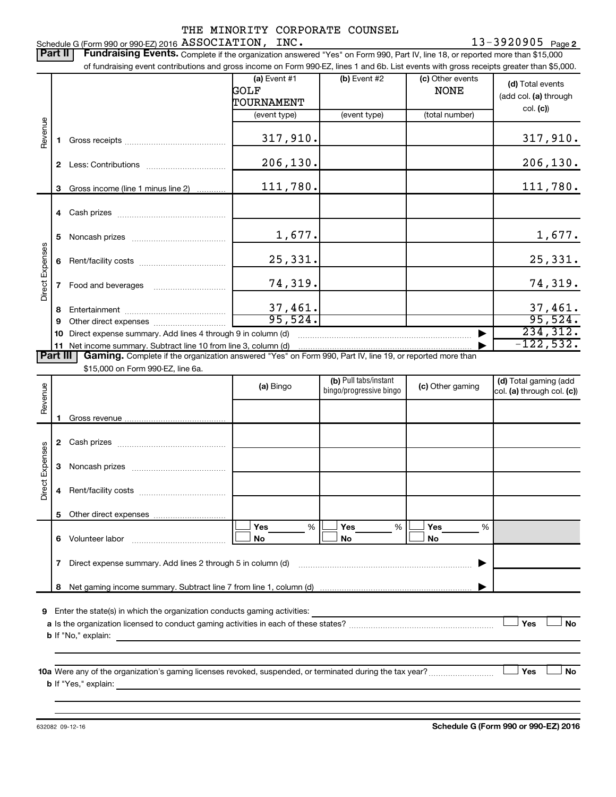13-3920905 <sub>Page 2</sub> Schedule G (Form 990 or 990-EZ) 2016 Page ASSOCIATION, INC. 13-3920905

Part II | Fundraising Events. Complete if the organization answered "Yes" on Form 990, Part IV, line 18, or reported more than \$15,000 of fundraising event contributions and gross income on Form 990-EZ, lines 1 and 6b. List events with gross receipts greater than \$5,000. **(a)** Event #1  $\vert$  **(b)** Event #2 (c) Other events **(d)**  Total events GOLF NONE (add col. (a) through TOURNAMENT col. **(c)**) (event type) (event type) (total number) Revenue 317,910. 317,910. **1** Gross receipts ~~~~~~~~~~~~~~ 206,130. 206,130. **2** Less: Contributions ~~~~~~~~~~~ 111,780. **3** Gross income (line 1 minus line 2) . . . . . . . . . . . . **4** Cash prizes ~~~~~~~~~~~~~~~ 1,677. 1,677. **5** Noncash prizes ~~~~~~~~~~~~~ Direct Expenses Direct Expenses 25,331. 25,331. **6** Rent/facility costs ~~~~~~~~~~~~ 74,319. 74,319. **7** Food and beverages **with the State Proof** 37,461. 37,461. **8** Entertainment ~~~~~~~~~~~~~~ 95,524. **9** Other direct expenses  $\ldots$  **............................** 234,312. **10** Direct expense summary. Add lines 4 through 9 in column (d)  $~\bullet~$ -122,532.**11** Net income summary. Subtract line 10 from line 3, column (d) | Part III | Gaming. Complete if the organization answered "Yes" on Form 990, Part IV, line 19, or reported more than \$15,000 on Form 990-EZ, line 6a. (b) Pull tabs/instant (d) Total gaming (add Revenue **(a)** Bingo **a b**ingo/progressive bingo **(c)** Other gaming bingo/progressive bingo col. (a) through col. (c)) Gross revenue .. **1 2** Cash prizes ~~~~~~~~~~~~~~~ Direct Expenses Direct Expenses **3** Noncash prizes ~~~~~~~~~~~~~ **4** Rent/facility costs ~~~~~~~~~~~~ **5** Other direct expenses  $|\Box$  Yes  $\qquad \%$   $|\Box$  Yes  $\qquad \%$   $|\Box$ **Yes Yes Yes** % % %  $|\Box$  No  $|\Box$  No  $|\Box$ **6** Volunteer labor ~~~~~~~~~~~~~ **No No No 7** Direct expense summary. Add lines 2 through 5 in column (d) ~~~~~~~~~~~~~~~~~~~~~~~~ | **8** Net gaming income summary. Subtract line 7 from line 1, column (d) | **9** Enter the state(s) in which the organization conducts gaming activities:  $\Box$  Yes  $\Box$  No **a** Is the organization licensed to conduct gaming activities in each of these states? ~~~~~~~~~~~~~~~~~~~~ **b** If "No," explain: **10 a Yes No** Were any of the organization's gaming licenses revoked, suspended, or terminated during the tax year? ~~~~~~~~~ † † **b** If "Yes," explain:

632082 09-12-16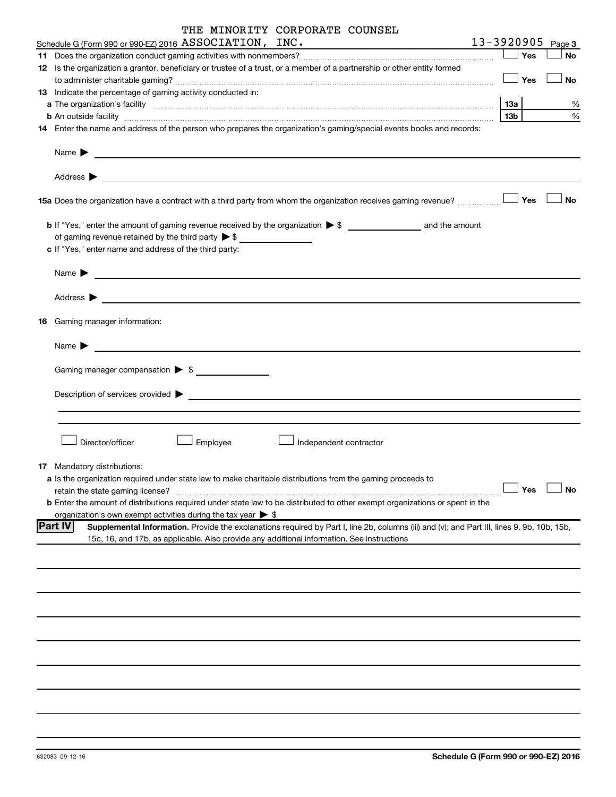|                | THE MINORITY CORPORATE COUNSEL                                                                                                              |                 |     |                   |
|----------------|---------------------------------------------------------------------------------------------------------------------------------------------|-----------------|-----|-------------------|
|                | Schedule G (Form 990 or 990-EZ) 2016 ASSOCIATION, INC.                                                                                      |                 |     | 13-3920905 Page 3 |
|                |                                                                                                                                             |                 | Yes | <b>No</b>         |
|                | 12 Is the organization a grantor, beneficiary or trustee of a trust, or a member of a partnership or other entity formed                    |                 |     |                   |
|                |                                                                                                                                             |                 | Yes | <b>No</b>         |
|                | <b>13</b> Indicate the percentage of gaming activity conducted in:                                                                          |                 |     |                   |
|                | a The organization's facility www.communication.communication.communications.com/                                                           | 13a             |     | ℅                 |
|                | <b>b</b> An outside facility <i>www.communicality.communicality.communicality www.communicality.communicality.communicality</i>             | 13 <sub>b</sub> |     | %                 |
|                | 14 Enter the name and address of the person who prepares the organization's gaming/special events books and records:                        |                 |     |                   |
|                |                                                                                                                                             |                 |     |                   |
|                |                                                                                                                                             |                 |     |                   |
|                |                                                                                                                                             |                 |     |                   |
|                |                                                                                                                                             |                 |     |                   |
|                |                                                                                                                                             |                 |     |                   |
|                |                                                                                                                                             |                 |     | <b>No</b>         |
|                |                                                                                                                                             |                 |     |                   |
|                |                                                                                                                                             |                 |     |                   |
|                | of gaming revenue retained by the third party $\triangleright$ \$                                                                           |                 |     |                   |
|                | c If "Yes," enter name and address of the third party:                                                                                      |                 |     |                   |
|                |                                                                                                                                             |                 |     |                   |
|                | Name $\blacktriangleright$ $\frac{1}{\sqrt{1-\frac{1}{2}}\left(1-\frac{1}{2}\right)}$                                                       |                 |     |                   |
|                |                                                                                                                                             |                 |     |                   |
|                |                                                                                                                                             |                 |     |                   |
|                |                                                                                                                                             |                 |     |                   |
|                | 16 Gaming manager information:                                                                                                              |                 |     |                   |
|                |                                                                                                                                             |                 |     |                   |
|                | Name $\blacktriangleright$                                                                                                                  |                 |     |                   |
|                |                                                                                                                                             |                 |     |                   |
|                | Gaming manager compensation > \$                                                                                                            |                 |     |                   |
|                |                                                                                                                                             |                 |     |                   |
|                |                                                                                                                                             |                 |     |                   |
|                |                                                                                                                                             |                 |     |                   |
|                |                                                                                                                                             |                 |     |                   |
|                |                                                                                                                                             |                 |     |                   |
|                | Director/officer<br>Employee<br>Independent contractor                                                                                      |                 |     |                   |
|                |                                                                                                                                             |                 |     |                   |
|                | <b>17</b> Mandatory distributions:                                                                                                          |                 |     |                   |
|                | a Is the organization required under state law to make charitable distributions from the gaming proceeds to                                 |                 |     |                   |
|                | retain the state gaming license?                                                                                                            |                 | Yes | No                |
|                | b Enter the amount of distributions required under state law to be distributed to other exempt organizations or spent in the                |                 |     |                   |
|                | organization's own exempt activities during the tax year $\triangleright$ \$                                                                |                 |     |                   |
| <b>Part IV</b> | Supplemental Information. Provide the explanations required by Part I, line 2b, columns (iii) and (v); and Part III, lines 9, 9b, 10b, 15b, |                 |     |                   |
|                | 15c, 16, and 17b, as applicable. Also provide any additional information. See instructions                                                  |                 |     |                   |
|                |                                                                                                                                             |                 |     |                   |
|                |                                                                                                                                             |                 |     |                   |
|                |                                                                                                                                             |                 |     |                   |
|                |                                                                                                                                             |                 |     |                   |
|                |                                                                                                                                             |                 |     |                   |
|                |                                                                                                                                             |                 |     |                   |
|                |                                                                                                                                             |                 |     |                   |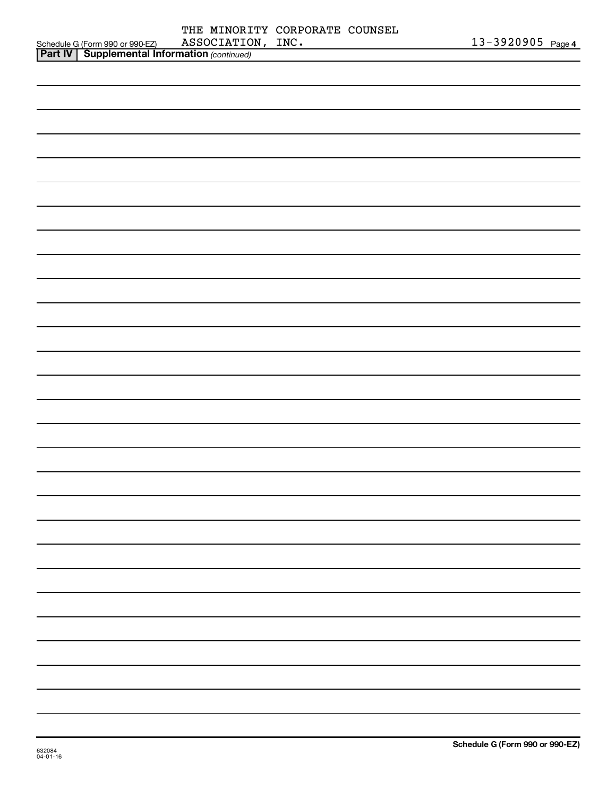|                                                                                                     |                   | THE MINORITY CORPORATE COUNSEL |                   |  |
|-----------------------------------------------------------------------------------------------------|-------------------|--------------------------------|-------------------|--|
| Schedule G (Form 990 or 990-EZ) ASSOCIATIO<br><b>Part IV   Supplemental Information</b> (continued) | ASSOCIATION, INC. |                                | 13-3920905 Page 4 |  |
|                                                                                                     |                   |                                |                   |  |
|                                                                                                     |                   |                                |                   |  |
|                                                                                                     |                   |                                |                   |  |
|                                                                                                     |                   |                                |                   |  |
|                                                                                                     |                   |                                |                   |  |
|                                                                                                     |                   |                                |                   |  |
|                                                                                                     |                   |                                |                   |  |
|                                                                                                     |                   |                                |                   |  |
|                                                                                                     |                   |                                |                   |  |
|                                                                                                     |                   |                                |                   |  |
|                                                                                                     |                   |                                |                   |  |
|                                                                                                     |                   |                                |                   |  |
|                                                                                                     |                   |                                |                   |  |
|                                                                                                     |                   |                                |                   |  |
|                                                                                                     |                   |                                |                   |  |
|                                                                                                     |                   |                                |                   |  |
|                                                                                                     |                   |                                |                   |  |
|                                                                                                     |                   |                                |                   |  |
|                                                                                                     |                   |                                |                   |  |
|                                                                                                     |                   |                                |                   |  |
|                                                                                                     |                   |                                |                   |  |
|                                                                                                     |                   |                                |                   |  |
|                                                                                                     |                   |                                |                   |  |
|                                                                                                     |                   |                                |                   |  |
|                                                                                                     |                   |                                |                   |  |
|                                                                                                     |                   |                                |                   |  |
|                                                                                                     |                   |                                |                   |  |
|                                                                                                     |                   |                                |                   |  |
|                                                                                                     |                   |                                |                   |  |
|                                                                                                     |                   |                                |                   |  |
|                                                                                                     |                   |                                |                   |  |
|                                                                                                     |                   |                                |                   |  |
|                                                                                                     |                   |                                |                   |  |
|                                                                                                     |                   |                                |                   |  |
|                                                                                                     |                   |                                |                   |  |
|                                                                                                     |                   |                                |                   |  |
|                                                                                                     |                   |                                |                   |  |
|                                                                                                     |                   |                                |                   |  |
|                                                                                                     |                   |                                |                   |  |
|                                                                                                     |                   |                                |                   |  |
|                                                                                                     |                   |                                |                   |  |
|                                                                                                     |                   |                                |                   |  |
|                                                                                                     |                   |                                |                   |  |
|                                                                                                     |                   |                                |                   |  |
|                                                                                                     |                   |                                |                   |  |
|                                                                                                     |                   |                                |                   |  |
|                                                                                                     |                   |                                |                   |  |
|                                                                                                     |                   |                                |                   |  |
|                                                                                                     |                   |                                |                   |  |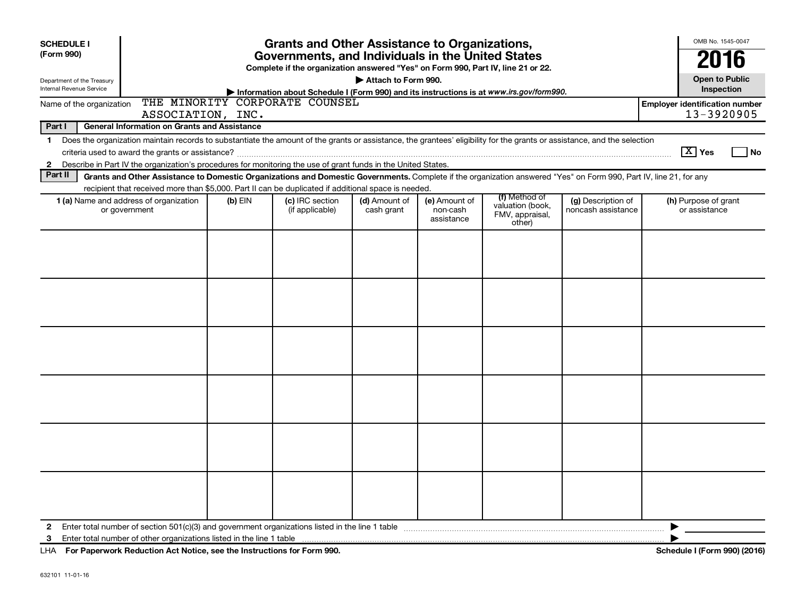| <b>SCHEDULE I</b><br>(Form 990)<br>Department of the Treasury<br>Internal Revenue Service | <b>Grants and Other Assistance to Organizations,</b><br>Governments, and Individuals in the United States<br>Complete if the organization answered "Yes" on Form 990, Part IV, line 21 or 22.<br>Attach to Form 990.<br>Information about Schedule I (Form 990) and its instructions is at www.irs.gov/form990. |         |                                    |                             |                                         |                                                                |                                          |                                                     |  |  |  |
|-------------------------------------------------------------------------------------------|-----------------------------------------------------------------------------------------------------------------------------------------------------------------------------------------------------------------------------------------------------------------------------------------------------------------|---------|------------------------------------|-----------------------------|-----------------------------------------|----------------------------------------------------------------|------------------------------------------|-----------------------------------------------------|--|--|--|
| Name of the organization                                                                  | ASSOCIATION, INC.                                                                                                                                                                                                                                                                                               |         | THE MINORITY CORPORATE COUNSEL     |                             |                                         |                                                                |                                          | <b>Employer identification number</b><br>13-3920905 |  |  |  |
| Part I                                                                                    | <b>General Information on Grants and Assistance</b>                                                                                                                                                                                                                                                             |         |                                    |                             |                                         |                                                                |                                          |                                                     |  |  |  |
| $\mathbf 1$<br>$\mathbf{2}$                                                               | Does the organization maintain records to substantiate the amount of the grants or assistance, the grantees' eligibility for the grants or assistance, and the selection<br>Describe in Part IV the organization's procedures for monitoring the use of grant funds in the United States.                       |         |                                    |                             |                                         |                                                                |                                          | $\boxed{\text{X}}$ Yes<br>l No                      |  |  |  |
| Part II                                                                                   | Grants and Other Assistance to Domestic Organizations and Domestic Governments. Complete if the organization answered "Yes" on Form 990, Part IV, line 21, for any                                                                                                                                              |         |                                    |                             |                                         |                                                                |                                          |                                                     |  |  |  |
|                                                                                           | recipient that received more than \$5,000. Part II can be duplicated if additional space is needed.<br>1 (a) Name and address of organization<br>or government                                                                                                                                                  | (b) EIN | (c) IRC section<br>(if applicable) | (d) Amount of<br>cash grant | (e) Amount of<br>non-cash<br>assistance | (f) Method of<br>valuation (book,<br>FMV, appraisal,<br>other) | (g) Description of<br>noncash assistance | (h) Purpose of grant<br>or assistance               |  |  |  |
|                                                                                           |                                                                                                                                                                                                                                                                                                                 |         |                                    |                             |                                         |                                                                |                                          |                                                     |  |  |  |
|                                                                                           |                                                                                                                                                                                                                                                                                                                 |         |                                    |                             |                                         |                                                                |                                          |                                                     |  |  |  |
|                                                                                           |                                                                                                                                                                                                                                                                                                                 |         |                                    |                             |                                         |                                                                |                                          |                                                     |  |  |  |
|                                                                                           |                                                                                                                                                                                                                                                                                                                 |         |                                    |                             |                                         |                                                                |                                          |                                                     |  |  |  |
|                                                                                           |                                                                                                                                                                                                                                                                                                                 |         |                                    |                             |                                         |                                                                |                                          |                                                     |  |  |  |
|                                                                                           |                                                                                                                                                                                                                                                                                                                 |         |                                    |                             |                                         |                                                                |                                          |                                                     |  |  |  |
| $\mathbf{2}$<br>3                                                                         |                                                                                                                                                                                                                                                                                                                 |         |                                    |                             |                                         |                                                                |                                          | ▶                                                   |  |  |  |

**For Paperwork Reduction Act Notice, see the Instructions for Form 990. Schedule I (Form 990) (2016)** LHA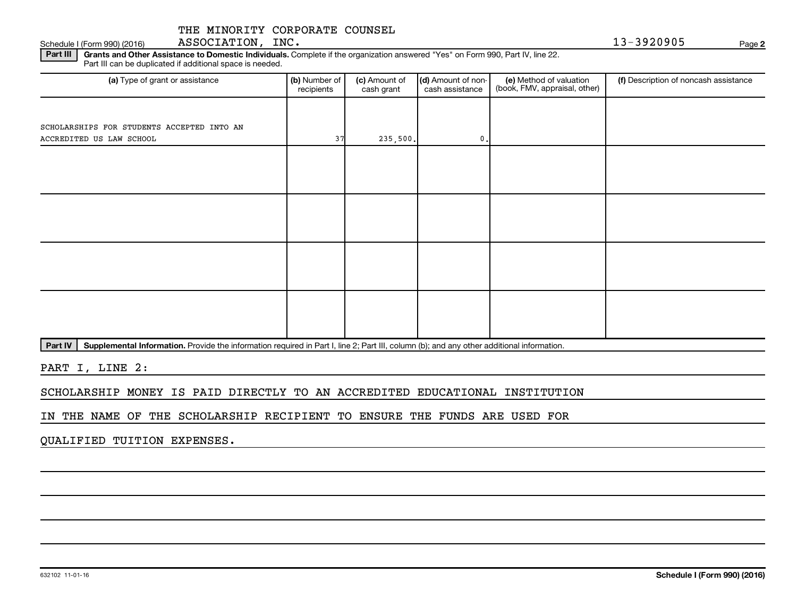632102 11-01-16

Part III | Grants and Other Assistance to Domestic Individuals. Complete if the organization answered "Yes" on Form 990, Part IV, line 22. Part III can be duplicated if additional space is needed.

| (a) Type of grant or assistance            | (b) Number of<br>(c) Amount of<br>recipients<br>cash grant |          | (d) Amount of non-<br>cash assistance | (e) Method of valuation<br>(book, FMV, appraisal, other) | (f) Description of noncash assistance |  |  |
|--------------------------------------------|------------------------------------------------------------|----------|---------------------------------------|----------------------------------------------------------|---------------------------------------|--|--|
|                                            |                                                            |          |                                       |                                                          |                                       |  |  |
| SCHOLARSHIPS FOR STUDENTS ACCEPTED INTO AN |                                                            |          |                                       |                                                          |                                       |  |  |
| ACCREDITED US LAW SCHOOL                   | 37                                                         | 235,500. | $\mathbf{0}$ .                        |                                                          |                                       |  |  |
|                                            |                                                            |          |                                       |                                                          |                                       |  |  |
|                                            |                                                            |          |                                       |                                                          |                                       |  |  |
|                                            |                                                            |          |                                       |                                                          |                                       |  |  |
|                                            |                                                            |          |                                       |                                                          |                                       |  |  |
|                                            |                                                            |          |                                       |                                                          |                                       |  |  |
|                                            |                                                            |          |                                       |                                                          |                                       |  |  |
|                                            |                                                            |          |                                       |                                                          |                                       |  |  |
|                                            |                                                            |          |                                       |                                                          |                                       |  |  |
|                                            |                                                            |          |                                       |                                                          |                                       |  |  |
|                                            |                                                            |          |                                       |                                                          |                                       |  |  |
|                                            |                                                            |          |                                       |                                                          |                                       |  |  |
|                                            |                                                            |          |                                       |                                                          |                                       |  |  |

Part IV | Supplemental Information. Provide the information required in Part I, line 2; Part III, column (b); and any other additional information.

PART I, LINE 2:

SCHOLARSHIP MONEY IS PAID DIRECTLY TO AN ACCREDITED EDUCATIONAL INSTITUTION

IN THE NAME OF THE SCHOLARSHIP RECIPIENT TO ENSURE THE FUNDS ARE USED FOR

QUALIFIED TUITION EXPENSES.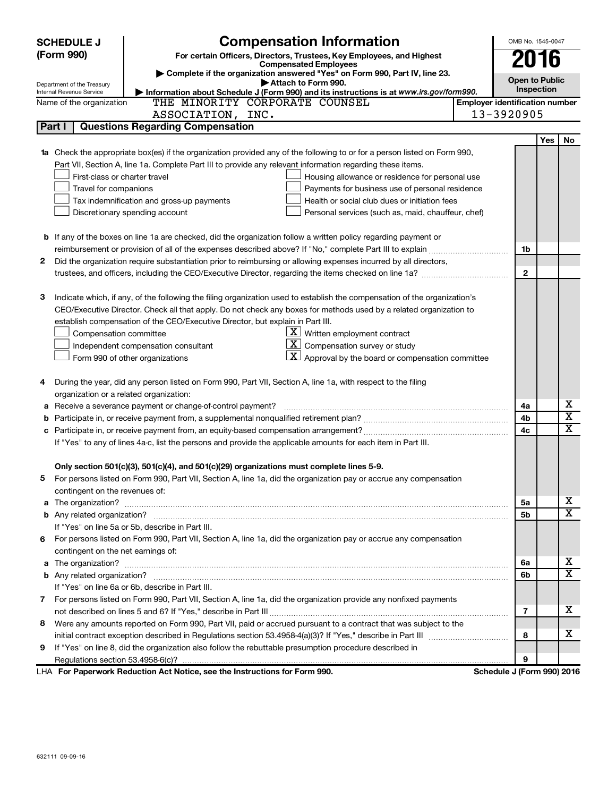|              | <b>SCHEDULE J</b>                       | <b>Compensation Information</b>                                                                                           |                                       | OMB No. 1545-0047 |            |                         |
|--------------|-----------------------------------------|---------------------------------------------------------------------------------------------------------------------------|---------------------------------------|-------------------|------------|-------------------------|
|              | (Form 990)                              | For certain Officers, Directors, Trustees, Key Employees, and Highest                                                     |                                       | 2016              |            |                         |
|              |                                         | <b>Compensated Employees</b><br>Complete if the organization answered "Yes" on Form 990, Part IV, line 23.                |                                       |                   |            |                         |
|              | Department of the Treasury              | Attach to Form 990.                                                                                                       | <b>Open to Public</b>                 |                   |            |                         |
|              | Internal Revenue Service                | Information about Schedule J (Form 990) and its instructions is at www.irs.gov/form990.<br>THE MINORITY CORPORATE COUNSEL | <b>Employer identification number</b> | <b>Inspection</b> |            |                         |
|              | Name of the organization                | ASSOCIATION, INC.                                                                                                         | 13-3920905                            |                   |            |                         |
| Part I       |                                         | <b>Questions Regarding Compensation</b>                                                                                   |                                       |                   |            |                         |
|              |                                         |                                                                                                                           |                                       |                   | <b>Yes</b> | No                      |
| 1a           |                                         | Check the appropriate box(es) if the organization provided any of the following to or for a person listed on Form 990,    |                                       |                   |            |                         |
|              |                                         | Part VII, Section A, line 1a. Complete Part III to provide any relevant information regarding these items.                |                                       |                   |            |                         |
|              | First-class or charter travel           | Housing allowance or residence for personal use                                                                           |                                       |                   |            |                         |
|              | Travel for companions                   | Payments for business use of personal residence                                                                           |                                       |                   |            |                         |
|              |                                         | Health or social club dues or initiation fees<br>Tax indemnification and gross-up payments                                |                                       |                   |            |                         |
|              |                                         | Discretionary spending account<br>Personal services (such as, maid, chauffeur, chef)                                      |                                       |                   |            |                         |
|              |                                         |                                                                                                                           |                                       |                   |            |                         |
|              |                                         | <b>b</b> If any of the boxes on line 1a are checked, did the organization follow a written policy regarding payment or    |                                       |                   |            |                         |
|              |                                         | reimbursement or provision of all of the expenses described above? If "No," complete Part III to explain                  |                                       | 1b                |            |                         |
| $\mathbf{2}$ |                                         | Did the organization require substantiation prior to reimbursing or allowing expenses incurred by all directors,          |                                       |                   |            |                         |
|              |                                         |                                                                                                                           |                                       | $\mathbf{2}$      |            |                         |
|              |                                         |                                                                                                                           |                                       |                   |            |                         |
| 3            |                                         | Indicate which, if any, of the following the filing organization used to establish the compensation of the organization's |                                       |                   |            |                         |
|              |                                         | CEO/Executive Director. Check all that apply. Do not check any boxes for methods used by a related organization to        |                                       |                   |            |                         |
|              |                                         | establish compensation of the CEO/Executive Director, but explain in Part III.                                            |                                       |                   |            |                         |
|              | Compensation committee                  | $\underline{\mathbf{X}}$ Written employment contract                                                                      |                                       |                   |            |                         |
|              |                                         | $\underline{\mathbf{X}}$ Compensation survey or study<br>Independent compensation consultant                              |                                       |                   |            |                         |
|              |                                         | $\boxed{\textbf{X}}$ Approval by the board or compensation committee<br>Form 990 of other organizations                   |                                       |                   |            |                         |
|              |                                         |                                                                                                                           |                                       |                   |            |                         |
| 4            |                                         | During the year, did any person listed on Form 990, Part VII, Section A, line 1a, with respect to the filing              |                                       |                   |            |                         |
|              | organization or a related organization: |                                                                                                                           |                                       |                   |            |                         |
| а            |                                         | Receive a severance payment or change-of-control payment?                                                                 |                                       | 4a                |            | х                       |
| b            |                                         |                                                                                                                           |                                       | 4b                |            | $\overline{\textbf{x}}$ |
|              |                                         |                                                                                                                           |                                       | 4c                |            | $\overline{\mathbf{X}}$ |
|              |                                         | If "Yes" to any of lines 4a-c, list the persons and provide the applicable amounts for each item in Part III.             |                                       |                   |            |                         |
|              |                                         |                                                                                                                           |                                       |                   |            |                         |
|              |                                         | Only section 501(c)(3), 501(c)(4), and 501(c)(29) organizations must complete lines 5-9.                                  |                                       |                   |            |                         |
|              |                                         | For persons listed on Form 990, Part VII, Section A, line 1a, did the organization pay or accrue any compensation         |                                       |                   |            |                         |
|              | contingent on the revenues of:          |                                                                                                                           |                                       |                   |            |                         |
|              |                                         | a The organization? <b>Entitation</b> 2008 Communication of the organization of the organization?                         |                                       | 5a                |            | х                       |
|              |                                         |                                                                                                                           |                                       | 5b                |            | $\overline{\textbf{x}}$ |
|              |                                         | If "Yes" on line 5a or 5b, describe in Part III.                                                                          |                                       |                   |            |                         |
|              |                                         | 6 For persons listed on Form 990, Part VII, Section A, line 1a, did the organization pay or accrue any compensation       |                                       |                   |            |                         |
|              | contingent on the net earnings of:      |                                                                                                                           |                                       |                   |            |                         |
|              |                                         |                                                                                                                           |                                       | 6а                |            | х                       |
|              |                                         |                                                                                                                           |                                       | 6b                |            | $\overline{\mathbf{X}}$ |
|              |                                         | If "Yes" on line 6a or 6b, describe in Part III.                                                                          |                                       |                   |            |                         |
|              |                                         | 7 For persons listed on Form 990, Part VII, Section A, line 1a, did the organization provide any nonfixed payments        |                                       |                   |            |                         |
|              |                                         |                                                                                                                           |                                       | 7                 |            | х                       |
| 8            |                                         | Were any amounts reported on Form 990, Part VII, paid or accrued pursuant to a contract that was subject to the           |                                       |                   |            |                         |
|              |                                         |                                                                                                                           |                                       | 8                 |            | х                       |
| 9            |                                         | If "Yes" on line 8, did the organization also follow the rebuttable presumption procedure described in                    |                                       |                   |            |                         |
|              |                                         |                                                                                                                           |                                       | 9                 |            |                         |
|              |                                         | LHA For Paperwork Reduction Act Notice, see the Instructions for Form 990.                                                | Schedule J (Form 990) 2016            |                   |            |                         |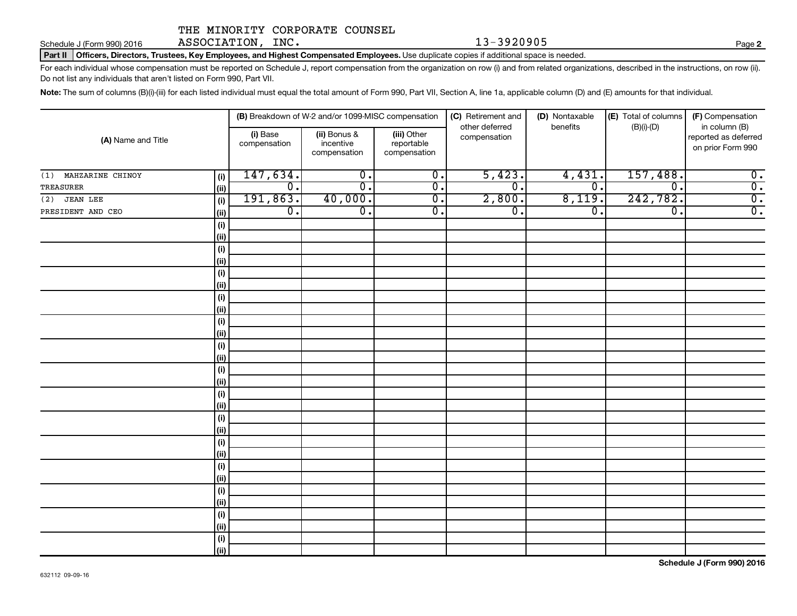Schedule J (Form 990) 2016 ASSOCIATION,INC. 13-3920905 Page

**2**

Part II | Officers, Directors, Trustees, Key Employees, and Highest Compensated Employees. Use duplicate copies if additional space is needed.

For each individual whose compensation must be reported on Schedule J, report compensation from the organization on row (i) and from related organizations, described in the instructions, on row (ii). Do not list any individuals that aren't listed on Form 990, Part VII.

Note: The sum of columns (B)(i)-(iii) for each listed individual must equal the total amount of Form 990, Part VII, Section A, line 1a, applicable column (D) and (E) amounts for that individual.

|                         |             |                          | (B) Breakdown of W-2 and/or 1099-MISC compensation |                                           | (C) Retirement and             | (D) Nontaxable   | (E) Total of columns | (F) Compensation                                           |  |
|-------------------------|-------------|--------------------------|----------------------------------------------------|-------------------------------------------|--------------------------------|------------------|----------------------|------------------------------------------------------------|--|
| (A) Name and Title      |             | (i) Base<br>compensation | (ii) Bonus &<br>incentive<br>compensation          | (iii) Other<br>reportable<br>compensation | other deferred<br>compensation | benefits         | $(B)(i)-(D)$         | in column (B)<br>reported as deferred<br>on prior Form 990 |  |
| MAHZARINE CHINOY<br>(1) | (i)         | 147,634.                 | $\overline{0}$ .                                   | $\overline{0}$ .                          | 5,423.                         | 4,431.           | 157,488.             | $\overline{0}$ .                                           |  |
| TREASURER               | (ii)        | $\overline{0}$ .         | $\overline{\mathfrak{o}}$ .                        | $\overline{0}$ .                          | $\overline{\mathfrak{o}}$ .    | $\overline{0}$ . | 0.                   | $\overline{0}$ .                                           |  |
| $(2)$ JEAN LEE          | (i)         | 191,863.                 | 40,000.                                            | $\overline{0}$ .                          | 2,800.                         | 8,119.           | 242,782.             | $\overline{0}$ .                                           |  |
| PRESIDENT AND CEO       | (ii)        | $\overline{0}$ .         | $\overline{\mathfrak{o}}$ .                        | $\overline{0}$ .                          | $\overline{\mathfrak{o}}$ .    | $\overline{0}$ . | $\overline{0}$ .     | $\overline{0}$ .                                           |  |
|                         | (i)         |                          |                                                    |                                           |                                |                  |                      |                                                            |  |
|                         | (ii)        |                          |                                                    |                                           |                                |                  |                      |                                                            |  |
|                         | (i)         |                          |                                                    |                                           |                                |                  |                      |                                                            |  |
|                         | (i)         |                          |                                                    |                                           |                                |                  |                      |                                                            |  |
|                         | (i)         |                          |                                                    |                                           |                                |                  |                      |                                                            |  |
|                         | (i)         |                          |                                                    |                                           |                                |                  |                      |                                                            |  |
|                         | (i)         |                          |                                                    |                                           |                                |                  |                      |                                                            |  |
|                         | (i)         |                          |                                                    |                                           |                                |                  |                      |                                                            |  |
|                         | (i)         |                          |                                                    |                                           |                                |                  |                      |                                                            |  |
|                         | (i)         |                          |                                                    |                                           |                                |                  |                      |                                                            |  |
|                         | (i)         |                          |                                                    |                                           |                                |                  |                      |                                                            |  |
|                         | (ii)        |                          |                                                    |                                           |                                |                  |                      |                                                            |  |
|                         | (i)         |                          |                                                    |                                           |                                |                  |                      |                                                            |  |
|                         | (ii)        |                          |                                                    |                                           |                                |                  |                      |                                                            |  |
|                         | (i)<br>(ii) |                          |                                                    |                                           |                                |                  |                      |                                                            |  |
|                         | (i)         |                          |                                                    |                                           |                                |                  |                      |                                                            |  |
|                         | (ii)        |                          |                                                    |                                           |                                |                  |                      |                                                            |  |
|                         | (i)         |                          |                                                    |                                           |                                |                  |                      |                                                            |  |
|                         | (ii)        |                          |                                                    |                                           |                                |                  |                      |                                                            |  |
|                         | (i)         |                          |                                                    |                                           |                                |                  |                      |                                                            |  |
|                         | (ii)        |                          |                                                    |                                           |                                |                  |                      |                                                            |  |
|                         | (i)         |                          |                                                    |                                           |                                |                  |                      |                                                            |  |
|                         | (ii)        |                          |                                                    |                                           |                                |                  |                      |                                                            |  |
|                         | (i)         |                          |                                                    |                                           |                                |                  |                      |                                                            |  |
|                         | (ii)        |                          |                                                    |                                           |                                |                  |                      |                                                            |  |
|                         | (i)         |                          |                                                    |                                           |                                |                  |                      |                                                            |  |
|                         | (ii)        |                          |                                                    |                                           |                                |                  |                      |                                                            |  |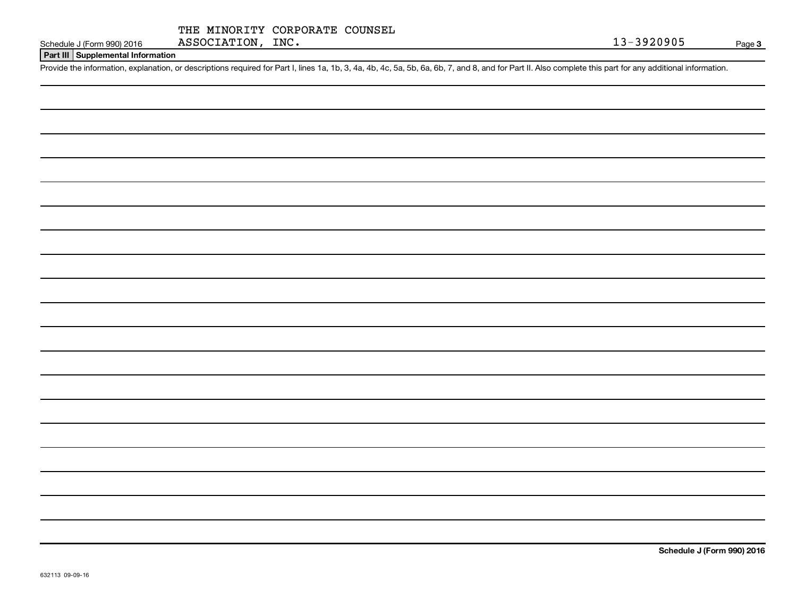|  | THE MINORITY CORPORATE COUNSEL |  |
|--|--------------------------------|--|
|  |                                |  |

#### **Part III Supplemental Information**

Provide the information, explanation, or descriptions required for Part I, lines 1a, 1b, 3, 4a, 4b, 4c, 5a, 5b, 6a, 6b, 7, and 8, and for Part II. Also complete this part for any additional information.

**Schedule J (Form 990) 2016**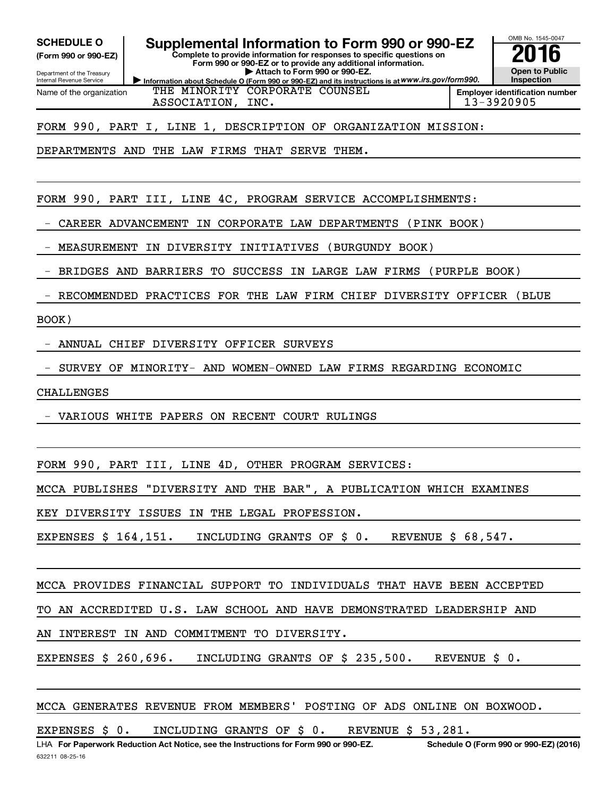**(Form 990 or 990-EZ)**

Department of the Treasury Internal Revenue Service Name of the organization

SCHEDULE O **Supplemental Information to Form 990 or 990-EZ** 2016<br>(Form 990 or 990-EZ) **2016** 

**Complete to provide information for responses to specific questions on Form 990 or 990-EZ or to provide any additional information. | Attach to Form 990 or 990-EZ.**



**Information about Schedule O (Form 990 or 990-EZ) and its instructions is at WWW.irs.gov/form990.** THE MINORITY CORPORATE COUNSEL ASSOCIATION, INC. 13-3920905

FORM 990, PART I, LINE 1, DESCRIPTION OF ORGANIZATION MISSION:

DEPARTMENTS AND THE LAW FIRMS THAT SERVE THEM.

FORM 990, PART III, LINE 4C, PROGRAM SERVICE ACCOMPLISHMENTS:

- CAREER ADVANCEMENT IN CORPORATE LAW DEPARTMENTS (PINK BOOK)

- MEASUREMENT IN DIVERSITY INITIATIVES (BURGUNDY BOOK)

- BRIDGES AND BARRIERS TO SUCCESS IN LARGE LAW FIRMS (PURPLE BOOK)

- RECOMMENDED PRACTICES FOR THE LAW FIRM CHIEF DIVERSITY OFFICER (BLUE

BOOK)

- ANNUAL CHIEF DIVERSITY OFFICER SURVEYS

- SURVEY OF MINORITY- AND WOMEN-OWNED LAW FIRMS REGARDING ECONOMIC

CHALLENGES

- VARIOUS WHITE PAPERS ON RECENT COURT RULINGS

FORM 990, PART III, LINE 4D, OTHER PROGRAM SERVICES:

MCCA PUBLISHES "DIVERSITY AND THE BAR", A PUBLICATION WHICH EXAMINES

KEY DIVERSITY ISSUES IN THE LEGAL PROFESSION.

EXPENSES \$ 164,151. INCLUDING GRANTS OF \$ 0. REVENUE \$ 68,547.

MCCA PROVIDES FINANCIAL SUPPORT TO INDIVIDUALS THAT HAVE BEEN ACCEPTED

TO AN ACCREDITED U.S. LAW SCHOOL AND HAVE DEMONSTRATED LEADERSHIP AND

AN INTEREST IN AND COMMITMENT TO DIVERSITY.

EXPENSES \$ 260,696. INCLUDING GRANTS OF \$ 235,500. REVENUE \$ 0.

MCCA GENERATES REVENUE FROM MEMBERS' POSTING OF ADS ONLINE ON BOXWOOD.

EXPENSES \$ 0. INCLUDING GRANTS OF \$ 0. REVENUE \$ 53,281.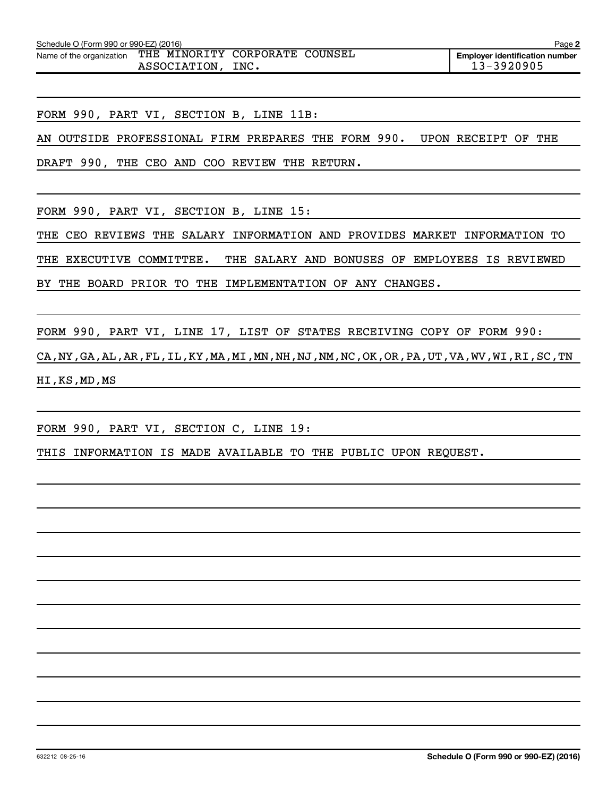| Schedule O (Form 990 or 990-EZ) (2016)<br>Page 2 |                                                |      |  |                                                         |  |  |  |  |  |
|--------------------------------------------------|------------------------------------------------|------|--|---------------------------------------------------------|--|--|--|--|--|
| Name of the organization                         | THE MINORITY CORPORATE COUNSEL<br>ASSOCIATION. | INC. |  | <b>Emplover identification number</b><br>$13 - 3920905$ |  |  |  |  |  |

FORM 990, PART VI, SECTION B, LINE 11B:

AN OUTSIDE PROFESSIONAL FIRM PREPARES THE FORM 990. UPON RECEIPT OF THE

DRAFT 990, THE CEO AND COO REVIEW THE RETURN.

FORM 990, PART VI, SECTION B, LINE 15:

THE CEO REVIEWS THE SALARY INFORMATION AND PROVIDES MARKET INFORMATION TO

THE EXECUTIVE COMMITTEE. THE SALARY AND BONUSES OF EMPLOYEES IS REVIEWED

BY THE BOARD PRIOR TO THE IMPLEMENTATION OF ANY CHANGES.

FORM 990, PART VI, LINE 17, LIST OF STATES RECEIVING COPY OF FORM 990:

CA,NY,GA,AL,AR,FL,IL,KY,MA,MI,MN,NH,NJ,NM,NC,OK,OR,PA,UT,VA,WV,WI,RI,SC,TN HI,KS,MD,MS

FORM 990, PART VI, SECTION C, LINE 19:

THIS INFORMATION IS MADE AVAILABLE TO THE PUBLIC UPON REQUEST.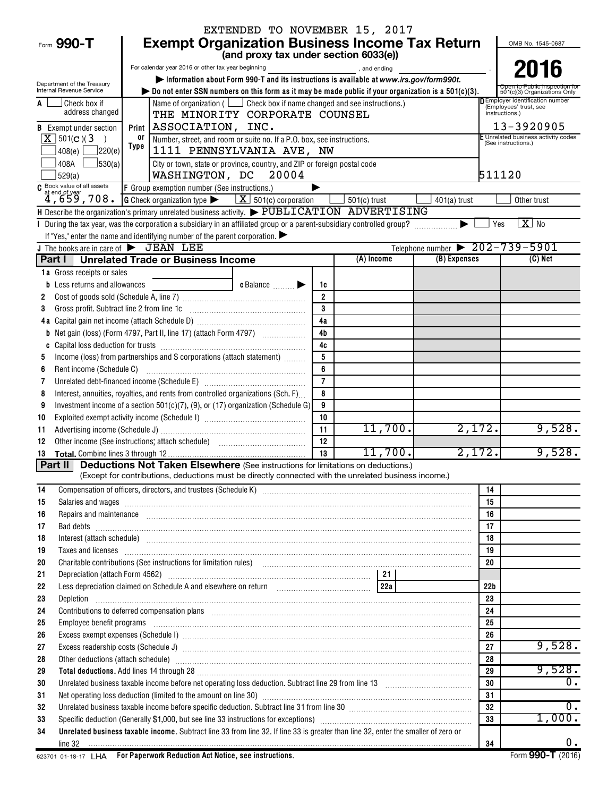|                                                           |                                                                                                                                                                                                                                      |                                       |                      | EXTENDED TO NOVEMBER 15, 2017 |                |                                                                                    |
|-----------------------------------------------------------|--------------------------------------------------------------------------------------------------------------------------------------------------------------------------------------------------------------------------------------|---------------------------------------|----------------------|-------------------------------|----------------|------------------------------------------------------------------------------------|
| Form 990-T                                                | <b>Exempt Organization Business Income Tax Return</b>                                                                                                                                                                                |                                       |                      |                               |                | OMB No. 1545-0687                                                                  |
|                                                           |                                                                                                                                                                                                                                      | (and proxy tax under section 6033(e)) |                      |                               |                |                                                                                    |
|                                                           | For calendar year 2016 or other tax year beginning                                                                                                                                                                                   |                                       |                      | and ending and ending         |                | 2016                                                                               |
| Department of the Treasury                                | Information about Form 990-T and its instructions is available at www.irs.gov/form990t.                                                                                                                                              |                                       |                      |                               |                |                                                                                    |
| Internal Revenue Service                                  | $\triangleright$ Do not enter SSN numbers on this form as it may be made public if your organization is a 501(c)(3).                                                                                                                 |                                       |                      |                               |                | 501(c)(3) Organizations Only                                                       |
| Check box if<br>address changed                           | Name of organization ( $\Box$ Check box if name changed and see instructions.)<br>THE MINORITY CORPORATE COUNSEL                                                                                                                     |                                       |                      |                               |                | <b>DEmployer identification number</b><br>(Employees' trust, see<br>instructions.) |
| <b>B</b> Exempt under section                             | Print   ASSOCIATION, INC.                                                                                                                                                                                                            |                                       |                      |                               |                | 13-3920905                                                                         |
| $\overline{\mathbf{X}}$ 501(c)(3<br>$\rightarrow$         | or<br>Number, street, and room or suite no. If a P.O. box, see instructions.                                                                                                                                                         |                                       |                      |                               |                | E Unrelated business activity codes                                                |
| 7220(e)<br>408(e)                                         | Type<br>1111 PENNSYLVANIA AVE, NW                                                                                                                                                                                                    |                                       |                      |                               |                | (See instructions.)                                                                |
| $\frac{1}{30(a)}$<br>408A                                 | City or town, state or province, country, and ZIP or foreign postal code                                                                                                                                                             |                                       |                      |                               |                |                                                                                    |
| 529(a)                                                    | WASHINGTON, DC 20004                                                                                                                                                                                                                 |                                       |                      |                               |                | 511120                                                                             |
| C Book value of all assets                                | F Group exemption number (See instructions.)                                                                                                                                                                                         |                                       |                      |                               |                |                                                                                    |
| $\frac{1}{4}$ , 659, 708.                                 | <b>G</b> Check organization type $\blacktriangleright$ $\mathbf{X}$ 501(c) corporation                                                                                                                                               |                                       |                      | $501(c)$ trust                | $401(a)$ trust | Other trust                                                                        |
|                                                           | H Describe the organization's primary unrelated business activity. $\blacktriangleright$ PUBLICATION ADVERTISING                                                                                                                     |                                       |                      |                               |                |                                                                                    |
|                                                           | I During the tax year, was the corporation a subsidiary in an affiliated group or a parent-subsidiary controlled group?                                                                                                              |                                       |                      |                               |                | $X _{\text{No}}$<br>Yes                                                            |
|                                                           | If "Yes," enter the name and identifying number of the parent corporation. $\blacktriangleright$                                                                                                                                     |                                       |                      |                               |                |                                                                                    |
| J The books are in care of $\blacktriangleright$ JEAN LEE |                                                                                                                                                                                                                                      |                                       |                      |                               |                | Telephone number $\triangleright$ 202-739-5901                                     |
|                                                           | Part I   Unrelated Trade or Business Income                                                                                                                                                                                          |                                       |                      | (A) Income                    | (B) Expenses   | $(C)$ Net                                                                          |
| 1a Gross receipts or sales                                |                                                                                                                                                                                                                                      |                                       |                      |                               |                |                                                                                    |
| Less returns and allowances<br>b                          |                                                                                                                                                                                                                                      | c Balance                             | 1c<br>$\overline{2}$ |                               |                |                                                                                    |
| 2<br>Gross profit. Subtract line 2 from line 1c<br>3      |                                                                                                                                                                                                                                      |                                       | 3                    |                               |                |                                                                                    |
|                                                           |                                                                                                                                                                                                                                      |                                       | 4a                   |                               |                |                                                                                    |
| b                                                         |                                                                                                                                                                                                                                      |                                       | 4 <sub>b</sub>       |                               |                |                                                                                    |
| C                                                         |                                                                                                                                                                                                                                      |                                       | 4c                   |                               |                |                                                                                    |
| 5                                                         | Income (loss) from partnerships and S corporations (attach statement)                                                                                                                                                                |                                       |                      |                               |                |                                                                                    |
| Rent income (Schedule C)<br>6                             |                                                                                                                                                                                                                                      |                                       | 6                    |                               |                |                                                                                    |
| 7                                                         |                                                                                                                                                                                                                                      |                                       | $\overline{7}$       |                               |                |                                                                                    |
| 8                                                         | Interest, annuities, royalties, and rents from controlled organizations (Sch. F)                                                                                                                                                     |                                       | 8                    |                               |                |                                                                                    |
| 9                                                         | Investment income of a section $501(c)(7)$ , (9), or (17) organization (Schedule G)                                                                                                                                                  |                                       | 9                    |                               |                |                                                                                    |
| 10                                                        |                                                                                                                                                                                                                                      |                                       | 10                   |                               |                |                                                                                    |
| 11                                                        |                                                                                                                                                                                                                                      |                                       | 11                   | 11,700.                       | 2,172.         | 9,528.                                                                             |
| 12                                                        |                                                                                                                                                                                                                                      |                                       | 12                   |                               |                |                                                                                    |
| 13                                                        |                                                                                                                                                                                                                                      |                                       | 13                   | 11,700.                       | 2, 172.        | 9,528.                                                                             |
|                                                           | Part II Deductions Not Taken Elsewhere (See instructions for limitations on deductions.)                                                                                                                                             |                                       |                      |                               |                |                                                                                    |
|                                                           | (Except for contributions, deductions must be directly connected with the unrelated business income.)                                                                                                                                |                                       |                      |                               |                |                                                                                    |
| 14                                                        |                                                                                                                                                                                                                                      |                                       |                      |                               |                | 14                                                                                 |
| 15                                                        | Salaries and wages <b>construction and construction of the construction</b> and wages <b>construction and wages</b>                                                                                                                  |                                       |                      |                               |                | 15<br>16                                                                           |
| 16<br>17                                                  | Repairs and maintenance <i>maintenance</i> and contained and contained and contained and maintenance and maintenance and contained and contained and contained and contained and contained and contained and contained and containe  |                                       |                      |                               |                | 17                                                                                 |
| 18                                                        | Interest (attach schedule) <i>machine and accordinational content and accordinational content and accordination</i> and accordination and accordination and accordination and accordination and accordination and accordination and  |                                       |                      |                               |                | 18                                                                                 |
| 19                                                        | Taxes and licenses <b>contract to the contract of the contract of the contract of the contract of the contract of the contract of the contract of the contract of the contract of the contract of the contract of the contract o</b> |                                       |                      |                               |                | 19                                                                                 |
| 20                                                        | Charitable contributions (See instructions for limitation rules) [11] manufacture in the contributions (See instructions for limitation rules) [11] manufacture in the contributions (See instructions for limitation rules) [       |                                       |                      |                               |                | 20                                                                                 |
| 21                                                        |                                                                                                                                                                                                                                      |                                       |                      |                               |                |                                                                                    |
| 22                                                        | Less depreciation claimed on Schedule A and elsewhere on return [10] [22a]                                                                                                                                                           |                                       |                      |                               |                | 22 <sub>b</sub>                                                                    |
| 23<br>Depletion                                           |                                                                                                                                                                                                                                      |                                       |                      |                               |                | 23                                                                                 |
| 24                                                        | Contributions to deferred compensation plans [11] manufactured and manufactured contributions to deferred compensation plans                                                                                                         |                                       |                      |                               |                | 24                                                                                 |
| 25                                                        | Employee benefit programs informational contracts and contracts are all the contracts and contracts are all the contracts and contracts are contracted and contracts are contracted and contract are contracted and contract a       |                                       |                      |                               |                | 25                                                                                 |
| 26                                                        | Excess exempt expenses (Schedule I) manufactured and according to the state of the state of the state of the state of the state of the state of the state of the state of the state of the state of the state of the state of        |                                       |                      |                               |                | 26                                                                                 |
| 27                                                        |                                                                                                                                                                                                                                      |                                       |                      |                               |                | 9,528.<br>27                                                                       |
| 28                                                        | Other deductions (attach schedule) manufactured and according to the schedule of the schedule of the schedule                                                                                                                        |                                       |                      |                               |                | 28                                                                                 |
| 29                                                        |                                                                                                                                                                                                                                      |                                       |                      |                               |                | 9,528.<br>29                                                                       |
| 30                                                        |                                                                                                                                                                                                                                      |                                       |                      |                               |                | 0.<br>30                                                                           |
| 31                                                        |                                                                                                                                                                                                                                      |                                       |                      |                               |                | 31                                                                                 |
| 32                                                        | Unrelated business taxable income before specific deduction. Subtract line 31 from line 30 manufacture incommunity income the state of the United States Income states in the United States Income States Income States Income       |                                       |                      |                               |                | 0.<br>32<br>1,000.                                                                 |
| 33<br>34                                                  | Unrelated business taxable income. Subtract line 33 from line 32. If line 33 is greater than line 32, enter the smaller of zero or                                                                                                   |                                       |                      |                               |                | 33                                                                                 |
|                                                           |                                                                                                                                                                                                                                      |                                       |                      |                               |                | $0$ .<br>34                                                                        |
|                                                           |                                                                                                                                                                                                                                      |                                       |                      |                               |                |                                                                                    |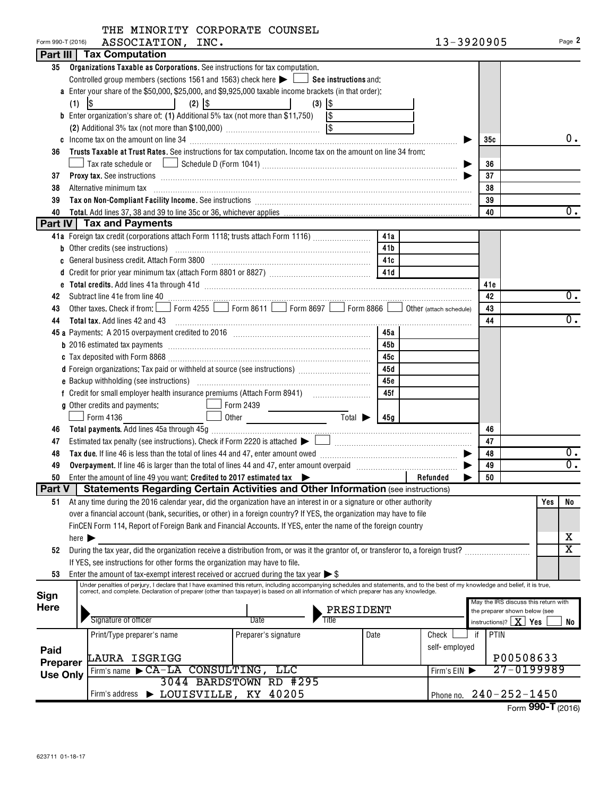|  | THE MINORITY CORPORATE COUNSEL |  |
|--|--------------------------------|--|
|  |                                |  |

| Form 990-T (2016) | ASSOCIATION, INC.                                                                                                                                                                                                                              |                 | 13-3920905    |                                                                       |               | Page 2                  |
|-------------------|------------------------------------------------------------------------------------------------------------------------------------------------------------------------------------------------------------------------------------------------|-----------------|---------------|-----------------------------------------------------------------------|---------------|-------------------------|
|                   | Part III   Tax Computation                                                                                                                                                                                                                     |                 |               |                                                                       |               |                         |
| 35                | Organizations Taxable as Corporations. See instructions for tax computation.                                                                                                                                                                   |                 |               |                                                                       |               |                         |
|                   | Controlled group members (sections 1561 and 1563) check here $\blacktriangleright$ $\Box$ See instructions and:                                                                                                                                |                 |               |                                                                       |               |                         |
|                   | a Enter your share of the \$50,000, \$25,000, and \$9,925,000 taxable income brackets (in that order):                                                                                                                                         |                 |               |                                                                       |               |                         |
|                   | $(2)$ $ $ \$<br>$\lvert \mathcal{S} \rvert$<br>$(3)$ $ $ \$<br>(1)                                                                                                                                                                             |                 |               |                                                                       |               |                         |
|                   | <b>b</b> Enter organization's share of: (1) Additional 5% tax (not more than \$11,750) $\vert$ \$                                                                                                                                              |                 |               |                                                                       |               |                         |
|                   |                                                                                                                                                                                                                                                |                 |               |                                                                       |               |                         |
|                   |                                                                                                                                                                                                                                                |                 | 35с           |                                                                       | 0.            |                         |
| 36                | Trusts Taxable at Trust Rates. See instructions for tax computation. Income tax on the amount on line 34 from:                                                                                                                                 |                 |               |                                                                       |               |                         |
|                   |                                                                                                                                                                                                                                                |                 |               | 36                                                                    |               |                         |
| 37                | <b>Proxy tax.</b> See instructions <b>constructions b</b>                                                                                                                                                                                      |                 |               | 37                                                                    |               |                         |
| 38                | Alternative minimum tax                                                                                                                                                                                                                        |                 |               | 38                                                                    |               |                         |
| 39                |                                                                                                                                                                                                                                                |                 |               | 39                                                                    |               |                         |
| 40                |                                                                                                                                                                                                                                                |                 |               | 40                                                                    |               | 0.                      |
|                   | <b>Part IV Tax and Payments</b>                                                                                                                                                                                                                |                 |               |                                                                       |               |                         |
|                   | 41a Foreign tax credit (corporations attach Form 1118; trusts attach Form 1116) [                                                                                                                                                              | 41a             |               |                                                                       |               |                         |
|                   | b Other credits (see instructions) with an according of the credits of the credits (see instructions)                                                                                                                                          | 41 <sub>b</sub> |               |                                                                       |               |                         |
|                   | c General business credit. Attach Form 3800 [11] [11] Contract Contract Contract Letter Manusch Letter Manusch                                                                                                                                 | 41c             |               |                                                                       |               |                         |
|                   |                                                                                                                                                                                                                                                |                 |               |                                                                       |               |                         |
|                   |                                                                                                                                                                                                                                                |                 |               | 41e                                                                   |               |                         |
| 42                |                                                                                                                                                                                                                                                |                 |               | 42                                                                    |               | 0.                      |
| 43                | Form 4255 Form 8611 Form 8697 Form 8866 0ther (attach schedule)<br>Other taxes. Check if from: $\Box$                                                                                                                                          |                 |               | 43                                                                    |               |                         |
| 44                | <b>Total tax.</b> Add lines 42 and 43                                                                                                                                                                                                          |                 |               | 44                                                                    |               | 0.                      |
|                   |                                                                                                                                                                                                                                                | 45a             |               |                                                                       |               |                         |
|                   |                                                                                                                                                                                                                                                | 45b             |               |                                                                       |               |                         |
|                   |                                                                                                                                                                                                                                                | 45с             |               |                                                                       |               |                         |
|                   | d Foreign organizations: Tax paid or withheld at source (see instructions)                                                                                                                                                                     | 45d             |               |                                                                       |               |                         |
|                   |                                                                                                                                                                                                                                                | 45с             |               |                                                                       |               |                         |
|                   |                                                                                                                                                                                                                                                | 45f             |               |                                                                       |               |                         |
|                   | Form 2439<br>g Other credits and payments:                                                                                                                                                                                                     |                 |               |                                                                       |               |                         |
|                   | $\overline{\mathrm{Total}}$<br>$\Box$ Form 4136<br>Other                                                                                                                                                                                       | 45g             |               |                                                                       |               |                         |
| 46                |                                                                                                                                                                                                                                                |                 |               | 46                                                                    |               |                         |
| 47                | Estimated tax penalty (see instructions). Check if Form 2220 is attached $\blacktriangleright \begin{array}{c} \square \\ \square \end{array}$                                                                                                 |                 |               | 47                                                                    |               |                         |
| 48                |                                                                                                                                                                                                                                                |                 |               | 48                                                                    |               | υ.<br>$\overline{0}$ .  |
| 49                |                                                                                                                                                                                                                                                |                 |               | 49                                                                    |               |                         |
| 50                | Enter the amount of line 49 you want: Credited to 2017 estimated tax $\blacktriangleright$                                                                                                                                                     |                 | Refunded<br>▶ | 50                                                                    |               |                         |
| <b>Part V</b>     | <b>Statements Regarding Certain Activities and Other Information (see instructions)</b>                                                                                                                                                        |                 |               |                                                                       |               |                         |
| 51                | At any time during the 2016 calendar year, did the organization have an interest in or a signature or other authority<br>over a financial account (bank, securities, or other) in a foreign country? If YES, the organization may have to file |                 |               |                                                                       | Yes           | No                      |
|                   |                                                                                                                                                                                                                                                |                 |               |                                                                       |               |                         |
|                   | FinCEN Form 114, Report of Foreign Bank and Financial Accounts. If YES, enter the name of the foreign country                                                                                                                                  |                 |               |                                                                       |               | х                       |
| 52                | here $\blacktriangleright$<br>During the tax year, did the organization receive a distribution from, or was it the grantor of, or transferor to, a foreign trust?                                                                              |                 |               |                                                                       |               | $\overline{\mathtt{x}}$ |
|                   | If YES, see instructions for other forms the organization may have to file.                                                                                                                                                                    |                 |               |                                                                       |               |                         |
| 53                | Enter the amount of tax-exempt interest received or accrued during the tax year $\triangleright$ \$                                                                                                                                            |                 |               |                                                                       |               |                         |
|                   | Under penalties of perjury, I declare that I have examined this return, including accompanying schedules and statements, and to the best of my knowledge and belief, it is true,                                                               |                 |               |                                                                       |               |                         |
| <b>Sign</b>       | correct, and complete. Declaration of preparer (other than taxpayer) is based on all information of which preparer has any knowledge.                                                                                                          |                 |               |                                                                       |               |                         |
| Here              |                                                                                                                                                                                                                                                | PRESIDENT       |               | May the IRS discuss this return with<br>the preparer shown below (see |               |                         |
|                   | Signature of officer<br>Date<br>Title                                                                                                                                                                                                          |                 |               | instructions)? $ $                                                    | $X \mid Y$ es | No                      |
|                   | Print/Type preparer's name<br>Preparer's signature                                                                                                                                                                                             | Date            | Check         | PTIN<br>if                                                            |               |                         |
|                   |                                                                                                                                                                                                                                                |                 | self-employed |                                                                       |               |                         |
| Paid              | LAURA ISGRIGG                                                                                                                                                                                                                                  |                 |               | P00508633                                                             |               |                         |
| Preparer          | Firm's name CA-LA CONSULTING, LLC                                                                                                                                                                                                              |                 | Firm's $EIN$  | 27-0199989                                                            |               |                         |
| <b>Use Only</b>   | 3044 BARDSTOWN RD #295                                                                                                                                                                                                                         |                 |               |                                                                       |               |                         |
|                   | Firm's address > LOUISVILLE, KY 40205                                                                                                                                                                                                          |                 |               | Phone no. 240-252-1450                                                |               |                         |
|                   |                                                                                                                                                                                                                                                |                 |               |                                                                       |               |                         |

Form **990-T** (2016)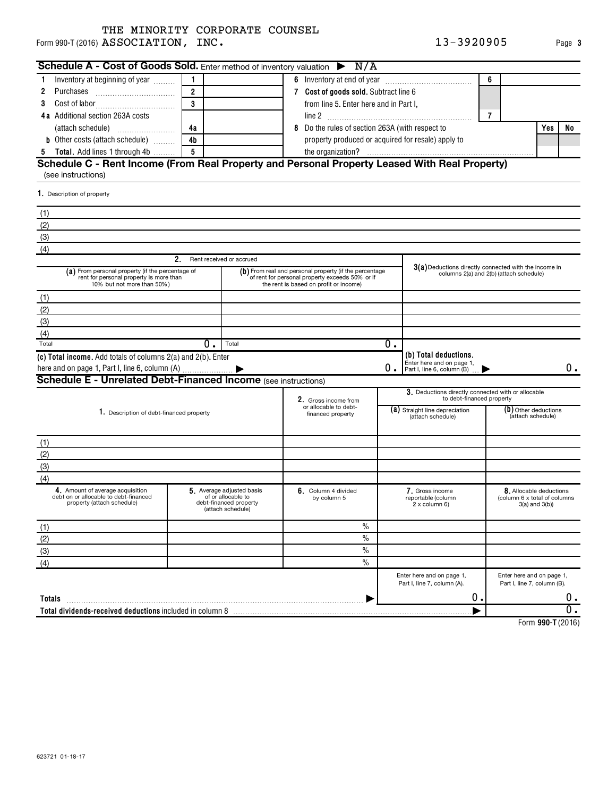Form 990-T (2016)  ${\bf ASSOCIATION}$  ,  ${\bf INC.}$  and the contract of the contract of the contract of the contract of the contract of the contract of the contract of the contract of the contract of the contract of the contract of the

| Schedule A - Cost of Goods Sold. Enter method of inventory valuation $\triangleright$ N/A                                 |                |                                                                   |   |                                                                                                                                                                                                                                                           |                         |                                                          |                |                                                          |    |                  |
|---------------------------------------------------------------------------------------------------------------------------|----------------|-------------------------------------------------------------------|---|-----------------------------------------------------------------------------------------------------------------------------------------------------------------------------------------------------------------------------------------------------------|-------------------------|----------------------------------------------------------|----------------|----------------------------------------------------------|----|------------------|
| Inventory at beginning of year                                                                                            |                |                                                                   |   |                                                                                                                                                                                                                                                           |                         |                                                          | 6              |                                                          |    |                  |
| Purchases<br>2                                                                                                            | $\overline{2}$ |                                                                   |   | 7 Cost of goods sold. Subtract line 6                                                                                                                                                                                                                     |                         |                                                          |                |                                                          |    |                  |
|                                                                                                                           | 3              |                                                                   |   | from line 5. Enter here and in Part I,                                                                                                                                                                                                                    |                         |                                                          |                |                                                          |    |                  |
| 4a Additional section 263A costs                                                                                          |                |                                                                   |   |                                                                                                                                                                                                                                                           |                         |                                                          | $\overline{7}$ |                                                          |    |                  |
|                                                                                                                           | 4a             |                                                                   | 8 | Do the rules of section 263A (with respect to                                                                                                                                                                                                             |                         |                                                          |                | Yes                                                      | No |                  |
| <b>b</b> Other costs (attach schedule)                                                                                    | 4 <sub>b</sub> |                                                                   |   | property produced or acquired for resale) apply to                                                                                                                                                                                                        |                         |                                                          |                |                                                          |    |                  |
| <b>Total.</b> Add lines 1 through 4b<br>5                                                                                 | 5              |                                                                   |   |                                                                                                                                                                                                                                                           |                         |                                                          |                |                                                          |    |                  |
| Schedule C - Rent Income (From Real Property and Personal Property Leased With Real Property)                             |                |                                                                   |   |                                                                                                                                                                                                                                                           |                         |                                                          |                |                                                          |    |                  |
| (see instructions)                                                                                                        |                |                                                                   |   |                                                                                                                                                                                                                                                           |                         |                                                          |                |                                                          |    |                  |
| 1. Description of property                                                                                                |                |                                                                   |   |                                                                                                                                                                                                                                                           |                         |                                                          |                |                                                          |    |                  |
| (1)                                                                                                                       |                |                                                                   |   |                                                                                                                                                                                                                                                           |                         |                                                          |                |                                                          |    |                  |
| (2)                                                                                                                       |                |                                                                   |   |                                                                                                                                                                                                                                                           |                         |                                                          |                |                                                          |    |                  |
| (3)                                                                                                                       |                |                                                                   |   |                                                                                                                                                                                                                                                           |                         |                                                          |                |                                                          |    |                  |
| (4)                                                                                                                       |                |                                                                   |   |                                                                                                                                                                                                                                                           |                         |                                                          |                |                                                          |    |                  |
|                                                                                                                           | 2.             | Rent received or accrued                                          |   |                                                                                                                                                                                                                                                           |                         |                                                          |                |                                                          |    |                  |
| (a) From personal property (if the percentage of<br>rent for personal property is more than<br>10% but not more than 50%) |                |                                                                   |   | $3(a)$ Deductions directly connected with the income in<br>(b) From real and personal property (if the percentage<br>columns 2(a) and 2(b) (attach schedule)<br>of rent for personal property exceeds 50% or if<br>the rent is based on profit or income) |                         |                                                          |                |                                                          |    |                  |
| (1)                                                                                                                       |                |                                                                   |   |                                                                                                                                                                                                                                                           |                         |                                                          |                |                                                          |    |                  |
| (2)                                                                                                                       |                |                                                                   |   |                                                                                                                                                                                                                                                           |                         |                                                          |                |                                                          |    |                  |
| (3)                                                                                                                       |                |                                                                   |   |                                                                                                                                                                                                                                                           |                         |                                                          |                |                                                          |    |                  |
| (4)                                                                                                                       |                |                                                                   |   |                                                                                                                                                                                                                                                           |                         |                                                          |                |                                                          |    |                  |
| Total                                                                                                                     | 0.             | Total                                                             |   |                                                                                                                                                                                                                                                           | $\overline{\text{o}}$ . |                                                          |                |                                                          |    |                  |
| (c) Total income. Add totals of columns 2(a) and 2(b). Enter                                                              |                |                                                                   |   |                                                                                                                                                                                                                                                           |                         | (b) Total deductions.                                    |                |                                                          |    |                  |
|                                                                                                                           |                |                                                                   |   |                                                                                                                                                                                                                                                           | О.                      | Enter here and on page 1,<br>Part I, line 6, column (B)  |                |                                                          |    | 0.               |
| <b>Schedule E - Unrelated Debt-Financed Income (see instructions)</b>                                                     |                |                                                                   |   |                                                                                                                                                                                                                                                           |                         |                                                          |                |                                                          |    |                  |
|                                                                                                                           |                |                                                                   |   |                                                                                                                                                                                                                                                           |                         | 3. Deductions directly connected with or allocable       |                |                                                          |    |                  |
|                                                                                                                           |                |                                                                   |   | 2. Gross income from<br>or allocable to debt-                                                                                                                                                                                                             |                         | to debt-financed property                                |                |                                                          |    |                  |
| 1. Description of debt-financed property                                                                                  |                |                                                                   |   | financed property                                                                                                                                                                                                                                         |                         | (a) Straight line depreciation<br>(attach schedule)      |                | (b) Other deductions<br>(attach schedule)                |    |                  |
|                                                                                                                           |                |                                                                   |   |                                                                                                                                                                                                                                                           |                         |                                                          |                |                                                          |    |                  |
| (1)                                                                                                                       |                |                                                                   |   |                                                                                                                                                                                                                                                           |                         |                                                          |                |                                                          |    |                  |
| (2)                                                                                                                       |                |                                                                   |   |                                                                                                                                                                                                                                                           |                         |                                                          |                |                                                          |    |                  |
| (3)                                                                                                                       |                |                                                                   |   |                                                                                                                                                                                                                                                           |                         |                                                          |                |                                                          |    |                  |
| (4)                                                                                                                       |                |                                                                   |   |                                                                                                                                                                                                                                                           |                         |                                                          |                |                                                          |    |                  |
| 4. Amount of average acquisition                                                                                          |                | 5. Average adjusted basis                                         |   | 6. Column 4 divided                                                                                                                                                                                                                                       |                         | 7. Gross income                                          |                | 8. Allocable deductions                                  |    |                  |
| debt on or allocable to debt-financed<br>property (attach schedule)                                                       |                | of or allocable to<br>debt-financed property<br>(attach schedule) |   | by column 5                                                                                                                                                                                                                                               |                         | reportable (column<br>2 x column 6)                      |                | (column 6 x total of columns)<br>$3(a)$ and $3(b)$ )     |    |                  |
| (1)                                                                                                                       |                |                                                                   |   | $\%$                                                                                                                                                                                                                                                      |                         |                                                          |                |                                                          |    |                  |
| (2)                                                                                                                       |                |                                                                   |   | $\frac{0}{0}$                                                                                                                                                                                                                                             |                         |                                                          |                |                                                          |    |                  |
| (3)                                                                                                                       |                |                                                                   |   | $\frac{0}{0}$                                                                                                                                                                                                                                             |                         |                                                          |                |                                                          |    |                  |
| (4)                                                                                                                       |                |                                                                   |   | $\frac{0}{0}$                                                                                                                                                                                                                                             |                         |                                                          |                |                                                          |    |                  |
|                                                                                                                           |                |                                                                   |   |                                                                                                                                                                                                                                                           |                         | Enter here and on page 1,<br>Part I, line 7, column (A). |                | Enter here and on page 1,<br>Part I, line 7, column (B). |    |                  |
| Totals                                                                                                                    |                |                                                                   |   |                                                                                                                                                                                                                                                           |                         | о.                                                       |                |                                                          |    | $0$ .            |
|                                                                                                                           |                |                                                                   |   |                                                                                                                                                                                                                                                           |                         |                                                          |                |                                                          |    | $\overline{0}$ . |
|                                                                                                                           |                |                                                                   |   |                                                                                                                                                                                                                                                           |                         |                                                          |                |                                                          |    |                  |

**990-T**  Form (2016)

**3**

623721 01-18-17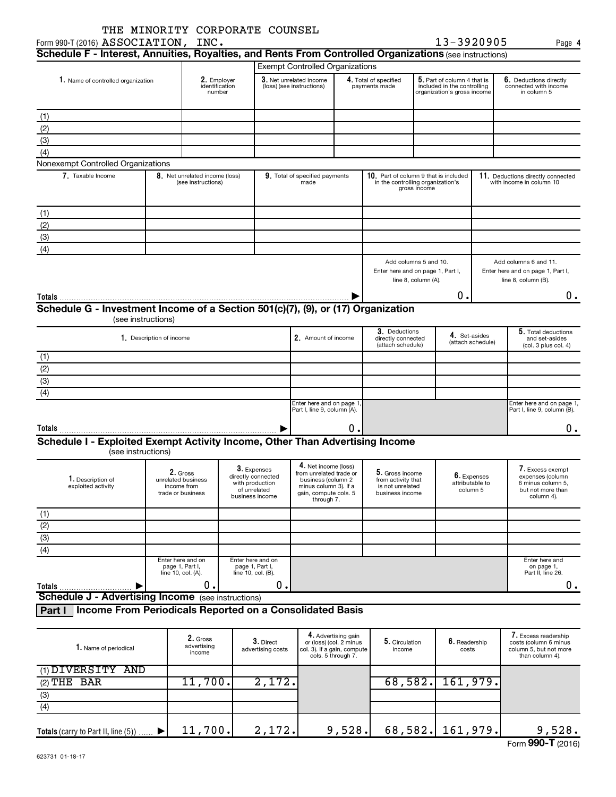| Form 990-T (2016) ASSOCIATION, INC.                                                                                                | THE MINORITY CORPORATE COUNSEL                                     |                                         |                                                                                                |                                                                                                                                       |                                                |                                                                                            |                                                               | 13-3920905                                                                                |                                                               | Page 4                                                                                       |  |
|------------------------------------------------------------------------------------------------------------------------------------|--------------------------------------------------------------------|-----------------------------------------|------------------------------------------------------------------------------------------------|---------------------------------------------------------------------------------------------------------------------------------------|------------------------------------------------|--------------------------------------------------------------------------------------------|---------------------------------------------------------------|-------------------------------------------------------------------------------------------|---------------------------------------------------------------|----------------------------------------------------------------------------------------------|--|
| Schedule F - Interest, Annuities, Royalties, and Rents From Controlled Organizations (see instructions)                            |                                                                    |                                         |                                                                                                |                                                                                                                                       |                                                |                                                                                            |                                                               |                                                                                           |                                                               |                                                                                              |  |
|                                                                                                                                    |                                                                    |                                         |                                                                                                | <b>Exempt Controlled Organizations</b>                                                                                                |                                                |                                                                                            |                                                               |                                                                                           |                                                               |                                                                                              |  |
| 1. Name of controlled organization                                                                                                 |                                                                    | 2. Employer<br>identification<br>number |                                                                                                | 3. Net unrelated income<br>(loss) (see instructions)                                                                                  |                                                | 4. Total of specified<br>payments made                                                     |                                                               | 5. Part of column 4 that is<br>included in the controlling<br>organization's gross income |                                                               | 6. Deductions directly<br>connected with income<br>in column 5                               |  |
|                                                                                                                                    |                                                                    |                                         |                                                                                                |                                                                                                                                       |                                                |                                                                                            |                                                               |                                                                                           |                                                               |                                                                                              |  |
| (1)                                                                                                                                |                                                                    |                                         |                                                                                                |                                                                                                                                       |                                                |                                                                                            |                                                               |                                                                                           |                                                               |                                                                                              |  |
| (2)<br>(3)                                                                                                                         |                                                                    |                                         |                                                                                                |                                                                                                                                       |                                                |                                                                                            |                                                               |                                                                                           |                                                               |                                                                                              |  |
| (4)                                                                                                                                |                                                                    |                                         |                                                                                                |                                                                                                                                       |                                                |                                                                                            |                                                               |                                                                                           |                                                               |                                                                                              |  |
| Nonexempt Controlled Organizations                                                                                                 |                                                                    |                                         |                                                                                                |                                                                                                                                       |                                                |                                                                                            |                                                               |                                                                                           |                                                               |                                                                                              |  |
| 7. Taxable Income<br>8. Net unrelated income (loss)<br>(see instructions)                                                          |                                                                    |                                         |                                                                                                | 9. Total of specified payments<br>made                                                                                                |                                                | 10. Part of column 9 that is included<br>in the controlling organization's<br>gross income |                                                               |                                                                                           | 11. Deductions directly connected<br>with income in column 10 |                                                                                              |  |
|                                                                                                                                    |                                                                    |                                         |                                                                                                |                                                                                                                                       |                                                |                                                                                            |                                                               |                                                                                           |                                                               |                                                                                              |  |
| (1)<br>(2)                                                                                                                         |                                                                    |                                         |                                                                                                |                                                                                                                                       |                                                |                                                                                            |                                                               |                                                                                           |                                                               |                                                                                              |  |
| (3)                                                                                                                                |                                                                    |                                         |                                                                                                |                                                                                                                                       |                                                |                                                                                            |                                                               |                                                                                           |                                                               |                                                                                              |  |
| (4)                                                                                                                                |                                                                    |                                         |                                                                                                |                                                                                                                                       |                                                |                                                                                            |                                                               |                                                                                           |                                                               |                                                                                              |  |
|                                                                                                                                    |                                                                    |                                         |                                                                                                |                                                                                                                                       |                                                | Add columns 5 and 10.<br>Enter here and on page 1, Part I,<br>line 8, column (A).          |                                                               |                                                                                           |                                                               | Add columns 6 and 11.<br>Enter here and on page 1, Part I,<br>line 8, column (B).            |  |
|                                                                                                                                    |                                                                    |                                         |                                                                                                |                                                                                                                                       |                                                |                                                                                            |                                                               | 0                                                                                         |                                                               | $0$ .                                                                                        |  |
| Schedule G - Investment Income of a Section 501(c)(7), (9), or (17) Organization<br>(see instructions)<br>1. Description of income | 2. Amount of income                                                |                                         | 3. Deductions<br>4. Set-asides<br>directly connected<br>(attach schedule)<br>(attach schedule) |                                                                                                                                       |                                                |                                                                                            | 5. Total deductions<br>and set-asides<br>(col. 3 plus col. 4) |                                                                                           |                                                               |                                                                                              |  |
| (1)                                                                                                                                |                                                                    |                                         |                                                                                                |                                                                                                                                       |                                                |                                                                                            |                                                               |                                                                                           |                                                               |                                                                                              |  |
|                                                                                                                                    |                                                                    |                                         |                                                                                                |                                                                                                                                       |                                                |                                                                                            |                                                               |                                                                                           |                                                               |                                                                                              |  |
| $\frac{(2)}{(3)}$                                                                                                                  |                                                                    |                                         |                                                                                                |                                                                                                                                       |                                                |                                                                                            |                                                               |                                                                                           |                                                               |                                                                                              |  |
| (4)                                                                                                                                |                                                                    |                                         |                                                                                                |                                                                                                                                       |                                                |                                                                                            |                                                               |                                                                                           |                                                               |                                                                                              |  |
|                                                                                                                                    |                                                                    |                                         |                                                                                                | Enter here and on page 1<br>Part I, line 9, column (A).                                                                               |                                                |                                                                                            |                                                               |                                                                                           |                                                               | Enter here and on page 1,<br>Part I, line 9, column (B).                                     |  |
| <b>Totals</b>                                                                                                                      |                                                                    |                                         |                                                                                                |                                                                                                                                       | Ο.                                             |                                                                                            |                                                               |                                                                                           |                                                               | 0.                                                                                           |  |
| Schedule I - Exploited Exempt Activity Income, Other Than Advertising Income<br>(see instructions)                                 |                                                                    |                                         |                                                                                                |                                                                                                                                       |                                                |                                                                                            |                                                               |                                                                                           |                                                               |                                                                                              |  |
| 1. Description of<br>exploited activity                                                                                            | 2. Gross<br>unrelated business<br>income from<br>trade or business |                                         | 3. Expenses<br>directly connected<br>with production<br>of unrelated<br>business income        | 4. Net income (loss)<br>from unrelated trade or<br>business (column 2<br>minus column 3). If a<br>gain, compute cols. 5<br>through 7. |                                                | 5. Gross income<br>from activity that<br>is not unrelated<br>business income               |                                                               | attributable to<br>column 5                                                               | 6. Expenses                                                   | 7. Excess exempt<br>expenses (column<br>6 minus column 5,<br>but not more than<br>column 4). |  |
| (1)                                                                                                                                |                                                                    |                                         |                                                                                                |                                                                                                                                       |                                                |                                                                                            |                                                               |                                                                                           |                                                               |                                                                                              |  |
| $\overline{(2)}$                                                                                                                   |                                                                    |                                         |                                                                                                |                                                                                                                                       |                                                |                                                                                            |                                                               |                                                                                           |                                                               |                                                                                              |  |
| $\overline{(3)}$                                                                                                                   |                                                                    |                                         |                                                                                                |                                                                                                                                       |                                                |                                                                                            |                                                               |                                                                                           |                                                               |                                                                                              |  |
| $\overline{(4)}$                                                                                                                   |                                                                    |                                         |                                                                                                |                                                                                                                                       |                                                |                                                                                            |                                                               |                                                                                           |                                                               |                                                                                              |  |
|                                                                                                                                    | Enter here and on<br>page 1, Part I,<br>line 10, col. (A).         |                                         | Enter here and on<br>page 1, Part I,<br>line 10, col. (B).                                     |                                                                                                                                       |                                                |                                                                                            |                                                               |                                                                                           |                                                               | Enter here and<br>on page 1,<br>Part II, line 26.                                            |  |
| <b>Totals</b><br>▶                                                                                                                 | 0.                                                                 |                                         | 0.                                                                                             |                                                                                                                                       |                                                |                                                                                            |                                                               |                                                                                           |                                                               | 0.                                                                                           |  |
| <b>Schedule J - Advertising Income</b> (see instructions)                                                                          |                                                                    |                                         |                                                                                                |                                                                                                                                       |                                                |                                                                                            |                                                               |                                                                                           |                                                               |                                                                                              |  |
| Income From Periodicals Reported on a Consolidated Basis<br>Part I                                                                 |                                                                    |                                         |                                                                                                |                                                                                                                                       |                                                |                                                                                            |                                                               |                                                                                           |                                                               |                                                                                              |  |
| 1. Name of periodical                                                                                                              | 2. Gross<br>advertising<br>income                                  |                                         | 3. Direct<br>advertising costs                                                                 | col. 3). If a gain, compute                                                                                                           | 4. Advertising gain<br>or (loss) (col. 2 minus | 5. Circulation<br>income                                                                   |                                                               | 6. Readership<br>costs                                                                    |                                                               | 7. Excess readership<br>costs (column 6 minus<br>column 5, but not more                      |  |

| <b>I</b> . Name of periodical          | advertising<br>income | advertising costs | col. 3). If a gain, compute<br>cols. 5 through 7. | income  | costs              | column 5, but not more<br>than column 4). |
|----------------------------------------|-----------------------|-------------------|---------------------------------------------------|---------|--------------------|-------------------------------------------|
| (1) DIVERSITY AND                      |                       |                   |                                                   |         |                    |                                           |
| $(2)$ THE BAR                          | 11,700.               | 2,172.            |                                                   | 68,582. | 161,979.           |                                           |
| (3)                                    |                       |                   |                                                   |         |                    |                                           |
| (4)                                    |                       |                   |                                                   |         |                    |                                           |
| Totals (carry to Part II, line $(5)$ ) | 11,700.               | 2,172.            | 9,528.                                            |         | $68,582.$ 161,979. | 9,528.                                    |
|                                        |                       |                   |                                                   |         |                    | $F_{\text{c}}$ QQO_T $(2016)$             |